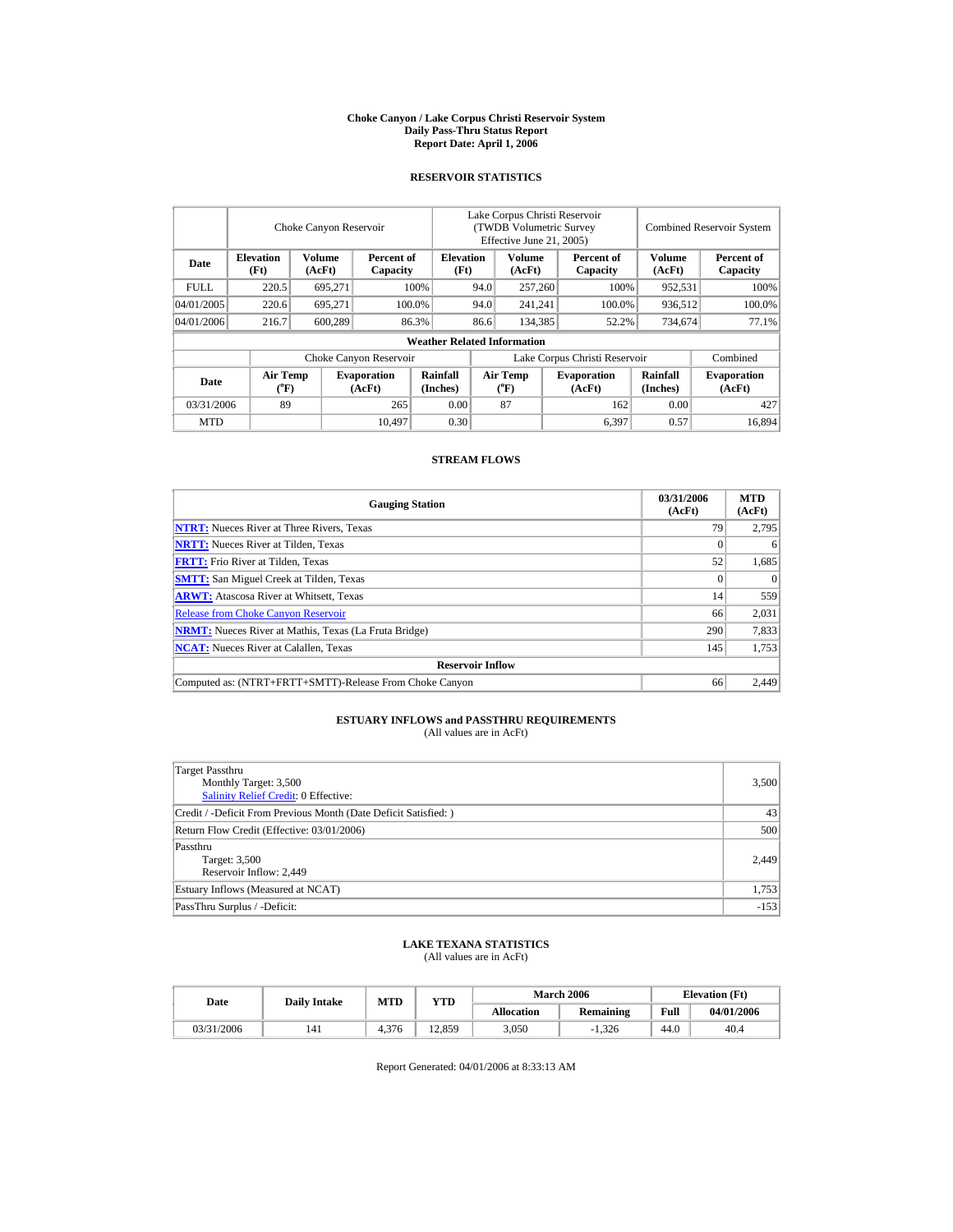#### **Choke Canyon / Lake Corpus Christi Reservoir System Daily Pass-Thru Status Report Report Date: April 1, 2006**

### **RESERVOIR STATISTICS**

|             |                                             | Choke Canyon Reservoir |                              |                                    | Lake Corpus Christi Reservoir<br>(TWDB Volumetric Survey<br>Effective June 21, 2005) |                                             |         |                              | <b>Combined Reservoir System</b> |                              |
|-------------|---------------------------------------------|------------------------|------------------------------|------------------------------------|--------------------------------------------------------------------------------------|---------------------------------------------|---------|------------------------------|----------------------------------|------------------------------|
| Date        | <b>Elevation</b><br>(Ft)                    | Volume<br>(AcFt)       | Percent of<br>Capacity       |                                    | Volume<br><b>Elevation</b><br>(Ft)<br>(AcFt)                                         |                                             |         | Percent of<br>Capacity       | Volume<br>(AcFt)                 | Percent of<br>Capacity       |
| <b>FULL</b> | 220.5                                       | 695.271                |                              | 100%                               | 94.0                                                                                 | 257,260                                     |         | 100%                         | 952,531                          | 100%                         |
| 04/01/2005  | 220.6                                       | 695.271                |                              | 100.0%                             | 94.0                                                                                 |                                             | 241,241 | 100.0%                       | 936,512                          | 100.0%                       |
| 04/01/2006  | 216.7                                       | 600,289                |                              | 86.3%                              | 86.6                                                                                 | 134.385                                     |         | 52.2%                        | 734,674                          | 77.1%                        |
|             |                                             |                        |                              | <b>Weather Related Information</b> |                                                                                      |                                             |         |                              |                                  |                              |
|             |                                             |                        | Choke Canyon Reservoir       |                                    | Lake Corpus Christi Reservoir                                                        |                                             |         |                              |                                  | Combined                     |
| Date        | <b>Air Temp</b><br>$({}^{\circ}\mathrm{F})$ |                        | <b>Evaporation</b><br>(AcFt) | Rainfall<br>(Inches)               |                                                                                      | <b>Air Temp</b><br>$({}^{\circ}\mathrm{F})$ |         | <b>Evaporation</b><br>(AcFt) | <b>Rainfall</b><br>(Inches)      | <b>Evaporation</b><br>(AcFt) |
| 03/31/2006  | 89                                          |                        | 265                          | 0.00                               |                                                                                      | 87                                          |         | 162                          | 0.00                             | 427                          |
| <b>MTD</b>  |                                             |                        | 10.497                       | 0.30                               |                                                                                      |                                             |         | 6.397                        | 0.57                             | 16.894                       |

#### **STREAM FLOWS**

| <b>Gauging Station</b>                                       | 03/31/2006<br>(AcFt) | <b>MTD</b><br>(AcFt) |
|--------------------------------------------------------------|----------------------|----------------------|
| <b>NTRT:</b> Nueces River at Three Rivers, Texas             | 79                   | 2.795                |
| <b>NRTT:</b> Nueces River at Tilden, Texas                   |                      | 6                    |
| <b>FRTT:</b> Frio River at Tilden, Texas                     | 52                   | 1,685                |
| <b>SMTT:</b> San Miguel Creek at Tilden, Texas               |                      | $\Omega$             |
| <b>ARWT:</b> Atascosa River at Whitsett, Texas               | 14                   | 559                  |
| <b>Release from Choke Canyon Reservoir</b>                   | 66                   | 2.031                |
| <b>NRMT:</b> Nueces River at Mathis, Texas (La Fruta Bridge) | 290                  | 7,833                |
| <b>NCAT:</b> Nueces River at Calallen. Texas                 | 145                  | 1,753                |
| <b>Reservoir Inflow</b>                                      |                      |                      |
| Computed as: (NTRT+FRTT+SMTT)-Release From Choke Canyon      | 66                   | 2.449                |

## **ESTUARY INFLOWS and PASSTHRU REQUIREMENTS**<br>(All values are in AcFt)

| Target Passthru<br>Monthly Target: 3,500<br>Salinity Relief Credit: 0 Effective: | 3,500  |
|----------------------------------------------------------------------------------|--------|
| Credit / -Deficit From Previous Month (Date Deficit Satisfied: )                 | 43     |
| Return Flow Credit (Effective: 03/01/2006)                                       | 500    |
| Passthru<br>Target: 3,500<br>Reservoir Inflow: 2,449                             | 2,449  |
| Estuary Inflows (Measured at NCAT)                                               | 1,753  |
| PassThru Surplus / -Deficit:                                                     | $-153$ |

# **LAKE TEXANA STATISTICS** (All values are in AcFt)

| Date       |     | <b>MTD</b><br><b>Daily Intake</b> |        |                   | <b>March 2006</b> | <b>Elevation</b> (Ft) |            |
|------------|-----|-----------------------------------|--------|-------------------|-------------------|-----------------------|------------|
|            |     |                                   | YTD    | <b>Allocation</b> | Remaining         | Full                  | 04/01/2006 |
| 03/31/2006 | 141 | 4.376                             | 12.859 | 3.050             | 1.326             | 44.0                  | 40.4       |

Report Generated: 04/01/2006 at 8:33:13 AM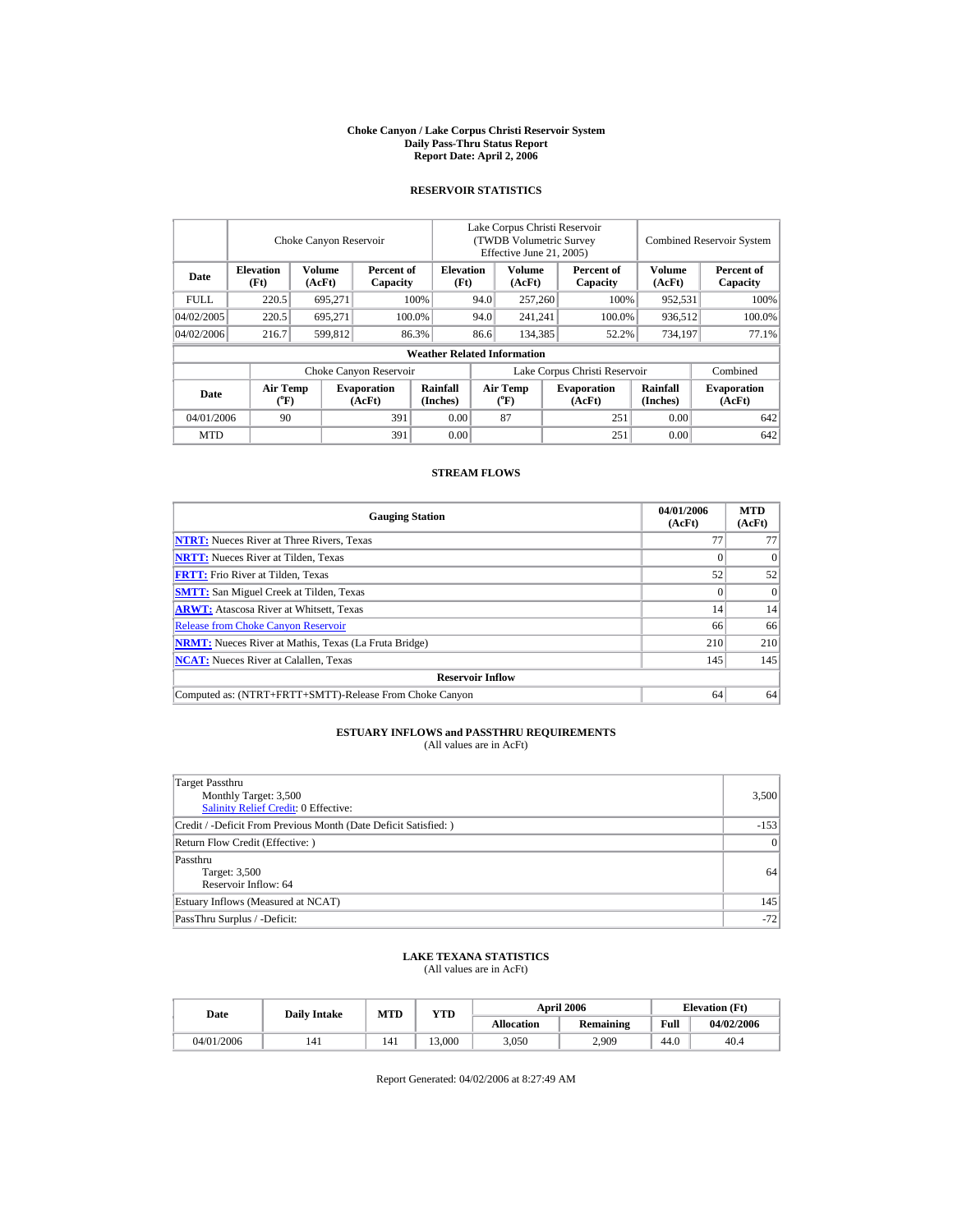#### **Choke Canyon / Lake Corpus Christi Reservoir System Daily Pass-Thru Status Report Report Date: April 2, 2006**

## **RESERVOIR STATISTICS**

|            |                                                                                                                                                                       | Choke Canyon Reservoir |                        |                                    | Lake Corpus Christi Reservoir<br>(TWDB Volumetric Survey)<br>Effective June 21, 2005) |                         |         |                        | <b>Combined Reservoir System</b> |                        |
|------------|-----------------------------------------------------------------------------------------------------------------------------------------------------------------------|------------------------|------------------------|------------------------------------|---------------------------------------------------------------------------------------|-------------------------|---------|------------------------|----------------------------------|------------------------|
| Date       | <b>Elevation</b><br>(Ft)                                                                                                                                              | Volume<br>(AcFt)       | Percent of<br>Capacity | <b>Elevation</b><br>(Ft)           |                                                                                       | <b>Volume</b><br>(AcFt) |         | Percent of<br>Capacity | <b>Volume</b><br>(AcFt)          | Percent of<br>Capacity |
| FULL.      | 220.5                                                                                                                                                                 | 695.271                |                        | 100%                               | 94.0                                                                                  | 257,260                 |         | 100%                   | 952.531                          | 100%                   |
| 04/02/2005 | 220.5                                                                                                                                                                 | 695.271                |                        | 100.0%                             | 94.0                                                                                  |                         | 241.241 | 100.0%                 | 936.512                          | 100.0%                 |
| 04/02/2006 | 216.7                                                                                                                                                                 | 599.812                |                        | 86.3%                              | 86.6                                                                                  | 134.385                 |         | 52.2%                  | 734,197                          | 77.1%                  |
|            |                                                                                                                                                                       |                        |                        | <b>Weather Related Information</b> |                                                                                       |                         |         |                        |                                  |                        |
|            |                                                                                                                                                                       |                        | Choke Canyon Reservoir |                                    | Lake Corpus Christi Reservoir                                                         |                         |         |                        |                                  | Combined               |
| Date       | Rainfall<br><b>Air Temp</b><br>Air Temp<br><b>Evaporation</b><br><b>Evaporation</b><br>$({}^{\circ}\mathrm{F})$<br>$({}^o\mathrm{F})$<br>(AcFt)<br>(AcFt)<br>(Inches) |                        |                        | Rainfall<br>(Inches)               | <b>Evaporation</b><br>(AcFt)                                                          |                         |         |                        |                                  |                        |
| 04/01/2006 | 90                                                                                                                                                                    |                        | 391                    | 0.00                               |                                                                                       | 87                      |         | 251                    | 0.00                             | 642                    |
| <b>MTD</b> |                                                                                                                                                                       |                        | 391                    | 0.00                               |                                                                                       |                         |         | 251                    | 0.00                             | 642                    |

### **STREAM FLOWS**

| <b>Gauging Station</b>                                       | 04/01/2006<br>(AcFt) | <b>MTD</b><br>(AcFt) |
|--------------------------------------------------------------|----------------------|----------------------|
| <b>NTRT:</b> Nueces River at Three Rivers, Texas             | 77                   | 77                   |
| <b>NRTT:</b> Nueces River at Tilden, Texas                   |                      | $\Omega$             |
| <b>FRTT:</b> Frio River at Tilden, Texas                     | 52                   | 52                   |
| <b>SMTT:</b> San Miguel Creek at Tilden, Texas               |                      | $\Omega$             |
| <b>ARWT:</b> Atascosa River at Whitsett, Texas               | 14                   | 14                   |
| <b>Release from Choke Canyon Reservoir</b>                   | 66                   | 66                   |
| <b>NRMT:</b> Nueces River at Mathis, Texas (La Fruta Bridge) | 210                  | 210                  |
| <b>NCAT:</b> Nueces River at Calallen, Texas                 | 145                  | 145                  |
| <b>Reservoir Inflow</b>                                      |                      |                      |
| Computed as: (NTRT+FRTT+SMTT)-Release From Choke Canyon      | 64                   | 64                   |

# **ESTUARY INFLOWS and PASSTHRU REQUIREMENTS**<br>(All values are in AcFt)

| Target Passthru<br>Monthly Target: 3,500<br>Salinity Relief Credit: 0 Effective: | 3,500     |
|----------------------------------------------------------------------------------|-----------|
| Credit / -Deficit From Previous Month (Date Deficit Satisfied: )                 | $-153$    |
| Return Flow Credit (Effective: )                                                 | $\vert$ 0 |
| Passthru<br>Target: 3,500<br>Reservoir Inflow: 64                                | 64        |
| Estuary Inflows (Measured at NCAT)                                               | 145       |
| PassThru Surplus / -Deficit:                                                     | $-72$     |

## **LAKE TEXANA STATISTICS** (All values are in AcFt)

| Date       | <b>Daily Intake</b> | <b>YTD</b><br><b>MTD</b> |        |                   | <b>April 2006</b> | <b>Elevation</b> (Ft) |            |
|------------|---------------------|--------------------------|--------|-------------------|-------------------|-----------------------|------------|
|            |                     |                          |        | <b>Allocation</b> | Remaining         | Full                  | 04/02/2006 |
| 04/01/2006 | 141                 | 141                      | 13.000 | 3.050             | 2.909             | 44.0                  | 40.4       |

Report Generated: 04/02/2006 at 8:27:49 AM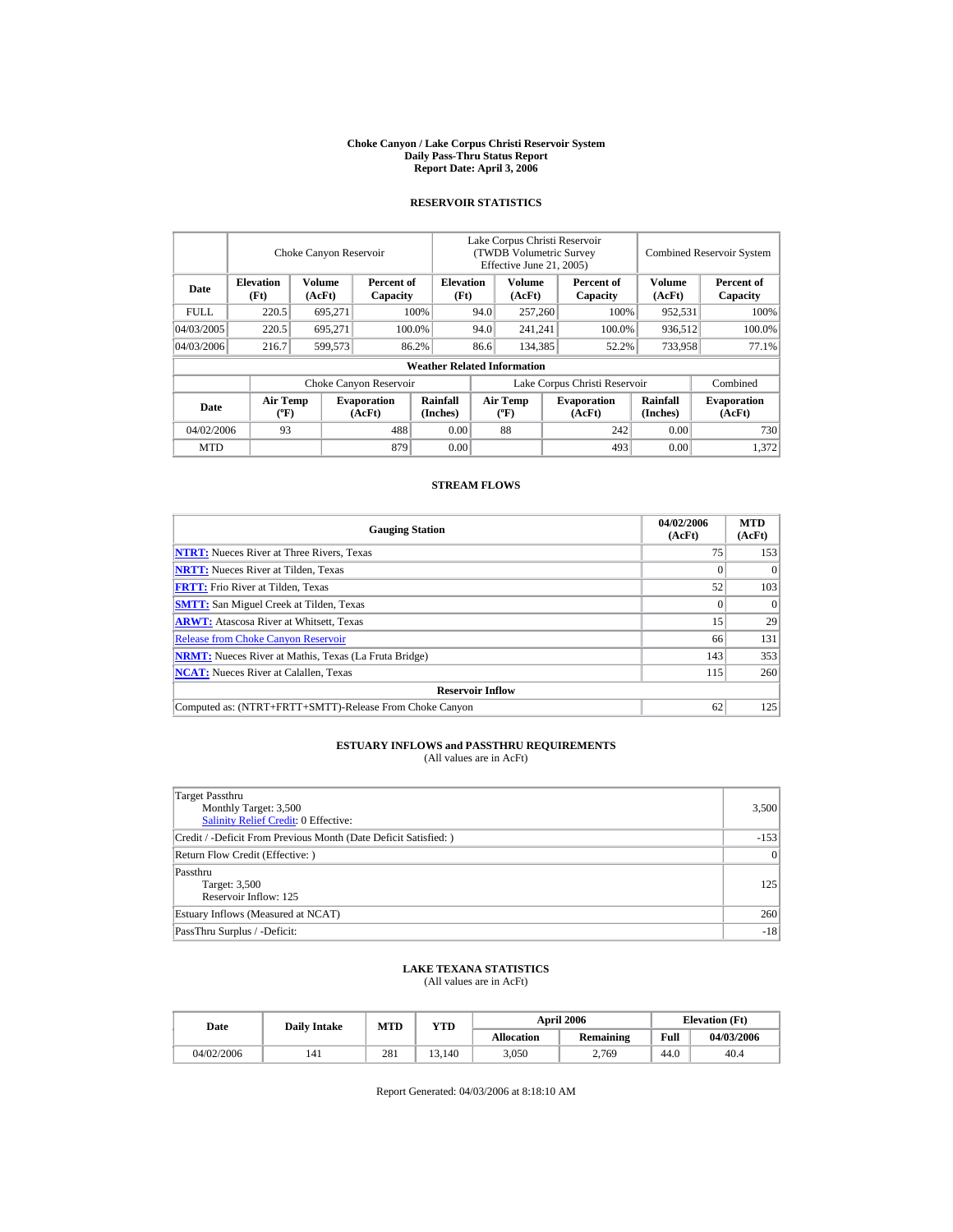#### **Choke Canyon / Lake Corpus Christi Reservoir System Daily Pass-Thru Status Report Report Date: April 3, 2006**

### **RESERVOIR STATISTICS**

|            | Choke Canyon Reservoir                                                                                                                  |                  |                        |                                    | Lake Corpus Christi Reservoir<br>(TWDB Volumetric Survey<br>Effective June 21, 2005) |                                            |                              |                  | <b>Combined Reservoir System</b> |          |  |
|------------|-----------------------------------------------------------------------------------------------------------------------------------------|------------------|------------------------|------------------------------------|--------------------------------------------------------------------------------------|--------------------------------------------|------------------------------|------------------|----------------------------------|----------|--|
| Date       | <b>Elevation</b><br>(Ft)                                                                                                                | Volume<br>(AcFt) | Percent of<br>Capacity | <b>Elevation</b><br>(Ft)           |                                                                                      | Volume<br>Percent of<br>(AcFt)<br>Capacity |                              | Volume<br>(AcFt) | Percent of<br>Capacity           |          |  |
| FULL.      | 220.5                                                                                                                                   | 695,271          |                        | 100%                               | 94.0                                                                                 | 257,260                                    |                              | 100%             | 952,531                          | 100%     |  |
| 04/03/2005 | 220.5                                                                                                                                   | 695.271          |                        | 100.0%                             | 94.0                                                                                 | 241,241                                    |                              | 100.0%           | 936,512                          | 100.0%   |  |
| 04/03/2006 | 216.7                                                                                                                                   | 599.573<br>86.2% |                        |                                    | 86.6                                                                                 | 134.385                                    |                              | 52.2%            | 733,958                          | 77.1%    |  |
|            |                                                                                                                                         |                  |                        | <b>Weather Related Information</b> |                                                                                      |                                            |                              |                  |                                  |          |  |
|            |                                                                                                                                         |                  | Choke Canyon Reservoir |                                    | Lake Corpus Christi Reservoir                                                        |                                            |                              |                  |                                  | Combined |  |
| Date       | Rainfall<br><b>Air Temp</b><br><b>Air Temp</b><br><b>Evaporation</b><br>$({}^{\circ}\mathrm{F})$<br>(AcFt)<br>(Inches)<br>$(^{\circ}F)$ |                  |                        |                                    | <b>Evaporation</b><br>(AcFt)                                                         | <b>Rainfall</b><br>(Inches)                | <b>Evaporation</b><br>(AcFt) |                  |                                  |          |  |
| 04/02/2006 | 93                                                                                                                                      |                  | 488                    | 0.00                               |                                                                                      | 88                                         |                              | 242              | 0.00                             | 730      |  |
| <b>MTD</b> |                                                                                                                                         |                  | 879                    | 0.00                               |                                                                                      |                                            |                              | 493              | 0.00                             | 1.372    |  |

### **STREAM FLOWS**

| <b>Gauging Station</b>                                       | 04/02/2006<br>(AcFt) | <b>MTD</b><br>(AcFt) |
|--------------------------------------------------------------|----------------------|----------------------|
| <b>NTRT:</b> Nueces River at Three Rivers, Texas             | 75                   | 153                  |
| <b>NRTT:</b> Nueces River at Tilden, Texas                   |                      | $\Omega$             |
| <b>FRTT:</b> Frio River at Tilden, Texas                     | 52                   | 103                  |
| <b>SMTT:</b> San Miguel Creek at Tilden, Texas               |                      | $\Omega$             |
| <b>ARWT:</b> Atascosa River at Whitsett, Texas               | 15                   | 29                   |
| <b>Release from Choke Canyon Reservoir</b>                   | 66                   | 131                  |
| <b>NRMT:</b> Nueces River at Mathis, Texas (La Fruta Bridge) | 143                  | 353                  |
| <b>NCAT:</b> Nueces River at Calallen, Texas                 | 115                  | 260                  |
| <b>Reservoir Inflow</b>                                      |                      |                      |
| Computed as: (NTRT+FRTT+SMTT)-Release From Choke Canyon      | 62                   | 125                  |

# **ESTUARY INFLOWS and PASSTHRU REQUIREMENTS**<br>(All values are in AcFt)

| Target Passthru<br>Monthly Target: 3,500<br><b>Salinity Relief Credit: 0 Effective:</b> | 3,500     |
|-----------------------------------------------------------------------------------------|-----------|
| Credit / -Deficit From Previous Month (Date Deficit Satisfied:)                         | $-153$    |
| Return Flow Credit (Effective: )                                                        | $\vert$ 0 |
| Passthru<br>Target: 3,500<br>Reservoir Inflow: 125                                      | 125       |
| Estuary Inflows (Measured at NCAT)                                                      | 260       |
| PassThru Surplus / -Deficit:                                                            | $-18$     |

## **LAKE TEXANA STATISTICS**

(All values are in AcFt)

| Date       | <b>Daily Intake</b> | MTD | YTD    |                   | <b>April 2006</b> | <b>Elevation</b> (Ft) |            |
|------------|---------------------|-----|--------|-------------------|-------------------|-----------------------|------------|
|            |                     |     |        | <b>Allocation</b> | Remaining         | Full                  | 04/03/2006 |
| 04/02/2006 | 141                 | 281 | 13.140 | 3.050             | 2.769             | 44.0                  | 40.4       |

Report Generated: 04/03/2006 at 8:18:10 AM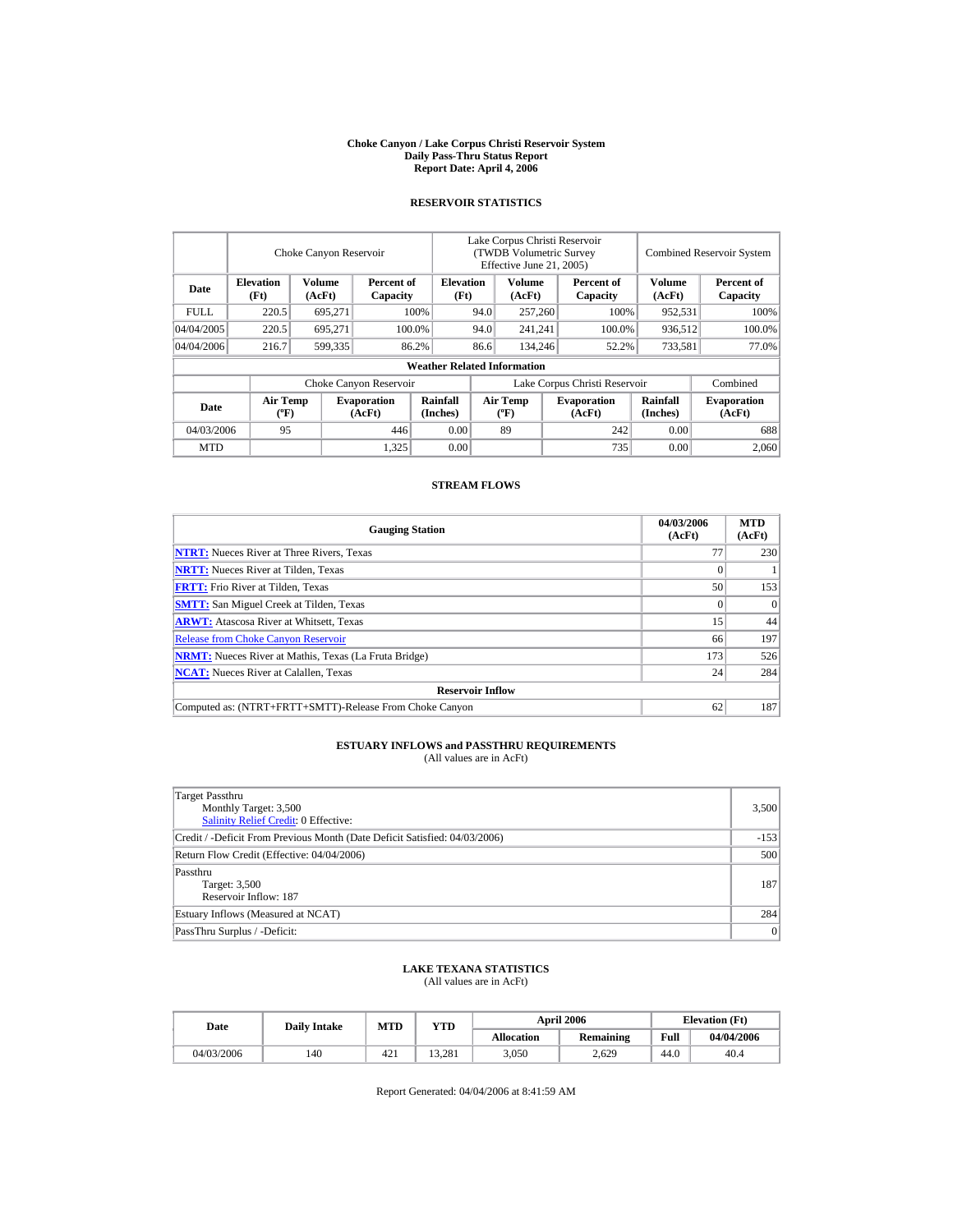#### **Choke Canyon / Lake Corpus Christi Reservoir System Daily Pass-Thru Status Report Report Date: April 4, 2006**

### **RESERVOIR STATISTICS**

|            |                                             | Choke Canyon Reservoir |                              |                                    | Lake Corpus Christi Reservoir<br>(TWDB Volumetric Survey<br>Effective June 21, 2005) |                                  |  |                              |                             | <b>Combined Reservoir System</b> |
|------------|---------------------------------------------|------------------------|------------------------------|------------------------------------|--------------------------------------------------------------------------------------|----------------------------------|--|------------------------------|-----------------------------|----------------------------------|
| Date       | <b>Elevation</b><br>(Ft)                    | Volume<br>(AcFt)       | Percent of<br>Capacity       | <b>Elevation</b><br>(Ft)           |                                                                                      | Volume<br>(AcFt)                 |  | Percent of<br>Capacity       | Volume<br>(AcFt)            | Percent of<br>Capacity           |
| FULL.      | 220.5                                       | 695,271                |                              | 100%                               | 94.0                                                                                 | 257,260                          |  | 100%                         | 952,531                     | 100%                             |
| 04/04/2005 | 220.5                                       | 695.271                |                              | 100.0%                             | 94.0                                                                                 | 241,241                          |  | 100.0%                       | 936,512                     | 100.0%                           |
| 04/04/2006 | 216.7                                       | 599,335                |                              | 86.2%                              | 86.6                                                                                 | 134,246                          |  | 52.2%                        | 733,581                     | 77.0%                            |
|            |                                             |                        |                              | <b>Weather Related Information</b> |                                                                                      |                                  |  |                              |                             |                                  |
|            |                                             |                        | Choke Canyon Reservoir       |                                    | Lake Corpus Christi Reservoir                                                        |                                  |  |                              |                             | Combined                         |
| Date       | <b>Air Temp</b><br>$({}^{\circ}\mathrm{F})$ |                        | <b>Evaporation</b><br>(AcFt) | Rainfall<br>(Inches)               |                                                                                      | <b>Air Temp</b><br>$(^{\circ}F)$ |  | <b>Evaporation</b><br>(AcFt) | <b>Rainfall</b><br>(Inches) | <b>Evaporation</b><br>(AcFt)     |
| 04/03/2006 | 95                                          |                        | 446                          | 0.00                               |                                                                                      | 89                               |  | 242                          | 0.00                        | 688                              |
| <b>MTD</b> |                                             |                        | 1,325                        | 0.00                               |                                                                                      |                                  |  | 735                          | 0.00                        | 2.060                            |

### **STREAM FLOWS**

| <b>Gauging Station</b>                                       | 04/03/2006<br>(AcFt) | <b>MTD</b><br>(AcFt) |
|--------------------------------------------------------------|----------------------|----------------------|
| <b>NTRT:</b> Nueces River at Three Rivers, Texas             | 77                   | 230                  |
| <b>NRTT:</b> Nueces River at Tilden, Texas                   |                      |                      |
| <b>FRTT:</b> Frio River at Tilden, Texas                     | 50                   | 153                  |
| <b>SMTT:</b> San Miguel Creek at Tilden, Texas               |                      | $\Omega$             |
| <b>ARWT:</b> Atascosa River at Whitsett, Texas               | 15                   | 44                   |
| <b>Release from Choke Canyon Reservoir</b>                   | 66                   | 197                  |
| <b>NRMT:</b> Nueces River at Mathis, Texas (La Fruta Bridge) | 173                  | 526                  |
| <b>NCAT:</b> Nueces River at Calallen, Texas                 | 24                   | 284                  |
| <b>Reservoir Inflow</b>                                      |                      |                      |
| Computed as: (NTRT+FRTT+SMTT)-Release From Choke Canyon      | 62                   | 187                  |

# **ESTUARY INFLOWS and PASSTHRU REQUIREMENTS**<br>(All values are in AcFt)

| Target Passthru<br>Monthly Target: 3,500<br><b>Salinity Relief Credit: 0 Effective:</b> | 3,500  |
|-----------------------------------------------------------------------------------------|--------|
| Credit / -Deficit From Previous Month (Date Deficit Satisfied: 04/03/2006)              | $-153$ |
| Return Flow Credit (Effective: 04/04/2006)                                              | 500    |
| Passthru<br>Target: 3,500<br>Reservoir Inflow: 187                                      | 187    |
| Estuary Inflows (Measured at NCAT)                                                      | 284    |
| PassThru Surplus / -Deficit:                                                            | 0      |

## **LAKE TEXANA STATISTICS**

(All values are in AcFt)

| Date       | <b>Daily Intake</b> | <b>MTD</b> | YTD    |                   | <b>April 2006</b> | <b>Elevation</b> (Ft) |            |
|------------|---------------------|------------|--------|-------------------|-------------------|-----------------------|------------|
|            |                     |            |        | <b>Allocation</b> | <b>Remaining</b>  | Full                  | 04/04/2006 |
| 04/03/2006 | 140                 | 421        | 13.281 | 3.050             | 2.629             | 44.0                  | 40.4       |

Report Generated: 04/04/2006 at 8:41:59 AM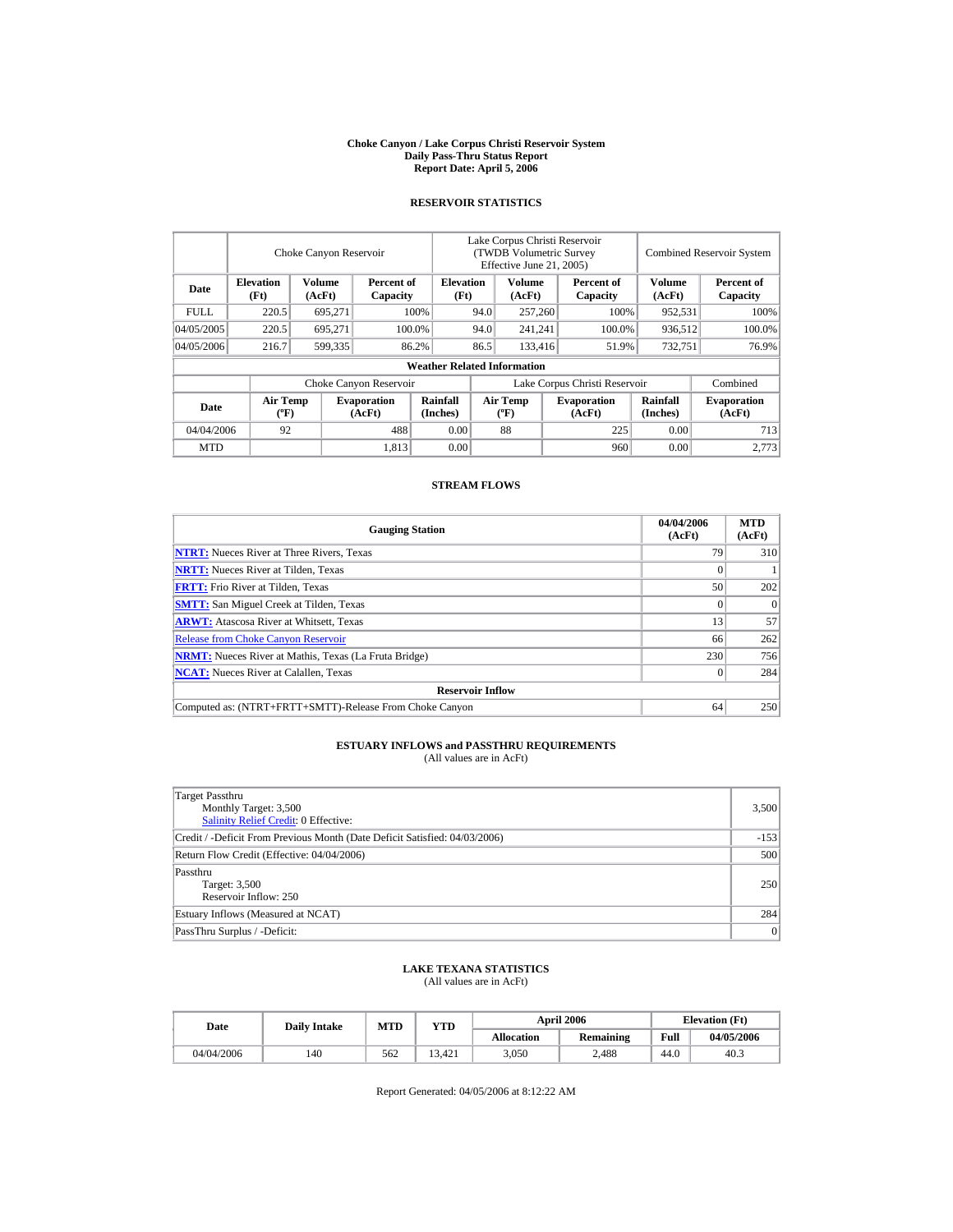#### **Choke Canyon / Lake Corpus Christi Reservoir System Daily Pass-Thru Status Report Report Date: April 5, 2006**

### **RESERVOIR STATISTICS**

|            |                                             | Choke Canyon Reservoir |                              |                                    | Lake Corpus Christi Reservoir<br>(TWDB Volumetric Survey<br>Effective June 21, 2005) |                                  |  |                              |                             | <b>Combined Reservoir System</b> |
|------------|---------------------------------------------|------------------------|------------------------------|------------------------------------|--------------------------------------------------------------------------------------|----------------------------------|--|------------------------------|-----------------------------|----------------------------------|
| Date       | <b>Elevation</b><br>(Ft)                    | Volume<br>(AcFt)       | Percent of<br>Capacity       | <b>Elevation</b><br>(Ft)           |                                                                                      | Volume<br>(AcFt)                 |  | Percent of<br>Capacity       | Volume<br>(AcFt)            | Percent of<br>Capacity           |
| FULL.      | 220.5                                       | 695,271                |                              | 100%                               | 94.0                                                                                 | 257,260                          |  | 100%                         | 952,531                     | 100%                             |
| 04/05/2005 | 220.5                                       | 695.271                |                              | 100.0%                             | 94.0                                                                                 | 241,241                          |  | 100.0%                       | 936,512                     | 100.0%                           |
| 04/05/2006 | 216.7                                       | 599,335                |                              | 86.2%                              | 86.5                                                                                 | 133,416                          |  | 51.9%                        | 732.751                     | 76.9%                            |
|            |                                             |                        |                              | <b>Weather Related Information</b> |                                                                                      |                                  |  |                              |                             |                                  |
|            |                                             |                        | Choke Canyon Reservoir       |                                    | Lake Corpus Christi Reservoir                                                        |                                  |  |                              |                             | Combined                         |
| Date       | <b>Air Temp</b><br>$({}^{\circ}\mathrm{F})$ |                        | <b>Evaporation</b><br>(AcFt) | Rainfall<br>(Inches)               |                                                                                      | <b>Air Temp</b><br>$(^{\circ}F)$ |  | <b>Evaporation</b><br>(AcFt) | <b>Rainfall</b><br>(Inches) | <b>Evaporation</b><br>(AcFt)     |
| 04/04/2006 | 92                                          |                        | 488                          | 0.00                               |                                                                                      | 88                               |  | 225                          | 0.00                        | 713                              |
| <b>MTD</b> |                                             |                        | 1.813                        | 0.00                               |                                                                                      |                                  |  | 960                          | 0.00                        | 2.773                            |

### **STREAM FLOWS**

| <b>Gauging Station</b>                                       | 04/04/2006<br>(AcFt) | <b>MTD</b><br>(AcFt) |
|--------------------------------------------------------------|----------------------|----------------------|
| <b>NTRT:</b> Nueces River at Three Rivers, Texas             | 79                   | 310                  |
| <b>NRTT:</b> Nueces River at Tilden, Texas                   |                      |                      |
| <b>FRTT:</b> Frio River at Tilden, Texas                     | 50                   | 202                  |
| <b>SMTT:</b> San Miguel Creek at Tilden, Texas               | $\Omega$             | $\Omega$             |
| <b>ARWT:</b> Atascosa River at Whitsett, Texas               | 13                   | 57                   |
| <b>Release from Choke Canyon Reservoir</b>                   | 66                   | 262                  |
| <b>NRMT:</b> Nueces River at Mathis, Texas (La Fruta Bridge) | 230                  | 756                  |
| <b>NCAT:</b> Nueces River at Calallen, Texas                 | 0                    | 284                  |
| <b>Reservoir Inflow</b>                                      |                      |                      |
| Computed as: (NTRT+FRTT+SMTT)-Release From Choke Canyon      | 64                   | 250                  |

# **ESTUARY INFLOWS and PASSTHRU REQUIREMENTS**<br>(All values are in AcFt)

| Target Passthru<br>Monthly Target: 3,500<br>Salinity Relief Credit: 0 Effective: | 3,500  |
|----------------------------------------------------------------------------------|--------|
| Credit / -Deficit From Previous Month (Date Deficit Satisfied: 04/03/2006)       | $-153$ |
| Return Flow Credit (Effective: 04/04/2006)                                       | 500    |
| Passthru<br>Target: 3,500<br>Reservoir Inflow: 250                               | 250    |
| Estuary Inflows (Measured at NCAT)                                               | 284    |
| PassThru Surplus / -Deficit:                                                     | 0      |

## **LAKE TEXANA STATISTICS**

(All values are in AcFt)

| Date       | <b>Daily Intake</b> | MTD | YTD    |                   | <b>April 2006</b> | <b>Elevation</b> (Ft) |            |
|------------|---------------------|-----|--------|-------------------|-------------------|-----------------------|------------|
|            |                     |     |        | <b>Allocation</b> | Remaining         | Full                  | 04/05/2006 |
| 04/04/2006 | 140                 | 562 | 13.421 | 3.050             | 2.488             | 44.0                  | 40.3       |

Report Generated: 04/05/2006 at 8:12:22 AM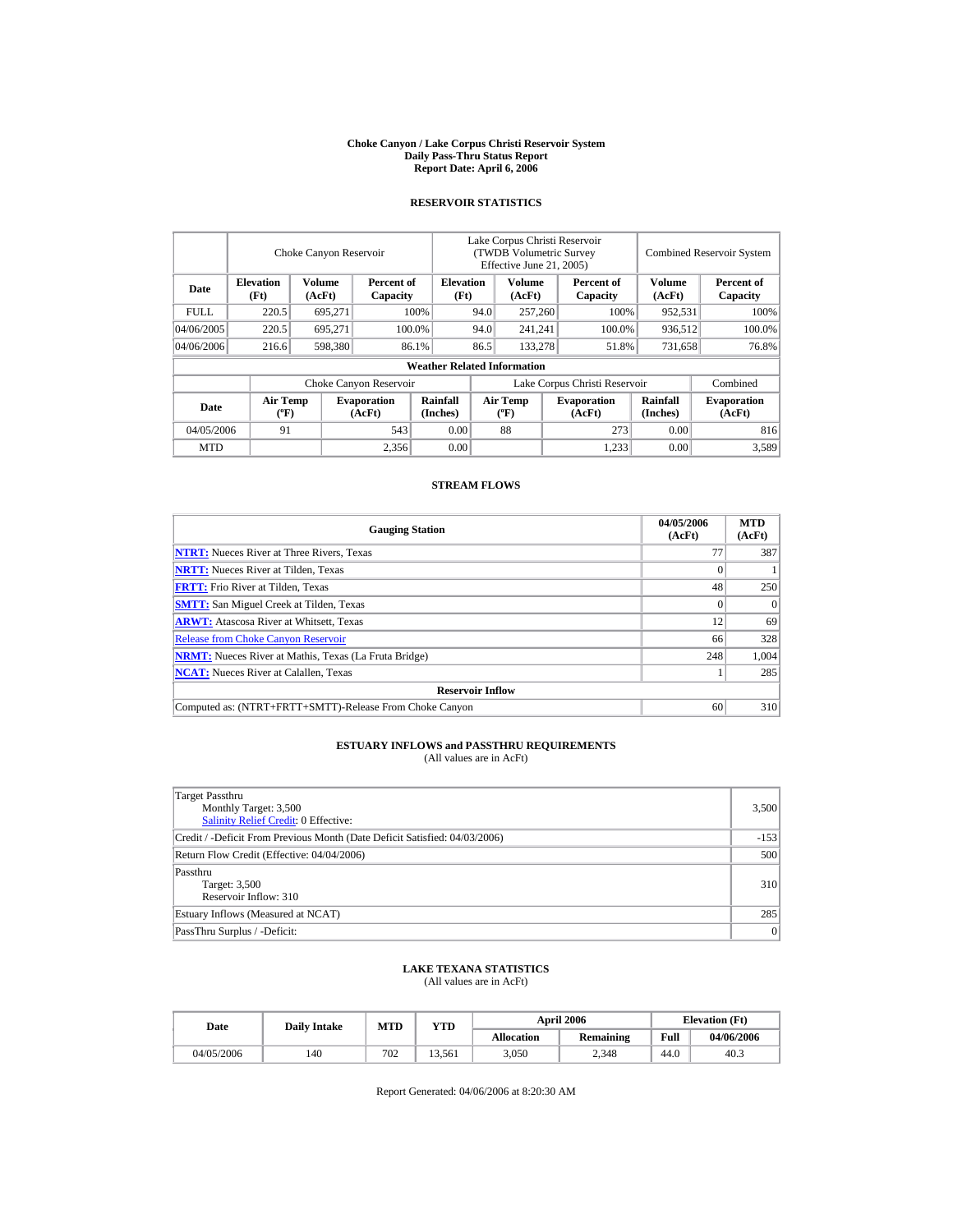#### **Choke Canyon / Lake Corpus Christi Reservoir System Daily Pass-Thru Status Report Report Date: April 6, 2006**

### **RESERVOIR STATISTICS**

|            |                                             | Choke Canyon Reservoir |                              |                                    | Lake Corpus Christi Reservoir<br>(TWDB Volumetric Survey<br>Effective June 21, 2005) |                                  |  |                              |                             | <b>Combined Reservoir System</b> |
|------------|---------------------------------------------|------------------------|------------------------------|------------------------------------|--------------------------------------------------------------------------------------|----------------------------------|--|------------------------------|-----------------------------|----------------------------------|
| Date       | <b>Elevation</b><br>(Ft)                    | Volume<br>(AcFt)       | Percent of<br>Capacity       | <b>Elevation</b><br>(Ft)           |                                                                                      | Volume<br>(AcFt)                 |  | Percent of<br>Capacity       | Volume<br>(AcFt)            | Percent of<br>Capacity           |
| FULL.      | 220.5                                       | 695,271                |                              | 100%                               | 94.0                                                                                 | 257,260                          |  | 100%                         | 952,531                     | 100%                             |
| 04/06/2005 | 220.5                                       | 695,271                |                              | 100.0%                             | 94.0                                                                                 | 241,241                          |  | 100.0%                       | 936,512                     | 100.0%                           |
| 04/06/2006 | 216.6                                       | 598,380                |                              | 86.1%                              | 86.5                                                                                 | 133,278                          |  | 51.8%                        | 731,658                     | 76.8%                            |
|            |                                             |                        |                              | <b>Weather Related Information</b> |                                                                                      |                                  |  |                              |                             |                                  |
|            |                                             |                        | Choke Canyon Reservoir       |                                    | Lake Corpus Christi Reservoir                                                        |                                  |  |                              |                             | Combined                         |
| Date       | <b>Air Temp</b><br>$({}^{\circ}\mathrm{F})$ |                        | <b>Evaporation</b><br>(AcFt) | Rainfall<br>(Inches)               |                                                                                      | <b>Air Temp</b><br>$(^{\circ}F)$ |  | <b>Evaporation</b><br>(AcFt) | <b>Rainfall</b><br>(Inches) | <b>Evaporation</b><br>(AcFt)     |
| 04/05/2006 | 91                                          |                        | 543                          | 0.00                               |                                                                                      | 88                               |  | 273                          | 0.00                        | 816                              |
| <b>MTD</b> |                                             |                        | 2,356                        | 0.00                               |                                                                                      |                                  |  | 1,233                        | 0.00                        | 3,589                            |

### **STREAM FLOWS**

| <b>Gauging Station</b>                                       | 04/05/2006<br>(AcFt) | <b>MTD</b><br>(AcFt) |
|--------------------------------------------------------------|----------------------|----------------------|
| <b>NTRT:</b> Nueces River at Three Rivers, Texas             | 7 <sub>1</sub>       | 387                  |
| <b>NRTT:</b> Nueces River at Tilden, Texas                   |                      |                      |
| <b>FRTT:</b> Frio River at Tilden, Texas                     | 48                   | 250                  |
| <b>SMTT:</b> San Miguel Creek at Tilden, Texas               | $^{(1)}$             | $\Omega$             |
| <b>ARWT:</b> Atascosa River at Whitsett, Texas               | 12                   | 69                   |
| <b>Release from Choke Canyon Reservoir</b>                   | 66                   | 328                  |
| <b>NRMT:</b> Nueces River at Mathis, Texas (La Fruta Bridge) | 248                  | 1,004                |
| <b>NCAT:</b> Nueces River at Calallen, Texas                 |                      | 285                  |
| <b>Reservoir Inflow</b>                                      |                      |                      |
| Computed as: (NTRT+FRTT+SMTT)-Release From Choke Canyon      | 60                   | 310                  |

# **ESTUARY INFLOWS and PASSTHRU REQUIREMENTS**<br>(All values are in AcFt)

| Target Passthru<br>Monthly Target: 3,500<br>Salinity Relief Credit: 0 Effective: | 3,500  |
|----------------------------------------------------------------------------------|--------|
| Credit / -Deficit From Previous Month (Date Deficit Satisfied: 04/03/2006)       | $-153$ |
| Return Flow Credit (Effective: 04/04/2006)                                       | 500    |
| Passthru<br>Target: 3,500<br>Reservoir Inflow: 310                               | 310    |
| Estuary Inflows (Measured at NCAT)                                               | 285    |
| PassThru Surplus / -Deficit:                                                     | 0      |

## **LAKE TEXANA STATISTICS**

(All values are in AcFt)

| Date       | <b>Daily Intake</b> | <b>MTD</b> | YTD    |                   | <b>April 2006</b> | <b>Elevation</b> (Ft) |            |
|------------|---------------------|------------|--------|-------------------|-------------------|-----------------------|------------|
|            |                     |            |        | <b>Allocation</b> | Remaining         | Full                  | 04/06/2006 |
| 04/05/2006 | 140                 | 702        | 13.561 | 3.050             | 2.348             | 44.0                  | 40.3       |

Report Generated: 04/06/2006 at 8:20:30 AM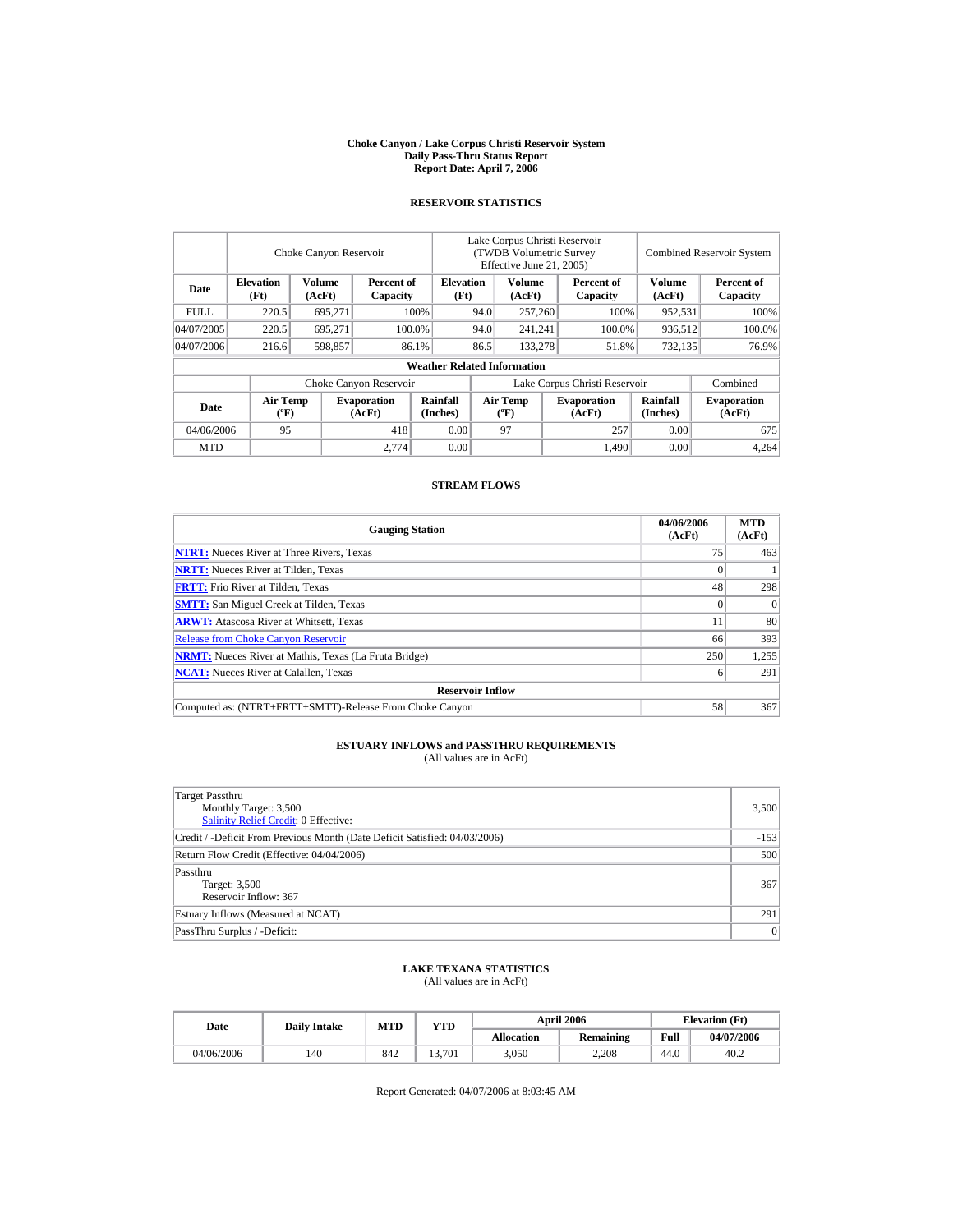#### **Choke Canyon / Lake Corpus Christi Reservoir System Daily Pass-Thru Status Report Report Date: April 7, 2006**

### **RESERVOIR STATISTICS**

|             |                                      | Choke Canyon Reservoir |                              | Lake Corpus Christi Reservoir<br>(TWDB Volumetric Survey<br>Effective June 21, 2005) |                               |                                          |                                            | <b>Combined Reservoir System</b> |                             |                              |
|-------------|--------------------------------------|------------------------|------------------------------|--------------------------------------------------------------------------------------|-------------------------------|------------------------------------------|--------------------------------------------|----------------------------------|-----------------------------|------------------------------|
| Date        | <b>Elevation</b><br>(Ft)             | Volume<br>(AcFt)       | Percent of<br>Capacity       | <b>Elevation</b><br>(Ft)                                                             |                               |                                          | Volume<br>Percent of<br>(AcFt)<br>Capacity |                                  | <b>Volume</b><br>(AcFt)     | Percent of<br>Capacity       |
| <b>FULL</b> | 220.5                                | 695,271                |                              | 100%                                                                                 | 94.0                          | 257,260                                  |                                            | 100%                             | 952,531                     | 100%                         |
| 04/07/2005  | 220.5                                | 695,271                |                              | 100.0%                                                                               | 94.0                          | 241.241                                  |                                            | 100.0%                           | 936,512                     | 100.0%                       |
| 04/07/2006  | 216.6                                | 598,857                |                              | 86.1%                                                                                | 86.5                          | 133,278                                  |                                            | 51.8%                            | 732,135                     | 76.9%                        |
|             |                                      |                        |                              | <b>Weather Related Information</b>                                                   |                               |                                          |                                            |                                  |                             |                              |
|             |                                      |                        | Choke Canyon Reservoir       |                                                                                      | Lake Corpus Christi Reservoir |                                          |                                            |                                  |                             | Combined                     |
| Date        | Air Temp<br>$({}^{\circ}\mathrm{F})$ |                        | <b>Evaporation</b><br>(AcFt) | <b>Rainfall</b><br>(Inches)                                                          |                               | <b>Air Temp</b><br>$({}^{\circ}{\rm F})$ |                                            | <b>Evaporation</b><br>(AcFt)     | <b>Rainfall</b><br>(Inches) | <b>Evaporation</b><br>(AcFt) |
| 04/06/2006  | 95                                   |                        | 418                          | 0.00                                                                                 |                               | 97                                       |                                            | 257                              | 0.00                        | 675                          |
| <b>MTD</b>  |                                      |                        | 2.774                        | 0.00                                                                                 |                               |                                          |                                            | 1,490                            | 0.00                        | 4.264                        |

### **STREAM FLOWS**

| <b>Gauging Station</b>                                       | 04/06/2006<br>(AcFt) | <b>MTD</b><br>(AcFt) |
|--------------------------------------------------------------|----------------------|----------------------|
| <b>NTRT:</b> Nueces River at Three Rivers, Texas             | 75                   | 463                  |
| <b>NRTT:</b> Nueces River at Tilden, Texas                   |                      |                      |
| <b>FRTT:</b> Frio River at Tilden, Texas                     | 48                   | 298                  |
| <b>SMTT:</b> San Miguel Creek at Tilden, Texas               |                      | $\Omega$             |
| <b>ARWT:</b> Atascosa River at Whitsett, Texas               | 11                   | 80                   |
| <b>Release from Choke Canyon Reservoir</b>                   | 66                   | 393                  |
| <b>NRMT:</b> Nueces River at Mathis, Texas (La Fruta Bridge) | 250                  | 1,255                |
| <b>NCAT:</b> Nueces River at Calallen, Texas                 | h                    | 291                  |
| <b>Reservoir Inflow</b>                                      |                      |                      |
| Computed as: (NTRT+FRTT+SMTT)-Release From Choke Canyon      | 58                   | 367                  |

# **ESTUARY INFLOWS and PASSTHRU REQUIREMENTS**<br>(All values are in AcFt)

| Target Passthru<br>Monthly Target: 3,500<br><b>Salinity Relief Credit: 0 Effective:</b> | 3,500  |
|-----------------------------------------------------------------------------------------|--------|
| Credit / -Deficit From Previous Month (Date Deficit Satisfied: 04/03/2006)              | $-153$ |
| Return Flow Credit (Effective: 04/04/2006)                                              | 500    |
| Passthru<br>Target: 3,500<br>Reservoir Inflow: 367                                      | 367    |
| Estuary Inflows (Measured at NCAT)                                                      | 291    |
| PassThru Surplus / -Deficit:                                                            | 0      |

## **LAKE TEXANA STATISTICS**

(All values are in AcFt)

| Date       | <b>Daily Intake</b> | <b>MTD</b> | <b>VTD</b> |            | <b>April 2006</b> | <b>Elevation</b> (Ft) |            |
|------------|---------------------|------------|------------|------------|-------------------|-----------------------|------------|
|            |                     |            |            | Allocation | <b>Remaining</b>  | Full                  | 04/07/2006 |
| 04/06/2006 | 140                 | 842        | 13.701     | 3,050      | 2.208             | 44.0                  | 40.2       |

Report Generated: 04/07/2006 at 8:03:45 AM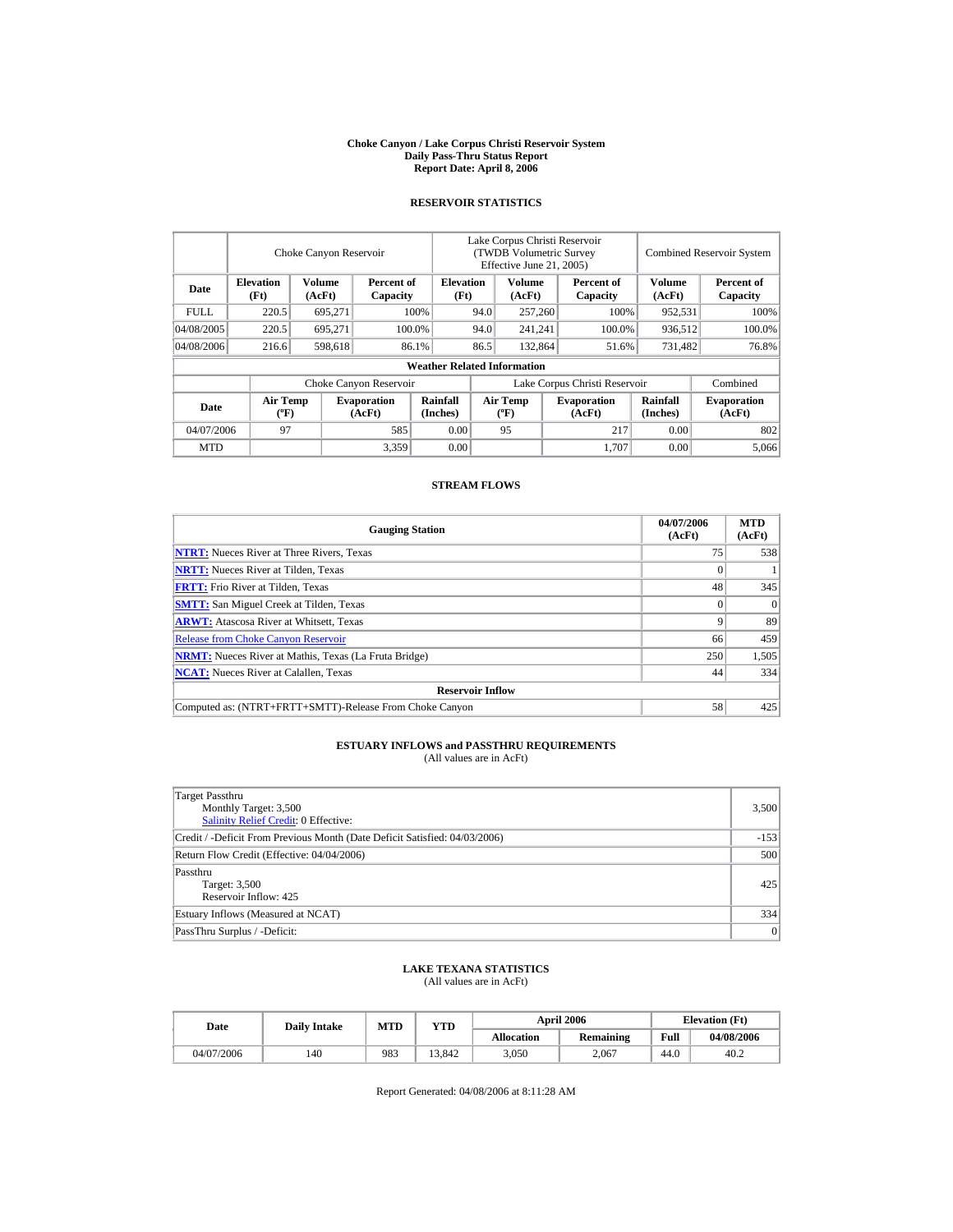#### **Choke Canyon / Lake Corpus Christi Reservoir System Daily Pass-Thru Status Report Report Date: April 8, 2006**

### **RESERVOIR STATISTICS**

|            | Choke Canyon Reservoir                      |                  |                              |                                    | Lake Corpus Christi Reservoir<br>(TWDB Volumetric Survey<br>Effective June 21, 2005) |                                  |                              |                        | <b>Combined Reservoir System</b> |                              |
|------------|---------------------------------------------|------------------|------------------------------|------------------------------------|--------------------------------------------------------------------------------------|----------------------------------|------------------------------|------------------------|----------------------------------|------------------------------|
| Date       | <b>Elevation</b><br>(Ft)                    | Volume<br>(AcFt) | Percent of<br>Capacity       | <b>Elevation</b><br>(Ft)           |                                                                                      | Volume<br>(AcFt)                 |                              | Percent of<br>Capacity | Volume<br>(AcFt)                 | Percent of<br>Capacity       |
| FULL.      | 220.5                                       | 695,271          |                              | 100%                               | 94.0                                                                                 | 257,260                          |                              | 100%                   | 952,531                          | 100%                         |
| 04/08/2005 | 220.5                                       | 695.271          |                              | 100.0%                             | 94.0                                                                                 | 241,241                          |                              | 100.0%                 | 936,512                          | 100.0%                       |
| 04/08/2006 | 216.6                                       | 598,618          |                              | 86.1%                              | 86.5                                                                                 | 132,864                          |                              | 51.6%                  | 731,482                          | 76.8%                        |
|            |                                             |                  |                              | <b>Weather Related Information</b> |                                                                                      |                                  |                              |                        |                                  |                              |
|            |                                             |                  | Choke Canyon Reservoir       |                                    | Lake Corpus Christi Reservoir                                                        |                                  |                              |                        |                                  | Combined                     |
| Date       | <b>Air Temp</b><br>$({}^{\circ}\mathrm{F})$ |                  | <b>Evaporation</b><br>(AcFt) | Rainfall<br>(Inches)               |                                                                                      | <b>Air Temp</b><br>$(^{\circ}F)$ | <b>Evaporation</b><br>(AcFt) |                        | <b>Rainfall</b><br>(Inches)      | <b>Evaporation</b><br>(AcFt) |
| 04/07/2006 | 97                                          |                  | 585                          | 0.00                               |                                                                                      | 95                               |                              | 217                    | 0.00                             | 802                          |
| <b>MTD</b> |                                             |                  | 3,359                        | 0.00                               |                                                                                      |                                  |                              | 1,707                  | 0.00                             | 5.066                        |

### **STREAM FLOWS**

| <b>Gauging Station</b>                                       | 04/07/2006<br>(AcFt) | <b>MTD</b><br>(AcFt) |
|--------------------------------------------------------------|----------------------|----------------------|
| <b>NTRT:</b> Nueces River at Three Rivers, Texas             | 75                   | 538                  |
| <b>NRTT:</b> Nueces River at Tilden, Texas                   |                      |                      |
| <b>FRTT:</b> Frio River at Tilden, Texas                     | 48                   | 345                  |
| <b>SMTT:</b> San Miguel Creek at Tilden, Texas               | $\Omega$             | $\Omega$             |
| <b>ARWT:</b> Atascosa River at Whitsett, Texas               | Q                    | 89                   |
| <b>Release from Choke Canyon Reservoir</b>                   | 66                   | 459                  |
| <b>NRMT:</b> Nueces River at Mathis, Texas (La Fruta Bridge) | 250                  | 1,505                |
| <b>NCAT:</b> Nueces River at Calallen, Texas                 | 44                   | 334                  |
| <b>Reservoir Inflow</b>                                      |                      |                      |
| Computed as: (NTRT+FRTT+SMTT)-Release From Choke Canyon      | 58                   | 425                  |

# **ESTUARY INFLOWS and PASSTHRU REQUIREMENTS**<br>(All values are in AcFt)

| Target Passthru<br>Monthly Target: 3,500<br>Salinity Relief Credit: 0 Effective: | 3,500  |
|----------------------------------------------------------------------------------|--------|
| Credit / -Deficit From Previous Month (Date Deficit Satisfied: 04/03/2006)       | $-153$ |
| Return Flow Credit (Effective: 04/04/2006)                                       | 500    |
| Passthru<br>Target: 3,500<br>Reservoir Inflow: 425                               | 425    |
| Estuary Inflows (Measured at NCAT)                                               | 334    |
| PassThru Surplus / -Deficit:                                                     | 0      |

## **LAKE TEXANA STATISTICS**

(All values are in AcFt)

| Date       | <b>Daily Intake</b> | <b>MTD</b> | YTD    |                   | <b>April 2006</b> | <b>Elevation</b> (Ft) |            |
|------------|---------------------|------------|--------|-------------------|-------------------|-----------------------|------------|
|            |                     |            |        | <b>Allocation</b> | Remaining         | Full                  | 04/08/2006 |
| 04/07/2006 | 140                 | 983        | 13.842 | 3.050             | 2.067             | 44.0                  | 40.2       |

Report Generated: 04/08/2006 at 8:11:28 AM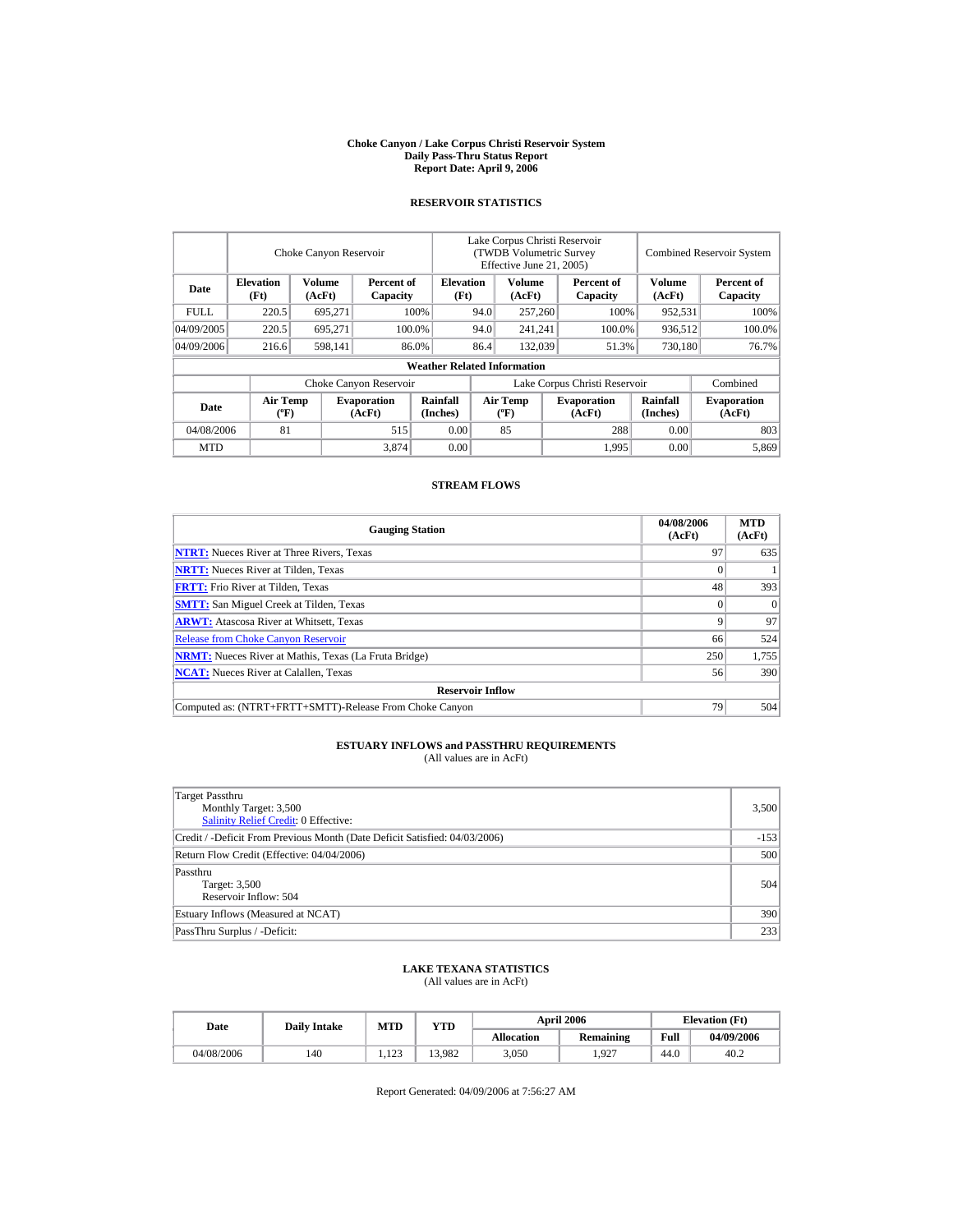#### **Choke Canyon / Lake Corpus Christi Reservoir System Daily Pass-Thru Status Report Report Date: April 9, 2006**

### **RESERVOIR STATISTICS**

|            | Choke Canyon Reservoir                      |                  |                              |                                    | Lake Corpus Christi Reservoir<br>(TWDB Volumetric Survey<br>Effective June 21, 2005) |                                  |                        |                              |                             | <b>Combined Reservoir System</b> |  |  |
|------------|---------------------------------------------|------------------|------------------------------|------------------------------------|--------------------------------------------------------------------------------------|----------------------------------|------------------------|------------------------------|-----------------------------|----------------------------------|--|--|
| Date       | <b>Elevation</b><br>(Ft)                    | Volume<br>(AcFt) | Percent of<br>Capacity       | <b>Elevation</b><br>(Ft)           |                                                                                      | Volume<br>(AcFt)                 | Percent of<br>Capacity |                              | Volume<br>(AcFt)            | Percent of<br>Capacity           |  |  |
| FULL.      | 220.5                                       | 695,271          |                              | 100%                               | 94.0                                                                                 | 257,260                          |                        | 100%                         | 952,531                     | 100%                             |  |  |
| 04/09/2005 | 220.5                                       | 695,271          |                              | 100.0%                             | 94.0                                                                                 | 241,241                          |                        | 100.0%                       | 936,512                     | 100.0%                           |  |  |
| 04/09/2006 | 216.6                                       | 598,141          |                              | 86.0%                              | 86.4                                                                                 | 132,039                          |                        | 51.3%                        | 730,180                     | 76.7%                            |  |  |
|            |                                             |                  |                              | <b>Weather Related Information</b> |                                                                                      |                                  |                        |                              |                             |                                  |  |  |
|            |                                             |                  | Choke Canyon Reservoir       |                                    | Lake Corpus Christi Reservoir                                                        |                                  |                        |                              |                             | Combined                         |  |  |
| Date       | <b>Air Temp</b><br>$({}^{\circ}\mathrm{F})$ |                  | <b>Evaporation</b><br>(AcFt) | Rainfall<br>(Inches)               |                                                                                      | <b>Air Temp</b><br>$(^{\circ}F)$ |                        | <b>Evaporation</b><br>(AcFt) | <b>Rainfall</b><br>(Inches) | <b>Evaporation</b><br>(AcFt)     |  |  |
| 04/08/2006 | 81                                          |                  | 515                          | 0.00                               |                                                                                      | 85                               |                        | 288                          | 0.00                        | 803                              |  |  |
| <b>MTD</b> |                                             |                  | 3,874                        | 0.00                               |                                                                                      |                                  |                        | 1,995                        | 0.00                        | 5,869                            |  |  |

### **STREAM FLOWS**

| <b>Gauging Station</b>                                       | 04/08/2006<br>(AcFt) | <b>MTD</b><br>(AcFt) |
|--------------------------------------------------------------|----------------------|----------------------|
| <b>NTRT:</b> Nueces River at Three Rivers, Texas             | 97                   | 635                  |
| <b>NRTT:</b> Nueces River at Tilden, Texas                   |                      |                      |
| <b>FRTT:</b> Frio River at Tilden, Texas                     | 48                   | 393                  |
| <b>SMTT:</b> San Miguel Creek at Tilden, Texas               |                      | $\Omega$             |
| <b>ARWT:</b> Atascosa River at Whitsett, Texas               | Q                    | 97                   |
| <b>Release from Choke Canyon Reservoir</b>                   | 66                   | 524                  |
| <b>NRMT:</b> Nueces River at Mathis, Texas (La Fruta Bridge) | 250                  | 1,755                |
| <b>NCAT:</b> Nueces River at Calallen, Texas                 | 56                   | 390                  |
| <b>Reservoir Inflow</b>                                      |                      |                      |
| Computed as: (NTRT+FRTT+SMTT)-Release From Choke Canyon      | 79                   | 504                  |

# **ESTUARY INFLOWS and PASSTHRU REQUIREMENTS**<br>(All values are in AcFt)

| Target Passthru<br>Monthly Target: 3,500<br>Salinity Relief Credit: 0 Effective: | 3,500  |
|----------------------------------------------------------------------------------|--------|
| Credit / -Deficit From Previous Month (Date Deficit Satisfied: 04/03/2006)       | $-153$ |
| Return Flow Credit (Effective: 04/04/2006)                                       | 500    |
| Passthru<br>Target: 3,500<br>Reservoir Inflow: 504                               | 504    |
| Estuary Inflows (Measured at NCAT)                                               | 390    |
| PassThru Surplus / -Deficit:                                                     | 233    |

## **LAKE TEXANA STATISTICS**

(All values are in AcFt)

| Date       | <b>Daily Intake</b> | MTD            | YTD    |                   | <b>April 2006</b> | <b>Elevation</b> (Ft) |            |
|------------|---------------------|----------------|--------|-------------------|-------------------|-----------------------|------------|
|            |                     |                |        | <b>Allocation</b> | <b>Remaining</b>  | Full                  | 04/09/2006 |
| 04/08/2006 | 140                 | 122<br>ل ش∡لید | 13.982 | 3.050             | .927              | 44.0                  | 40.2       |

Report Generated: 04/09/2006 at 7:56:27 AM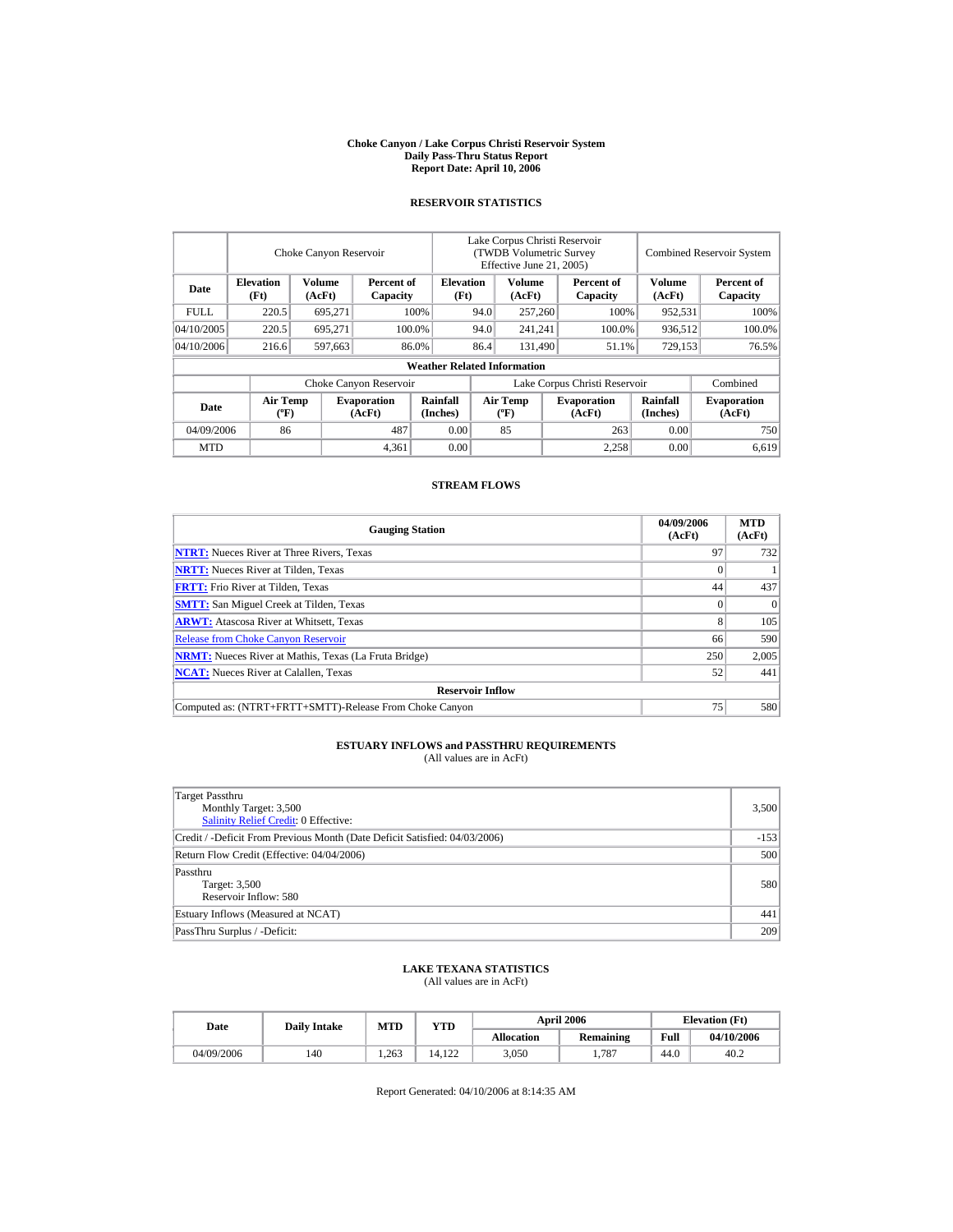#### **Choke Canyon / Lake Corpus Christi Reservoir System Daily Pass-Thru Status Report Report Date: April 10, 2006**

### **RESERVOIR STATISTICS**

|             |                                             | Choke Canyon Reservoir |                              |                                    | Lake Corpus Christi Reservoir<br><b>(TWDB Volumetric Survey)</b><br>Effective June 21, 2005) |                           |  |                              |                             | <b>Combined Reservoir System</b> |
|-------------|---------------------------------------------|------------------------|------------------------------|------------------------------------|----------------------------------------------------------------------------------------------|---------------------------|--|------------------------------|-----------------------------|----------------------------------|
| Date        | <b>Elevation</b><br>(Ft)                    | Volume<br>(AcFt)       | Percent of<br>Capacity       | <b>Elevation</b><br>(Ft)           |                                                                                              | Volume<br>(AcFt)          |  | Percent of<br>Capacity       | <b>Volume</b><br>(AcFt)     | Percent of<br>Capacity           |
| <b>FULL</b> | 220.5                                       | 695,271                |                              | 100%                               | 94.0                                                                                         | 257,260                   |  | 100%                         | 952,531                     | 100%                             |
| 04/10/2005  | 220.5                                       | 695.271                |                              | 100.0%                             | 94.0                                                                                         | 241,241                   |  | 100.0%                       | 936,512                     | 100.0%                           |
| 04/10/2006  | 216.6                                       | 597,663                |                              | 86.0%                              | 86.4                                                                                         | 131,490                   |  | 51.1%                        | 729,153                     | 76.5%                            |
|             |                                             |                        |                              | <b>Weather Related Information</b> |                                                                                              |                           |  |                              |                             |                                  |
|             |                                             |                        | Choke Canyon Reservoir       |                                    | Lake Corpus Christi Reservoir                                                                |                           |  |                              | Combined                    |                                  |
| Date        | <b>Air Temp</b><br>$({}^{\circ}\mathrm{F})$ |                        | <b>Evaporation</b><br>(AcFt) | Rainfall<br>(Inches)               |                                                                                              | Air Temp<br>$(^{\circ}F)$ |  | <b>Evaporation</b><br>(AcFt) | <b>Rainfall</b><br>(Inches) | <b>Evaporation</b><br>(AcFt)     |
| 04/09/2006  | 86                                          |                        | 487                          | 0.00                               |                                                                                              | 85                        |  | 263                          | 0.00                        | 750                              |
| <b>MTD</b>  |                                             |                        | 4,361                        | 0.00                               |                                                                                              |                           |  | 2.258                        | 0.00                        | 6.619                            |

### **STREAM FLOWS**

| <b>Gauging Station</b>                                       | 04/09/2006<br>(AcFt) | <b>MTD</b><br>(AcFt) |
|--------------------------------------------------------------|----------------------|----------------------|
| <b>NTRT:</b> Nueces River at Three Rivers, Texas             | 97                   | 732                  |
| <b>NRTT:</b> Nueces River at Tilden, Texas                   |                      |                      |
| <b>FRTT:</b> Frio River at Tilden, Texas                     | 44                   | 437                  |
| <b>SMTT:</b> San Miguel Creek at Tilden, Texas               |                      | $\Omega$             |
| <b>ARWT:</b> Atascosa River at Whitsett, Texas               | 8                    | 105                  |
| <b>Release from Choke Canyon Reservoir</b>                   | 66                   | 590                  |
| <b>NRMT:</b> Nueces River at Mathis, Texas (La Fruta Bridge) | 250                  | 2,005                |
| <b>NCAT:</b> Nueces River at Calallen, Texas                 | 52                   | 441                  |
| <b>Reservoir Inflow</b>                                      |                      |                      |
| Computed as: (NTRT+FRTT+SMTT)-Release From Choke Canyon      | 75                   | 580                  |

# **ESTUARY INFLOWS and PASSTHRU REQUIREMENTS**<br>(All values are in AcFt)

| Target Passthru<br>Monthly Target: 3,500<br><b>Salinity Relief Credit: 0 Effective:</b> | 3,500  |
|-----------------------------------------------------------------------------------------|--------|
| Credit / -Deficit From Previous Month (Date Deficit Satisfied: 04/03/2006)              | $-153$ |
| Return Flow Credit (Effective: 04/04/2006)                                              | 500    |
| Passthru<br>Target: 3,500<br>Reservoir Inflow: 580                                      | 580    |
| Estuary Inflows (Measured at NCAT)                                                      | 441    |
| PassThru Surplus / -Deficit:                                                            | 209    |

## **LAKE TEXANA STATISTICS**

(All values are in AcFt)

| Date       | <b>Daily Intake</b> | MTD   | YTD    |                   | <b>April 2006</b> | <b>Elevation</b> (Ft) |            |
|------------|---------------------|-------|--------|-------------------|-------------------|-----------------------|------------|
|            |                     |       |        | <b>Allocation</b> | Remaining         | Full                  | 04/10/2006 |
| 04/09/2006 | 140                 | 1.263 | 14.122 | 3.050             | 1.787             | 44.0                  | 40.2       |

Report Generated: 04/10/2006 at 8:14:35 AM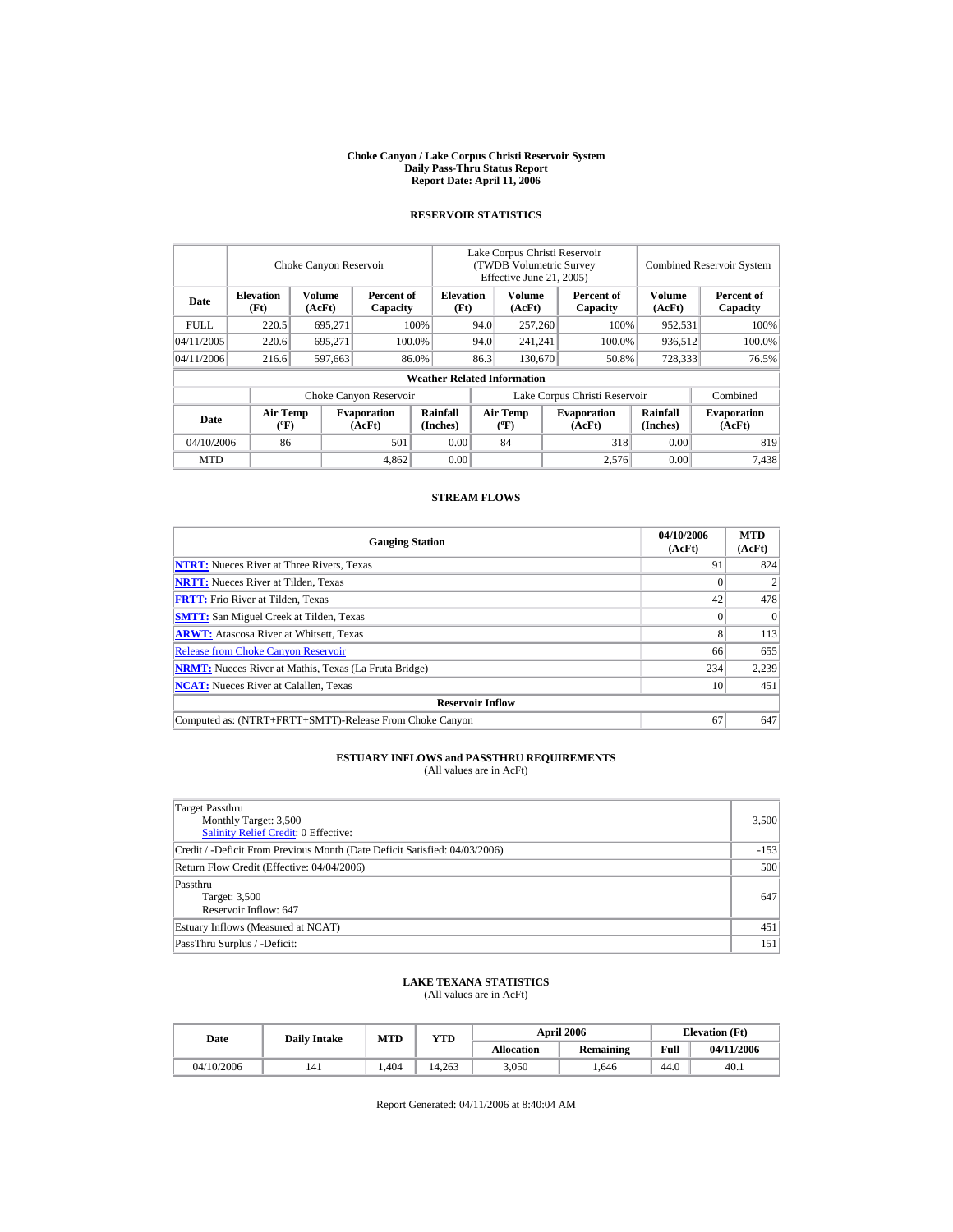#### **Choke Canyon / Lake Corpus Christi Reservoir System Daily Pass-Thru Status Report Report Date: April 11, 2006**

## **RESERVOIR STATISTICS**

|            |                                    | Choke Canyon Reservoir |                              |                                    | Lake Corpus Christi Reservoir<br>(TWDB Volumetric Survey<br>Effective June 21, 2005) |                                    |  |                              | <b>Combined Reservoir System</b> |                              |
|------------|------------------------------------|------------------------|------------------------------|------------------------------------|--------------------------------------------------------------------------------------|------------------------------------|--|------------------------------|----------------------------------|------------------------------|
| Date       | <b>Elevation</b><br>(Ft)           | Volume<br>(AcFt)       | Percent of<br>Capacity       | <b>Elevation</b><br>(Ft)           |                                                                                      | <b>Volume</b><br>(AcFt)            |  | Percent of<br>Capacity       | Volume<br>(AcFt)                 | Percent of<br>Capacity       |
| FULL.      | 220.5                              | 695.271                |                              | 100%                               | 94.0                                                                                 | 257,260                            |  | 100%                         | 952,531                          | 100%                         |
| 04/11/2005 | 220.6                              | 695.271                |                              | 100.0%                             | 94.0                                                                                 | 241.241                            |  | 100.0%                       | 936.512                          | 100.0%                       |
| 04/11/2006 | 216.6                              | 597.663                |                              | 86.0%                              | 86.3                                                                                 | 130,670                            |  | 50.8%                        | 728,333                          | 76.5%                        |
|            |                                    |                        |                              | <b>Weather Related Information</b> |                                                                                      |                                    |  |                              |                                  |                              |
|            |                                    |                        | Choke Canyon Reservoir       |                                    | Lake Corpus Christi Reservoir                                                        |                                    |  |                              |                                  | Combined                     |
| Date       | <b>Air Temp</b><br>$({}^{\circ}F)$ |                        | <b>Evaporation</b><br>(AcFt) | Rainfall<br>(Inches)               |                                                                                      | Air Temp<br>$({}^{\circ}\text{F})$ |  | <b>Evaporation</b><br>(AcFt) | Rainfall<br>(Inches)             | <b>Evaporation</b><br>(AcFt) |
| 04/10/2006 | 86                                 |                        | 501                          | 0.00                               |                                                                                      | 84                                 |  | 318                          | 0.00                             | 819                          |
| <b>MTD</b> |                                    |                        | 4,862                        | 0.00                               |                                                                                      |                                    |  | 2,576                        | 0.00                             | 7,438                        |

### **STREAM FLOWS**

| <b>Gauging Station</b>                                       | 04/10/2006<br>(AcFt) | <b>MTD</b><br>(AcFt) |
|--------------------------------------------------------------|----------------------|----------------------|
| <b>NTRT:</b> Nueces River at Three Rivers, Texas             | 91                   | 824                  |
| <b>NRTT:</b> Nueces River at Tilden, Texas                   |                      |                      |
| <b>FRTT:</b> Frio River at Tilden, Texas                     | 42                   | 478                  |
| <b>SMTT:</b> San Miguel Creek at Tilden, Texas               |                      | $\theta$             |
| <b>ARWT:</b> Atascosa River at Whitsett, Texas               | 8                    | 113                  |
| <b>Release from Choke Canyon Reservoir</b>                   | 66                   | 655                  |
| <b>NRMT:</b> Nueces River at Mathis, Texas (La Fruta Bridge) | 234                  | 2,239                |
| <b>NCAT:</b> Nueces River at Calallen. Texas                 | 10                   | 451                  |
| <b>Reservoir Inflow</b>                                      |                      |                      |
| Computed as: (NTRT+FRTT+SMTT)-Release From Choke Canyon      | 67                   | 647                  |

## **ESTUARY INFLOWS and PASSTHRU REQUIREMENTS**<br>(All values are in AcFt)

| Target Passthru<br>Monthly Target: 3,500<br>Salinity Relief Credit: 0 Effective: | 3,500  |
|----------------------------------------------------------------------------------|--------|
| Credit / -Deficit From Previous Month (Date Deficit Satisfied: 04/03/2006)       | $-153$ |
| Return Flow Credit (Effective: 04/04/2006)                                       | 500    |
| Passthru<br>Target: 3,500<br>Reservoir Inflow: 647                               | 647    |
| Estuary Inflows (Measured at NCAT)                                               | 451    |
| PassThru Surplus / -Deficit:                                                     | 151    |

#### **LAKE TEXANA STATISTICS** (All values are in AcFt)

| Date       | <b>Daily Intake</b> | MTD         | YTD    |                   | <b>April 2006</b> | <b>Elevation</b> (Ft) |            |
|------------|---------------------|-------------|--------|-------------------|-------------------|-----------------------|------------|
|            |                     |             |        | <b>Allocation</b> | <b>Remaining</b>  | Full                  | 04/11/2006 |
| 04/10/2006 | 141                 | <b>4.04</b> | 14.263 | 3.050             | .646              | 44.0                  | 40.1       |

Report Generated: 04/11/2006 at 8:40:04 AM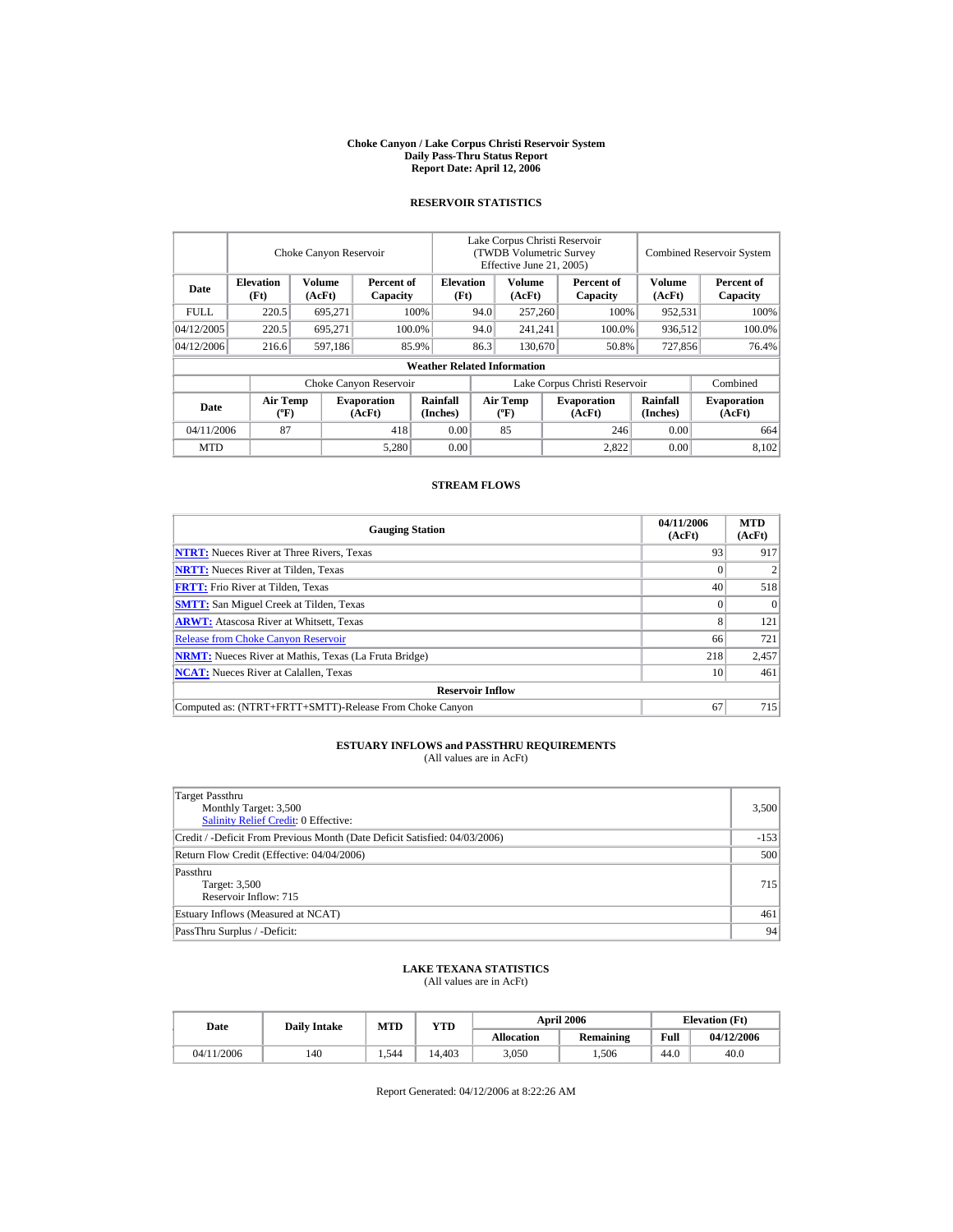#### **Choke Canyon / Lake Corpus Christi Reservoir System Daily Pass-Thru Status Report Report Date: April 12, 2006**

### **RESERVOIR STATISTICS**

|             |                                             | Choke Canyon Reservoir |                              |                                    | Lake Corpus Christi Reservoir<br><b>(TWDB Volumetric Survey)</b><br>Effective June 21, 2005) |                                      |  |                              |                             | <b>Combined Reservoir System</b> |
|-------------|---------------------------------------------|------------------------|------------------------------|------------------------------------|----------------------------------------------------------------------------------------------|--------------------------------------|--|------------------------------|-----------------------------|----------------------------------|
| Date        | <b>Elevation</b><br>(Ft)                    | Volume<br>(AcFt)       | Percent of<br>Capacity       | <b>Elevation</b><br>(Ft)           |                                                                                              | Volume<br>(AcFt)                     |  | Percent of<br>Capacity       | <b>Volume</b><br>(AcFt)     | Percent of<br>Capacity           |
| <b>FULL</b> | 220.5                                       | 695,271                |                              | 100%                               | 94.0                                                                                         | 257,260                              |  | 100%                         | 952,531                     | 100%                             |
| 04/12/2005  | 220.5                                       | 695.271                |                              | 100.0%                             | 94.0                                                                                         | 241,241                              |  | 100.0%                       | 936,512                     | 100.0%                           |
| 04/12/2006  | 216.6                                       | 597,186                |                              | 85.9%                              | 86.3                                                                                         | 130,670                              |  | 50.8%                        | 727,856                     | 76.4%                            |
|             |                                             |                        |                              | <b>Weather Related Information</b> |                                                                                              |                                      |  |                              |                             |                                  |
|             |                                             |                        | Choke Canyon Reservoir       |                                    | Lake Corpus Christi Reservoir                                                                |                                      |  |                              |                             | Combined                         |
| Date        | <b>Air Temp</b><br>$({}^{\circ}\mathrm{F})$ |                        | <b>Evaporation</b><br>(AcFt) | Rainfall<br>(Inches)               |                                                                                              | Air Temp<br>$({}^{\circ}\mathbf{F})$ |  | <b>Evaporation</b><br>(AcFt) | <b>Rainfall</b><br>(Inches) | <b>Evaporation</b><br>(AcFt)     |
| 04/11/2006  | 87                                          |                        | 418                          | 0.00                               |                                                                                              | 85                                   |  | 246                          | 0.00                        | 664                              |
| <b>MTD</b>  |                                             |                        | 5,280                        | 0.00                               |                                                                                              |                                      |  | 2.822                        | 0.00                        | 8,102                            |

#### **STREAM FLOWS**

| <b>Gauging Station</b>                                       | 04/11/2006<br>(AcFt) | <b>MTD</b><br>(AcFt) |
|--------------------------------------------------------------|----------------------|----------------------|
| <b>NTRT:</b> Nueces River at Three Rivers, Texas             | 93                   | 917                  |
| <b>NRTT:</b> Nueces River at Tilden, Texas                   |                      |                      |
| <b>FRTT:</b> Frio River at Tilden, Texas                     | 40                   | 518                  |
| <b>SMTT:</b> San Miguel Creek at Tilden, Texas               |                      | $\Omega$             |
| <b>ARWT:</b> Atascosa River at Whitsett, Texas               | 8                    | 121                  |
| <b>Release from Choke Canyon Reservoir</b>                   | 66                   | 721                  |
| <b>NRMT:</b> Nueces River at Mathis, Texas (La Fruta Bridge) | 218                  | 2,457                |
| <b>NCAT:</b> Nueces River at Calallen, Texas                 | 10                   | 461                  |
| <b>Reservoir Inflow</b>                                      |                      |                      |
| Computed as: (NTRT+FRTT+SMTT)-Release From Choke Canyon      | 67                   | 715                  |

# **ESTUARY INFLOWS and PASSTHRU REQUIREMENTS**<br>(All values are in AcFt)

| Target Passthru<br>Monthly Target: 3,500<br><b>Salinity Relief Credit: 0 Effective:</b> | 3,500  |
|-----------------------------------------------------------------------------------------|--------|
| Credit / -Deficit From Previous Month (Date Deficit Satisfied: 04/03/2006)              | $-153$ |
| Return Flow Credit (Effective: 04/04/2006)                                              | 500    |
| Passthru<br>Target: 3,500<br>Reservoir Inflow: 715                                      | 715    |
| Estuary Inflows (Measured at NCAT)                                                      | 461    |
| PassThru Surplus / -Deficit:                                                            | 94     |

## **LAKE TEXANA STATISTICS**

(All values are in AcFt)

| Date       | <b>Daily Intake</b> | <b>MTD</b> | YTD    |                   | <b>April 2006</b> | <b>Elevation</b> (Ft) |            |
|------------|---------------------|------------|--------|-------------------|-------------------|-----------------------|------------|
|            |                     |            |        | <b>Allocation</b> | Remaining         | Full                  | 04/12/2006 |
| 04/11/2006 | 140                 | 1.544      | 14.403 | 3.050             | .506              | 44.0                  | 40.0       |

Report Generated: 04/12/2006 at 8:22:26 AM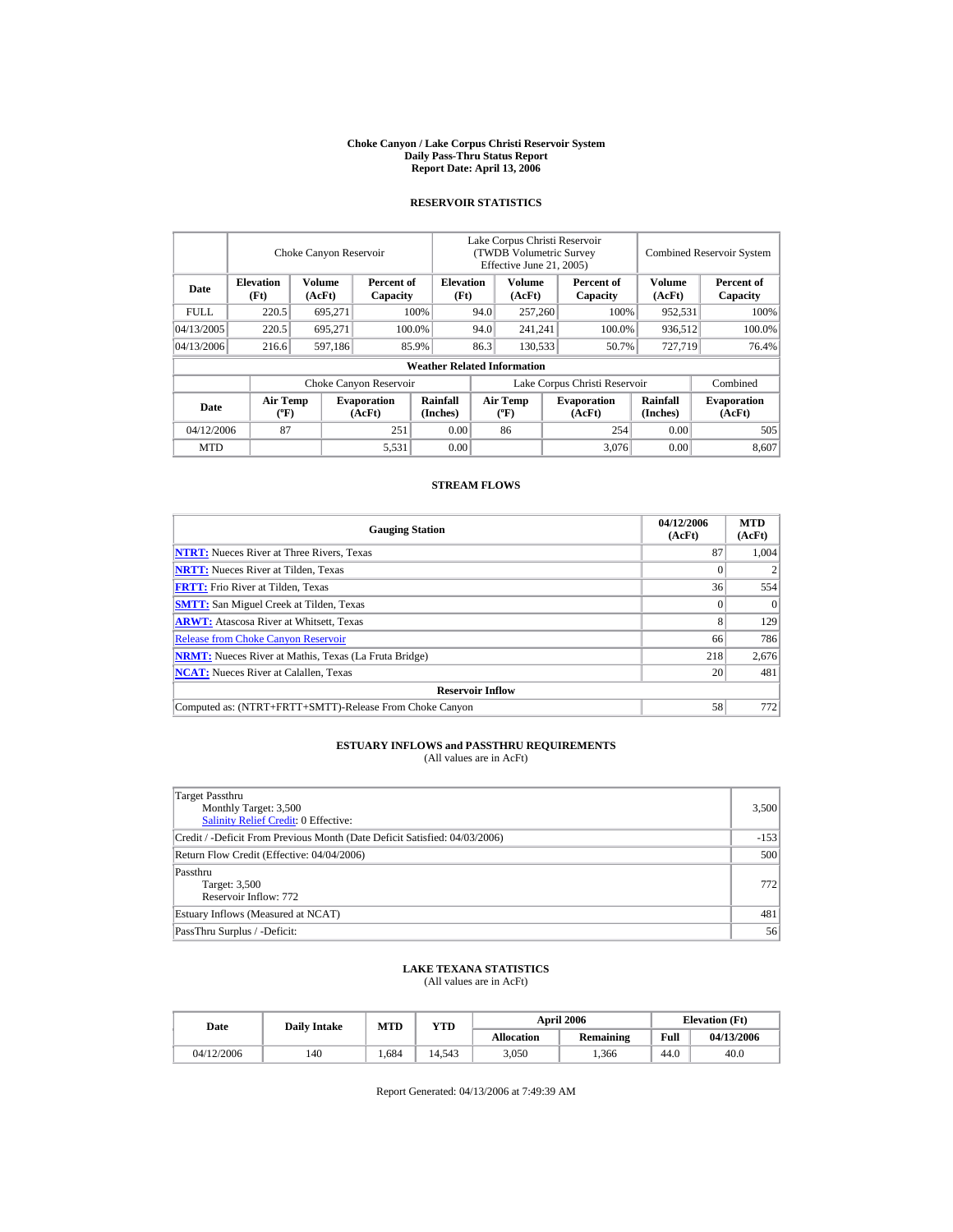#### **Choke Canyon / Lake Corpus Christi Reservoir System Daily Pass-Thru Status Report Report Date: April 13, 2006**

### **RESERVOIR STATISTICS**

|             |                                             | Choke Canyon Reservoir |                              |                                    | Lake Corpus Christi Reservoir<br><b>(TWDB Volumetric Survey)</b><br>Effective June 21, 2005) |                                      |                        |                              | <b>Combined Reservoir System</b> |                              |
|-------------|---------------------------------------------|------------------------|------------------------------|------------------------------------|----------------------------------------------------------------------------------------------|--------------------------------------|------------------------|------------------------------|----------------------------------|------------------------------|
| Date        | <b>Elevation</b><br>(Ft)                    | Volume<br>(AcFt)       | Percent of<br>Capacity       | <b>Elevation</b><br>(Ft)           |                                                                                              | Volume<br>(AcFt)                     | Percent of<br>Capacity |                              | <b>Volume</b><br>(AcFt)          | Percent of<br>Capacity       |
| <b>FULL</b> | 220.5                                       | 695,271                |                              | 100%                               | 94.0                                                                                         | 257,260                              |                        | 100%                         | 952,531                          | 100%                         |
| 04/13/2005  | 220.5                                       | 695.271                |                              | 100.0%                             | 94.0                                                                                         | 241,241                              |                        | 100.0%                       | 936,512                          | 100.0%                       |
| 04/13/2006  | 216.6                                       | 597,186                |                              | 85.9%                              | 86.3<br>130,533                                                                              |                                      |                        | 50.7%                        | 727,719                          | 76.4%                        |
|             |                                             |                        |                              | <b>Weather Related Information</b> |                                                                                              |                                      |                        |                              |                                  |                              |
|             |                                             |                        | Choke Canyon Reservoir       |                                    | Lake Corpus Christi Reservoir                                                                |                                      |                        |                              |                                  | Combined                     |
| Date        | <b>Air Temp</b><br>$({}^{\circ}\mathrm{F})$ |                        | <b>Evaporation</b><br>(AcFt) | Rainfall<br>(Inches)               |                                                                                              | Air Temp<br>$({}^{\circ}\mathbf{F})$ |                        | <b>Evaporation</b><br>(AcFt) | <b>Rainfall</b><br>(Inches)      | <b>Evaporation</b><br>(AcFt) |
| 04/12/2006  | 87                                          |                        | 251                          | 0.00                               |                                                                                              | 86                                   |                        | 254                          | 0.00                             | 505                          |
| <b>MTD</b>  |                                             |                        | 5,531                        | 0.00                               |                                                                                              |                                      |                        | 3,076                        | 0.00                             | 8.607                        |

### **STREAM FLOWS**

| <b>Gauging Station</b>                                       | 04/12/2006<br>(AcFt) | <b>MTD</b><br>(AcFt) |
|--------------------------------------------------------------|----------------------|----------------------|
| <b>NTRT:</b> Nueces River at Three Rivers, Texas             | 87                   | 1.004                |
| <b>NRTT:</b> Nueces River at Tilden, Texas                   |                      |                      |
| <b>FRTT:</b> Frio River at Tilden, Texas                     | 36                   | 554                  |
| <b>SMTT:</b> San Miguel Creek at Tilden, Texas               |                      | $\Omega$             |
| <b>ARWT:</b> Atascosa River at Whitsett, Texas               | 8                    | 129                  |
| <b>Release from Choke Canyon Reservoir</b>                   | 66                   | 786                  |
| <b>NRMT:</b> Nueces River at Mathis, Texas (La Fruta Bridge) | 218                  | 2,676                |
| <b>NCAT:</b> Nueces River at Calallen, Texas                 | 20                   | 481                  |
| <b>Reservoir Inflow</b>                                      |                      |                      |
| Computed as: (NTRT+FRTT+SMTT)-Release From Choke Canyon      | 58                   | 772                  |

# **ESTUARY INFLOWS and PASSTHRU REQUIREMENTS**<br>(All values are in AcFt)

| Target Passthru<br>Monthly Target: 3,500<br><b>Salinity Relief Credit: 0 Effective:</b> | 3,500  |
|-----------------------------------------------------------------------------------------|--------|
| Credit / -Deficit From Previous Month (Date Deficit Satisfied: 04/03/2006)              | $-153$ |
| Return Flow Credit (Effective: 04/04/2006)                                              | 500    |
| Passthru<br>Target: 3,500<br>Reservoir Inflow: 772                                      | 772    |
| Estuary Inflows (Measured at NCAT)                                                      | 481    |
| PassThru Surplus / -Deficit:                                                            | 56     |

## **LAKE TEXANA STATISTICS**

(All values are in AcFt)

| Date       | <b>Daily Intake</b> | <b>MTD</b> | YTD    |                   | <b>April 2006</b> | <b>Elevation</b> (Ft) |            |
|------------|---------------------|------------|--------|-------------------|-------------------|-----------------------|------------|
|            |                     |            |        | <b>Allocation</b> | Remaining         | Full                  | 04/13/2006 |
| 04/12/2006 | 140                 | . 684      | 14.543 | 3.050             | .366              | 44.0                  | 40.0       |

Report Generated: 04/13/2006 at 7:49:39 AM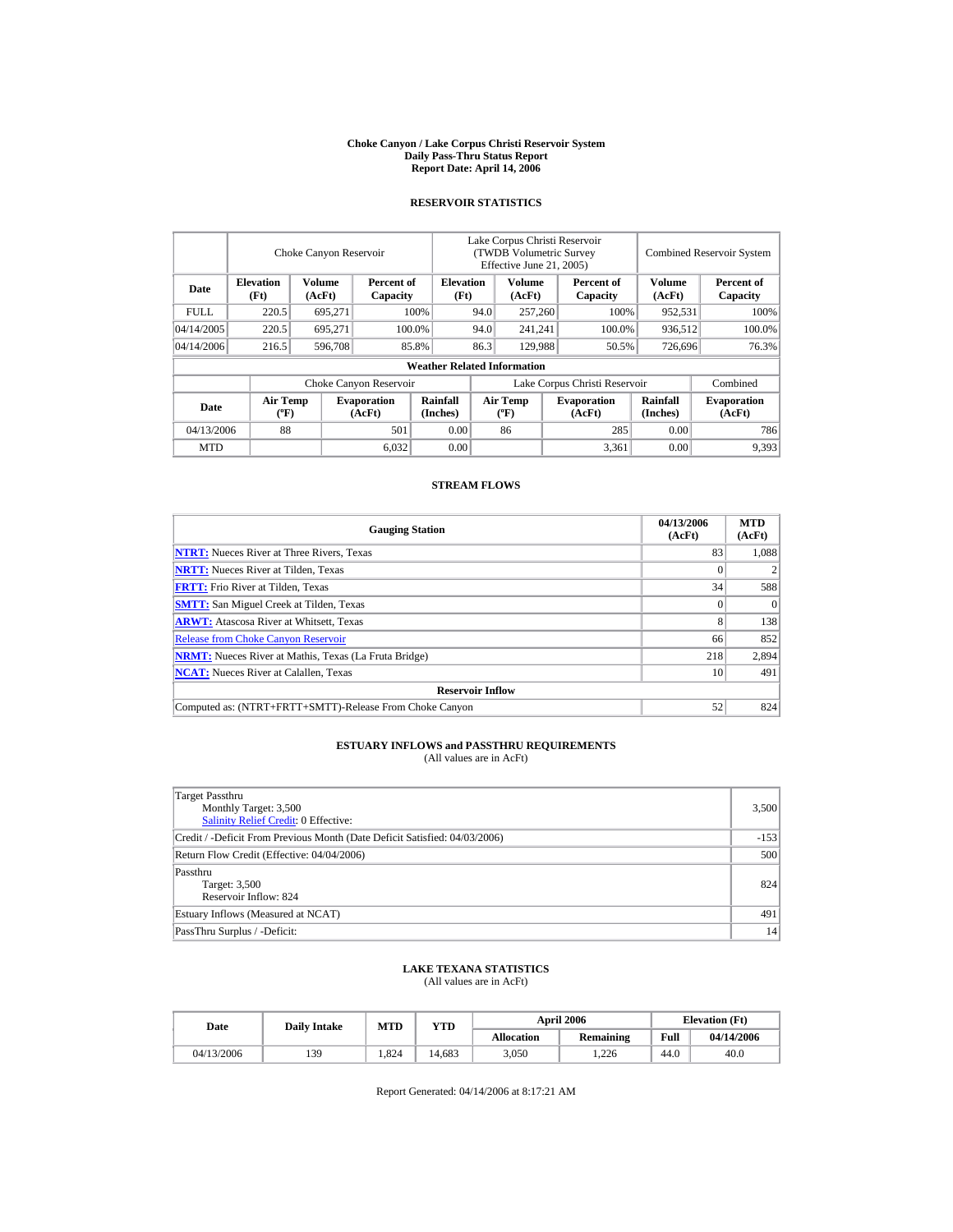#### **Choke Canyon / Lake Corpus Christi Reservoir System Daily Pass-Thru Status Report Report Date: April 14, 2006**

### **RESERVOIR STATISTICS**

|             |                                             | Choke Canyon Reservoir |                              |                                    | Lake Corpus Christi Reservoir<br><b>(TWDB Volumetric Survey)</b><br>Effective June 21, 2005) |                                      |         |                              | <b>Combined Reservoir System</b> |                              |  |
|-------------|---------------------------------------------|------------------------|------------------------------|------------------------------------|----------------------------------------------------------------------------------------------|--------------------------------------|---------|------------------------------|----------------------------------|------------------------------|--|
| Date        | <b>Elevation</b><br>(Ft)                    | Volume<br>(AcFt)       | Percent of<br>Capacity       | <b>Elevation</b><br>(Ft)           |                                                                                              | Volume<br>(AcFt)                     |         | Percent of<br>Capacity       | <b>Volume</b><br>(AcFt)          | Percent of<br>Capacity       |  |
| <b>FULL</b> | 220.5                                       | 695,271                |                              | 100%                               | 94.0                                                                                         | 257,260                              |         | 100%                         | 952,531                          | 100%                         |  |
| 04/14/2005  | 220.5                                       | 695.271                |                              | 100.0%                             | 94.0                                                                                         |                                      | 241,241 | 100.0%                       | 936,512                          | 100.0%                       |  |
| 04/14/2006  | 216.5                                       | 596,708                |                              | 85.8%                              | 86.3                                                                                         | 129,988                              |         | 50.5%                        | 726,696                          | 76.3%                        |  |
|             |                                             |                        |                              | <b>Weather Related Information</b> |                                                                                              |                                      |         |                              |                                  |                              |  |
|             |                                             |                        | Choke Canyon Reservoir       |                                    | Lake Corpus Christi Reservoir                                                                |                                      |         |                              |                                  | Combined                     |  |
| Date        | <b>Air Temp</b><br>$({}^{\circ}\mathrm{F})$ |                        | <b>Evaporation</b><br>(AcFt) | Rainfall<br>(Inches)               |                                                                                              | Air Temp<br>$({}^{\circ}\mathbf{F})$ |         | <b>Evaporation</b><br>(AcFt) | <b>Rainfall</b><br>(Inches)      | <b>Evaporation</b><br>(AcFt) |  |
| 04/13/2006  | 88                                          |                        | 501                          | 0.00                               |                                                                                              | 86                                   |         | 285                          | 0.00                             | 786                          |  |
| <b>MTD</b>  |                                             |                        | 6,032                        | 0.00                               |                                                                                              |                                      |         | 3,361                        | 0.00                             | 9,393                        |  |

#### **STREAM FLOWS**

| <b>Gauging Station</b>                                       | 04/13/2006<br>(AcFt) | <b>MTD</b><br>(AcFt) |
|--------------------------------------------------------------|----------------------|----------------------|
| <b>NTRT:</b> Nueces River at Three Rivers, Texas             | 83                   | 1.088                |
| <b>NRTT:</b> Nueces River at Tilden, Texas                   |                      |                      |
| <b>FRTT:</b> Frio River at Tilden, Texas                     | 34                   | 588                  |
| <b>SMTT:</b> San Miguel Creek at Tilden, Texas               |                      | $\Omega$             |
| <b>ARWT:</b> Atascosa River at Whitsett, Texas               | 8                    | 138                  |
| <b>Release from Choke Canyon Reservoir</b>                   | 66                   | 852                  |
| <b>NRMT:</b> Nueces River at Mathis, Texas (La Fruta Bridge) | 218                  | 2,894                |
| <b>NCAT:</b> Nueces River at Calallen, Texas                 | 10                   | 491                  |
| <b>Reservoir Inflow</b>                                      |                      |                      |
| Computed as: (NTRT+FRTT+SMTT)-Release From Choke Canyon      | 52                   | 824                  |

# **ESTUARY INFLOWS and PASSTHRU REQUIREMENTS**<br>(All values are in AcFt)

| Target Passthru<br>Monthly Target: 3,500<br><b>Salinity Relief Credit: 0 Effective:</b> | 3,500  |
|-----------------------------------------------------------------------------------------|--------|
| Credit / -Deficit From Previous Month (Date Deficit Satisfied: 04/03/2006)              | $-153$ |
| Return Flow Credit (Effective: 04/04/2006)                                              | 500    |
| Passthru<br>Target: 3,500<br>Reservoir Inflow: 824                                      | 824    |
| Estuary Inflows (Measured at NCAT)                                                      | 491    |
| PassThru Surplus / -Deficit:                                                            | 14     |

## **LAKE TEXANA STATISTICS**

(All values are in AcFt)

| Date       | <b>Daily Intake</b> | <b>MTD</b> | YTD    |                   | <b>April 2006</b> | <b>Elevation</b> (Ft) |            |
|------------|---------------------|------------|--------|-------------------|-------------------|-----------------------|------------|
|            |                     |            |        | <b>Allocation</b> | Remaining         | Full                  | 04/14/2006 |
| 04/13/2006 | 139                 | 1.824      | 14.683 | 3.050             | .226              | 44.0                  | 40.0       |

Report Generated: 04/14/2006 at 8:17:21 AM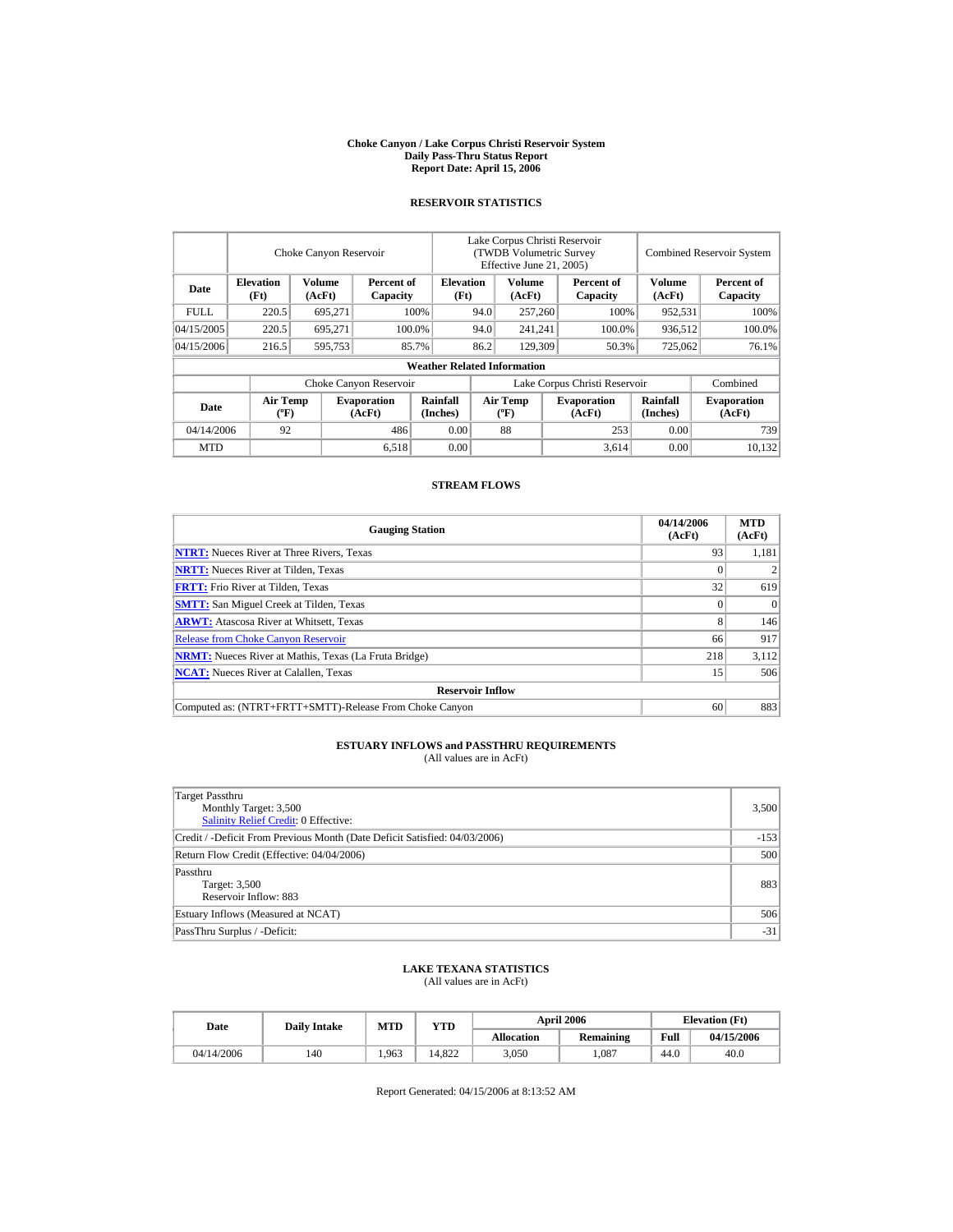#### **Choke Canyon / Lake Corpus Christi Reservoir System Daily Pass-Thru Status Report Report Date: April 15, 2006**

### **RESERVOIR STATISTICS**

|             |                                             | Choke Canyon Reservoir |                              |                                    |                               | Lake Corpus Christi Reservoir<br><b>(TWDB Volumetric Survey)</b><br>Effective June 21, 2005) |         |                              |                             | <b>Combined Reservoir System</b> |  |
|-------------|---------------------------------------------|------------------------|------------------------------|------------------------------------|-------------------------------|----------------------------------------------------------------------------------------------|---------|------------------------------|-----------------------------|----------------------------------|--|
| Date        | <b>Elevation</b><br>(Ft)                    | Volume<br>(AcFt)       | Percent of<br>Capacity       | <b>Elevation</b><br>(Ft)           |                               | Volume<br>(AcFt)                                                                             |         | Percent of<br>Capacity       | <b>Volume</b><br>(AcFt)     | Percent of<br>Capacity           |  |
| <b>FULL</b> | 220.5                                       | 695,271                |                              | 100%                               | 94.0                          | 257,260                                                                                      |         | 100%                         | 952,531                     | 100%                             |  |
| 04/15/2005  | 220.5                                       | 695.271                |                              | 100.0%                             | 94.0                          |                                                                                              | 241,241 | 100.0%                       | 936,512                     | 100.0%                           |  |
| 04/15/2006  | 216.5                                       | 595,753                |                              | 85.7%                              | 86.2                          | 129,309                                                                                      |         | 50.3%                        | 725,062                     | 76.1%                            |  |
|             |                                             |                        |                              | <b>Weather Related Information</b> |                               |                                                                                              |         |                              |                             |                                  |  |
|             |                                             |                        | Choke Canyon Reservoir       |                                    | Lake Corpus Christi Reservoir |                                                                                              |         |                              |                             | Combined                         |  |
| Date        | <b>Air Temp</b><br>$({}^{\circ}\mathrm{F})$ |                        | <b>Evaporation</b><br>(AcFt) | Rainfall<br>(Inches)               |                               | Air Temp<br>$({}^{\circ}\mathbf{F})$                                                         |         | <b>Evaporation</b><br>(AcFt) | <b>Rainfall</b><br>(Inches) | <b>Evaporation</b><br>(AcFt)     |  |
| 04/14/2006  | 92                                          |                        | 486                          | 0.00                               |                               | 88                                                                                           |         | 253                          | 0.00                        | 739                              |  |
| <b>MTD</b>  |                                             |                        | 6,518                        | 0.00                               |                               |                                                                                              |         | 3,614                        | 0.00                        | 10.132                           |  |

#### **STREAM FLOWS**

| <b>Gauging Station</b>                                       | 04/14/2006<br>(AcFt) | <b>MTD</b><br>(AcFt) |
|--------------------------------------------------------------|----------------------|----------------------|
| <b>NTRT:</b> Nueces River at Three Rivers, Texas             | 93                   | 1,181                |
| <b>NRTT:</b> Nueces River at Tilden, Texas                   |                      |                      |
| <b>FRTT:</b> Frio River at Tilden, Texas                     | 32                   | 619                  |
| <b>SMTT:</b> San Miguel Creek at Tilden, Texas               |                      | $\Omega$             |
| <b>ARWT:</b> Atascosa River at Whitsett, Texas               | 8                    | 146                  |
| <b>Release from Choke Canyon Reservoir</b>                   | 66                   | 917                  |
| <b>NRMT:</b> Nueces River at Mathis, Texas (La Fruta Bridge) | 218                  | 3,112                |
| <b>NCAT:</b> Nueces River at Calallen, Texas                 | 15                   | 506                  |
| <b>Reservoir Inflow</b>                                      |                      |                      |
| Computed as: (NTRT+FRTT+SMTT)-Release From Choke Canyon      | 60                   | 883                  |

# **ESTUARY INFLOWS and PASSTHRU REQUIREMENTS**<br>(All values are in AcFt)

| Target Passthru<br>Monthly Target: 3,500<br><b>Salinity Relief Credit: 0 Effective:</b> | 3,500  |
|-----------------------------------------------------------------------------------------|--------|
| Credit / -Deficit From Previous Month (Date Deficit Satisfied: 04/03/2006)              | $-153$ |
| Return Flow Credit (Effective: 04/04/2006)                                              | 500    |
| Passthru<br>Target: 3,500<br>Reservoir Inflow: 883                                      | 883    |
| Estuary Inflows (Measured at NCAT)                                                      | 506    |
| PassThru Surplus / -Deficit:                                                            | $-31$  |

## **LAKE TEXANA STATISTICS**

(All values are in AcFt)

| Date       | <b>Daily Intake</b> | <b>MTD</b> | YTD    |                   | <b>April 2006</b> | <b>Elevation</b> (Ft) |            |
|------------|---------------------|------------|--------|-------------------|-------------------|-----------------------|------------|
|            |                     |            |        | <b>Allocation</b> | <b>Remaining</b>  | Full                  | 04/15/2006 |
| 04/14/2006 | 140                 | 1.963      | 14.822 | 3.050             | .087              | 44.0                  | 40.0       |

Report Generated: 04/15/2006 at 8:13:52 AM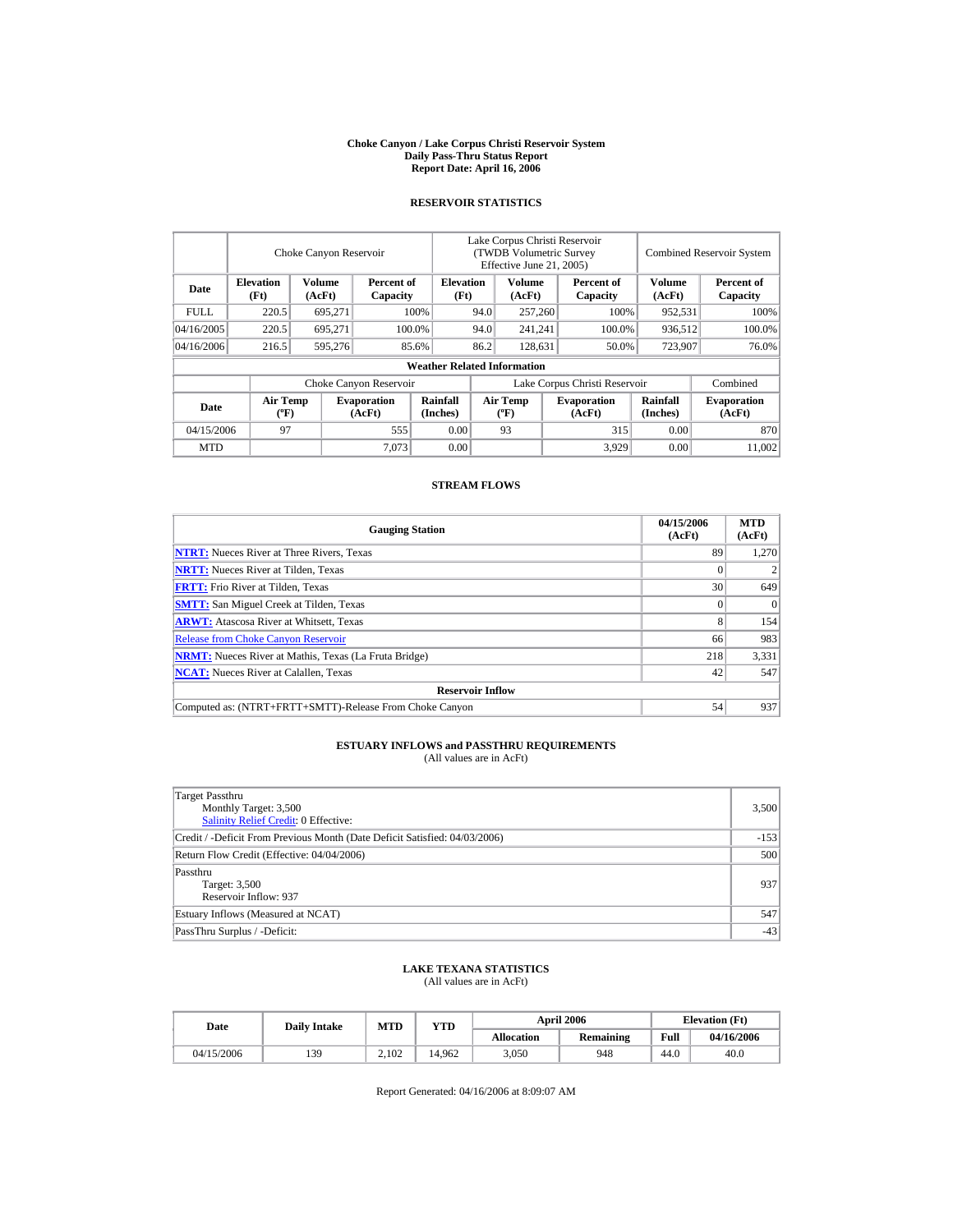#### **Choke Canyon / Lake Corpus Christi Reservoir System Daily Pass-Thru Status Report Report Date: April 16, 2006**

### **RESERVOIR STATISTICS**

|             |                                             | Choke Canyon Reservoir |                              |                                    | Lake Corpus Christi Reservoir<br><b>(TWDB Volumetric Survey)</b><br>Effective June 21, 2005) |                                      |         |                              |                             | <b>Combined Reservoir System</b> |
|-------------|---------------------------------------------|------------------------|------------------------------|------------------------------------|----------------------------------------------------------------------------------------------|--------------------------------------|---------|------------------------------|-----------------------------|----------------------------------|
| Date        | <b>Elevation</b><br>(Ft)                    | Volume<br>(AcFt)       | Percent of<br>Capacity       | <b>Elevation</b><br>(Ft)           |                                                                                              | Volume<br>(AcFt)                     |         | Percent of<br>Capacity       | <b>Volume</b><br>(AcFt)     | Percent of<br>Capacity           |
| <b>FULL</b> | 220.5                                       | 695,271                |                              | 100%                               |                                                                                              | 257,260<br>94.0                      |         | 100%                         | 952,531                     | 100%                             |
| 04/16/2005  | 220.5                                       | 695.271                |                              | 100.0%                             | 94.0                                                                                         | 241,241                              |         | 100.0%                       | 936,512                     | 100.0%                           |
| 04/16/2006  | 216.5                                       | 595,276                |                              | 85.6%                              | 86.2                                                                                         |                                      | 128,631 | 50.0%                        | 723,907                     | 76.0%                            |
|             |                                             |                        |                              | <b>Weather Related Information</b> |                                                                                              |                                      |         |                              |                             |                                  |
|             |                                             |                        | Choke Canyon Reservoir       |                                    | Lake Corpus Christi Reservoir                                                                |                                      |         |                              |                             | Combined                         |
| Date        | <b>Air Temp</b><br>$({}^{\circ}\mathrm{F})$ |                        | <b>Evaporation</b><br>(AcFt) | Rainfall<br>(Inches)               |                                                                                              | Air Temp<br>$({}^{\circ}\mathbf{F})$ |         | <b>Evaporation</b><br>(AcFt) | <b>Rainfall</b><br>(Inches) | <b>Evaporation</b><br>(AcFt)     |
| 04/15/2006  | 97                                          |                        | 555                          | 0.00                               |                                                                                              | 93                                   |         | 315                          | 0.00                        | 870                              |
| <b>MTD</b>  |                                             |                        | 7,073                        | 0.00                               |                                                                                              |                                      |         | 3,929                        | 0.00                        | 11.002                           |

### **STREAM FLOWS**

| <b>Gauging Station</b>                                       | 04/15/2006<br>(AcFt) | <b>MTD</b><br>(AcFt) |
|--------------------------------------------------------------|----------------------|----------------------|
| <b>NTRT:</b> Nueces River at Three Rivers, Texas             | 89                   | 1.270                |
| <b>NRTT:</b> Nueces River at Tilden, Texas                   |                      |                      |
| <b>FRTT:</b> Frio River at Tilden, Texas                     | 30                   | 649                  |
| <b>SMTT:</b> San Miguel Creek at Tilden, Texas               |                      | $\Omega$             |
| <b>ARWT:</b> Atascosa River at Whitsett, Texas               | 8                    | 154                  |
| <b>Release from Choke Canyon Reservoir</b>                   | 66                   | 983                  |
| <b>NRMT:</b> Nueces River at Mathis, Texas (La Fruta Bridge) | 218                  | 3,331                |
| <b>NCAT:</b> Nueces River at Calallen, Texas                 | 42                   | 547                  |
| <b>Reservoir Inflow</b>                                      |                      |                      |
| Computed as: (NTRT+FRTT+SMTT)-Release From Choke Canyon      | 54                   | 937                  |

# **ESTUARY INFLOWS and PASSTHRU REQUIREMENTS**<br>(All values are in AcFt)

| Target Passthru<br>Monthly Target: 3,500<br>Salinity Relief Credit: 0 Effective: | 3,500  |
|----------------------------------------------------------------------------------|--------|
| Credit / -Deficit From Previous Month (Date Deficit Satisfied: 04/03/2006)       | $-153$ |
| Return Flow Credit (Effective: 04/04/2006)                                       | 500    |
| Passthru<br>Target: 3,500<br>Reservoir Inflow: 937                               | 937    |
| Estuary Inflows (Measured at NCAT)                                               | 547    |
| PassThru Surplus / -Deficit:                                                     | $-43$  |

## **LAKE TEXANA STATISTICS**

(All values are in AcFt)

| Date       | <b>Daily Intake</b> | <b>MTD</b> | YTD    |                   | <b>April 2006</b> | <b>Elevation</b> (Ft) |            |
|------------|---------------------|------------|--------|-------------------|-------------------|-----------------------|------------|
|            |                     |            |        | <b>Allocation</b> | <b>Remaining</b>  | Full                  | 04/16/2006 |
| 04/15/2006 | 139                 | 2.102      | 14.962 | 3.050             | 948               | 44.0                  | 40.0       |

Report Generated: 04/16/2006 at 8:09:07 AM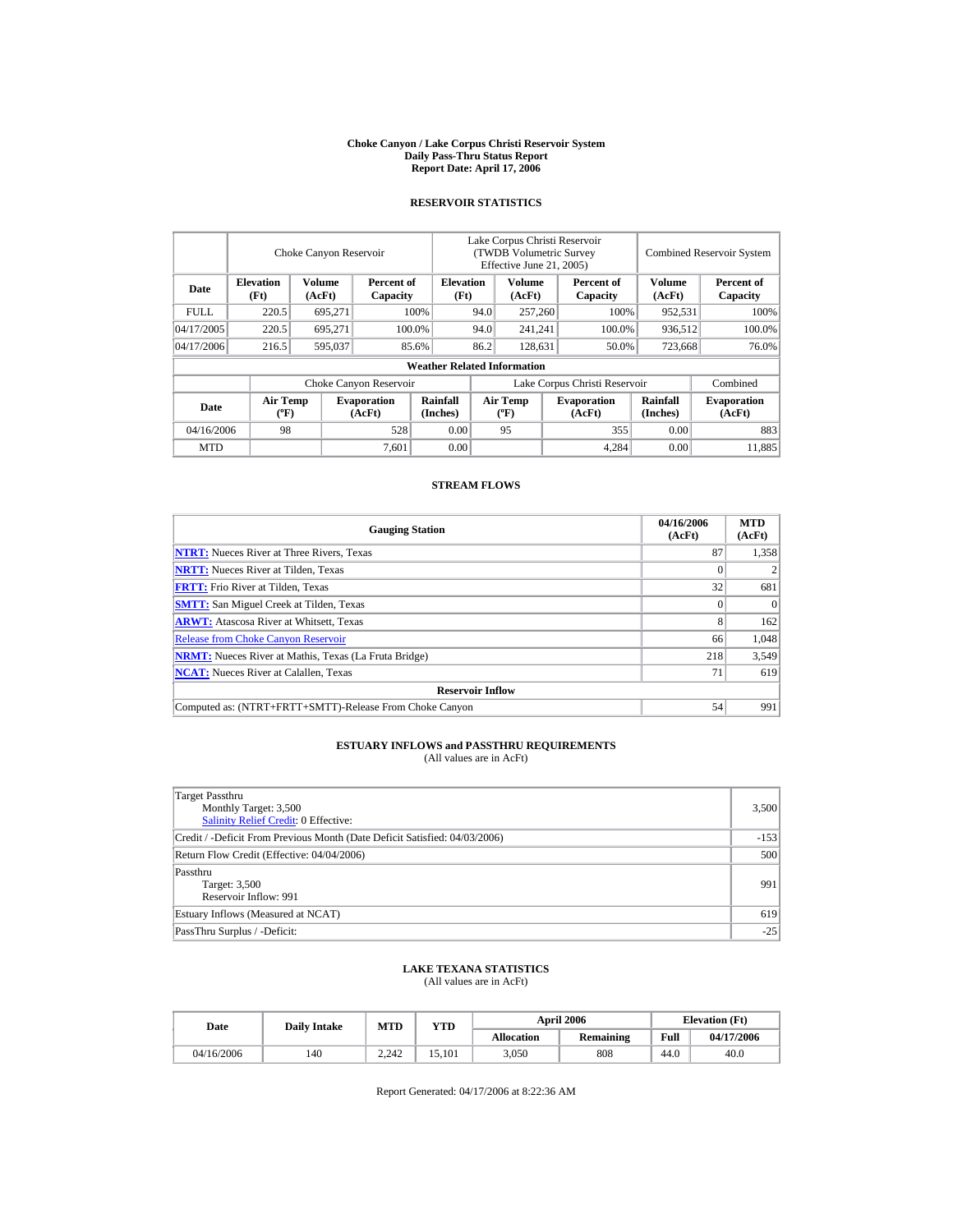#### **Choke Canyon / Lake Corpus Christi Reservoir System Daily Pass-Thru Status Report Report Date: April 17, 2006**

### **RESERVOIR STATISTICS**

|            | Choke Canyon Reservoir                      |                  |                              |                                    | Lake Corpus Christi Reservoir<br>(TWDB Volumetric Survey |                                             |  |                              |                             | <b>Combined Reservoir System</b> |  |
|------------|---------------------------------------------|------------------|------------------------------|------------------------------------|----------------------------------------------------------|---------------------------------------------|--|------------------------------|-----------------------------|----------------------------------|--|
|            |                                             |                  |                              |                                    | Effective June 21, 2005)                                 |                                             |  |                              |                             |                                  |  |
| Date       | <b>Elevation</b><br>(Ft)                    | Volume<br>(AcFt) | Percent of<br>Capacity       | <b>Elevation</b><br>(Ft)           |                                                          | Volume<br>(AcFt)                            |  | Percent of<br>Capacity       | Volume<br>(AcFt)            | Percent of<br>Capacity           |  |
| FULL.      | 220.5                                       | 695,271          |                              | 100%                               | 94.0                                                     | 257,260                                     |  | 100%                         | 952,531                     | 100%                             |  |
| 04/17/2005 | 220.5                                       | 695.271          |                              | 100.0%                             | 94.0                                                     | 241,241                                     |  | 100.0%                       | 936,512                     | 100.0%                           |  |
| 04/17/2006 | 216.5                                       | 595,037          |                              | 85.6%                              | 86.2                                                     | 128.631                                     |  | 50.0%                        | 723,668                     | 76.0%                            |  |
|            |                                             |                  |                              | <b>Weather Related Information</b> |                                                          |                                             |  |                              |                             |                                  |  |
|            |                                             |                  | Choke Canyon Reservoir       |                                    | Lake Corpus Christi Reservoir                            |                                             |  |                              |                             | Combined                         |  |
| Date       | <b>Air Temp</b><br>$({}^{\circ}\mathrm{F})$ |                  | <b>Evaporation</b><br>(AcFt) | Rainfall<br>(Inches)               |                                                          | <b>Air Temp</b><br>$({}^{\circ}\mathbf{F})$ |  | <b>Evaporation</b><br>(AcFt) | <b>Rainfall</b><br>(Inches) | <b>Evaporation</b><br>(AcFt)     |  |
| 04/16/2006 | 98                                          |                  | 528                          | 0.00                               |                                                          | 95                                          |  | 355                          | 0.00                        | 883                              |  |
| <b>MTD</b> |                                             |                  | 7.601                        | 0.00                               |                                                          |                                             |  | 4,284                        | 0.00                        | 11.885                           |  |

### **STREAM FLOWS**

| <b>Gauging Station</b>                                       | 04/16/2006<br>(AcFt) | <b>MTD</b><br>(AcFt) |  |  |  |  |  |
|--------------------------------------------------------------|----------------------|----------------------|--|--|--|--|--|
| <b>NTRT:</b> Nueces River at Three Rivers, Texas             | 87                   | 1,358                |  |  |  |  |  |
| <b>NRTT:</b> Nueces River at Tilden, Texas                   |                      |                      |  |  |  |  |  |
| <b>FRTT:</b> Frio River at Tilden, Texas                     | 32                   | 681                  |  |  |  |  |  |
| <b>SMTT:</b> San Miguel Creek at Tilden, Texas               |                      | $\Omega$             |  |  |  |  |  |
| <b>ARWT:</b> Atascosa River at Whitsett, Texas               | 8                    | 162                  |  |  |  |  |  |
| <b>Release from Choke Canyon Reservoir</b>                   | 66                   | 1.048                |  |  |  |  |  |
| <b>NRMT:</b> Nueces River at Mathis, Texas (La Fruta Bridge) | 218                  | 3,549                |  |  |  |  |  |
| <b>NCAT:</b> Nueces River at Calallen, Texas                 | 71                   | 619                  |  |  |  |  |  |
| <b>Reservoir Inflow</b>                                      |                      |                      |  |  |  |  |  |
| Computed as: (NTRT+FRTT+SMTT)-Release From Choke Canyon      | 54                   | 991                  |  |  |  |  |  |

# **ESTUARY INFLOWS and PASSTHRU REQUIREMENTS**<br>(All values are in AcFt)

| Target Passthru<br>Monthly Target: 3,500<br><b>Salinity Relief Credit: 0 Effective:</b> | 3,500  |
|-----------------------------------------------------------------------------------------|--------|
| Credit / -Deficit From Previous Month (Date Deficit Satisfied: 04/03/2006)              | $-153$ |
| Return Flow Credit (Effective: 04/04/2006)                                              | 500    |
| Passthru<br>Target: 3,500<br>Reservoir Inflow: 991                                      | 991    |
| Estuary Inflows (Measured at NCAT)                                                      | 619    |
| PassThru Surplus / -Deficit:                                                            | $-25$  |

## **LAKE TEXANA STATISTICS**

(All values are in AcFt)

| Date       | <b>Daily Intake</b> | <b>MTD</b> | <b>YTD</b> |            | <b>April 2006</b> | <b>Elevation</b> (Ft) |            |
|------------|---------------------|------------|------------|------------|-------------------|-----------------------|------------|
|            |                     |            |            | Allocation | <b>Remaining</b>  | Full                  | 04/17/2006 |
| 04/16/2006 | 140                 | 2.242      | 15.101     | 3,050      | 808               | 44.0                  | 40.0       |

Report Generated: 04/17/2006 at 8:22:36 AM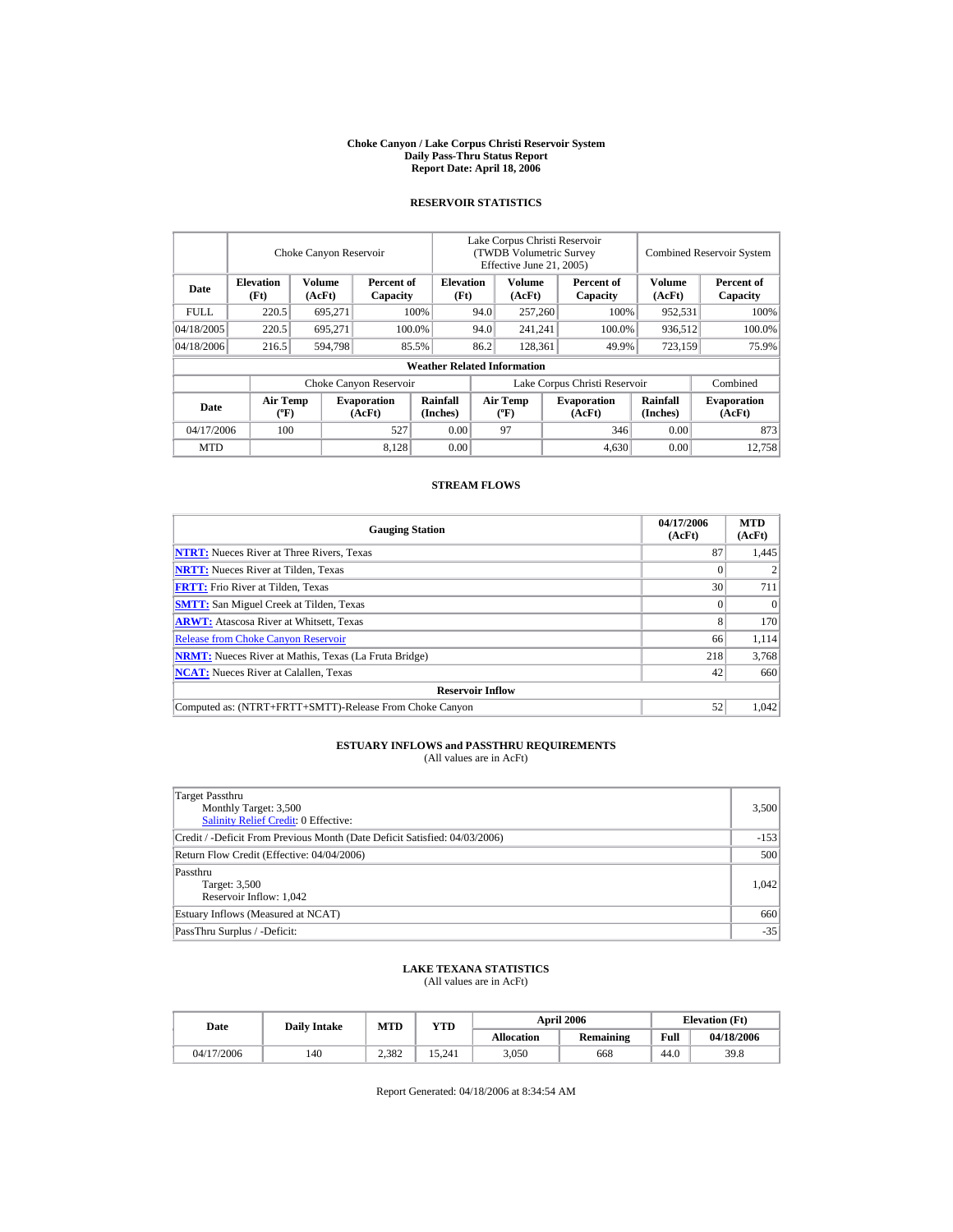#### **Choke Canyon / Lake Corpus Christi Reservoir System Daily Pass-Thru Status Report Report Date: April 18, 2006**

### **RESERVOIR STATISTICS**

|             |                                             |                  | Choke Canyon Reservoir       |                                    |                               | Lake Corpus Christi Reservoir<br><b>(TWDB Volumetric Survey)</b><br>Effective June 21, 2005) |  |                              |                             | <b>Combined Reservoir System</b> |  |  |
|-------------|---------------------------------------------|------------------|------------------------------|------------------------------------|-------------------------------|----------------------------------------------------------------------------------------------|--|------------------------------|-----------------------------|----------------------------------|--|--|
| Date        | <b>Elevation</b><br>(Ft)                    | Volume<br>(AcFt) | Percent of<br>Capacity       | <b>Elevation</b><br>(Ft)           |                               | Volume<br>(AcFt)                                                                             |  | Percent of<br>Capacity       | <b>Volume</b><br>(AcFt)     | Percent of<br>Capacity           |  |  |
| <b>FULL</b> | 220.5                                       | 695,271          |                              | 100%                               | 94.0                          | 257,260                                                                                      |  | 100%                         | 952,531                     | 100%                             |  |  |
| 04/18/2005  | 220.5                                       | 695.271          |                              | 100.0%                             | 94.0                          | 241,241                                                                                      |  | 100.0%                       | 936,512                     | 100.0%                           |  |  |
| 04/18/2006  | 216.5                                       | 594,798          |                              | 85.5%                              | 86.2                          | 128,361                                                                                      |  | 49.9%                        | 723,159                     | 75.9%                            |  |  |
|             |                                             |                  |                              | <b>Weather Related Information</b> |                               |                                                                                              |  |                              |                             |                                  |  |  |
|             |                                             |                  | Choke Canyon Reservoir       |                                    | Lake Corpus Christi Reservoir |                                                                                              |  |                              |                             | Combined                         |  |  |
| Date        | <b>Air Temp</b><br>$({}^{\circ}\mathrm{F})$ |                  | <b>Evaporation</b><br>(AcFt) | Rainfall<br>(Inches)               |                               | Air Temp<br>$({}^{\circ}\mathbf{F})$                                                         |  | <b>Evaporation</b><br>(AcFt) | <b>Rainfall</b><br>(Inches) | <b>Evaporation</b><br>(AcFt)     |  |  |
| 04/17/2006  | 100                                         |                  | 527                          | 0.00                               |                               | 97                                                                                           |  | 346                          | 0.00                        | 873                              |  |  |
| <b>MTD</b>  |                                             |                  | 8.128                        | 0.00                               |                               |                                                                                              |  | 4,630                        | 0.00                        | 12.758                           |  |  |

### **STREAM FLOWS**

| <b>Gauging Station</b>                                       | 04/17/2006<br>(AcFt) | <b>MTD</b><br>(AcFt) |
|--------------------------------------------------------------|----------------------|----------------------|
| <b>NTRT:</b> Nueces River at Three Rivers, Texas             | 87                   | 1,445                |
| <b>NRTT:</b> Nueces River at Tilden, Texas                   |                      |                      |
| <b>FRTT:</b> Frio River at Tilden, Texas                     | 30                   | 711                  |
| <b>SMTT:</b> San Miguel Creek at Tilden, Texas               |                      | $\Omega$             |
| <b>ARWT:</b> Atascosa River at Whitsett, Texas               | 8                    | 170                  |
| <b>Release from Choke Canyon Reservoir</b>                   | 66                   | 1.114                |
| <b>NRMT:</b> Nueces River at Mathis, Texas (La Fruta Bridge) | 218                  | 3,768                |
| <b>NCAT:</b> Nueces River at Calallen, Texas                 | 42                   | 660                  |
| <b>Reservoir Inflow</b>                                      |                      |                      |
| Computed as: (NTRT+FRTT+SMTT)-Release From Choke Canyon      | 52                   | 1.042                |

# **ESTUARY INFLOWS and PASSTHRU REQUIREMENTS**<br>(All values are in AcFt)

| Target Passthru<br>Monthly Target: 3,500<br><b>Salinity Relief Credit: 0 Effective:</b> | 3,500  |
|-----------------------------------------------------------------------------------------|--------|
| Credit / -Deficit From Previous Month (Date Deficit Satisfied: 04/03/2006)              | $-153$ |
| Return Flow Credit (Effective: 04/04/2006)                                              | 500    |
| Passthru<br>Target: 3,500<br>Reservoir Inflow: 1,042                                    | 1,042  |
| Estuary Inflows (Measured at NCAT)                                                      | 660    |
| PassThru Surplus / -Deficit:                                                            | $-35$  |

## **LAKE TEXANA STATISTICS**

(All values are in AcFt)

| Date       | <b>Daily Intake</b> | <b>MTD</b> | YTD    |                   | <b>April 2006</b> | <b>Elevation</b> (Ft) |            |
|------------|---------------------|------------|--------|-------------------|-------------------|-----------------------|------------|
|            |                     |            |        | <b>Allocation</b> | Remaining         | Full                  | 04/18/2006 |
| 04/17/2006 | 140                 | 2.382      | 15.241 | 3.050             | 668               | 44.0                  | 39.8       |

Report Generated: 04/18/2006 at 8:34:54 AM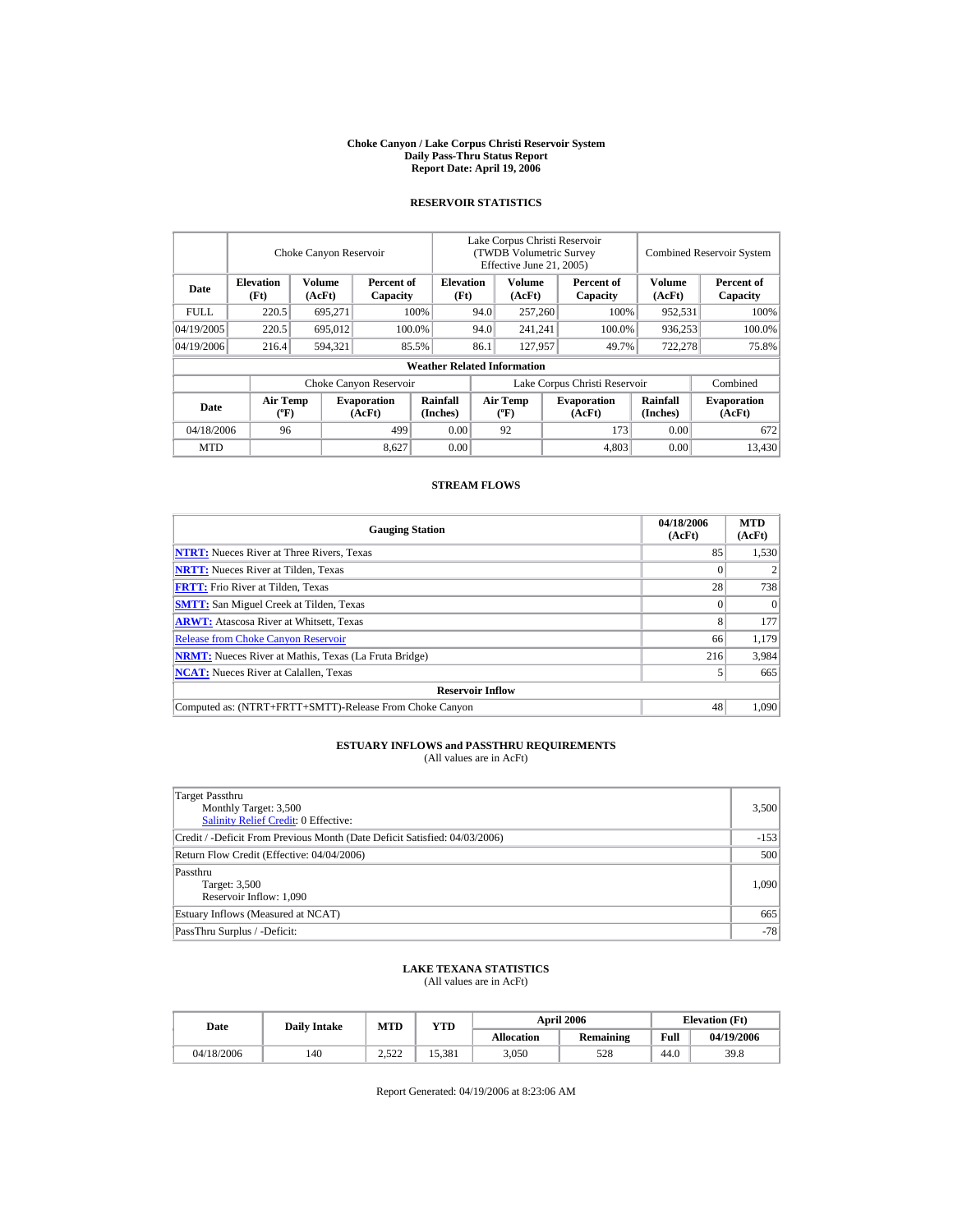#### **Choke Canyon / Lake Corpus Christi Reservoir System Daily Pass-Thru Status Report Report Date: April 19, 2006**

### **RESERVOIR STATISTICS**

|            | Choke Canyon Reservoir                      |                  |                              |                                    | Lake Corpus Christi Reservoir<br>(TWDB Volumetric Survey<br>Effective June 21, 2005) |                                             |  |                              | <b>Combined Reservoir System</b> |                              |  |
|------------|---------------------------------------------|------------------|------------------------------|------------------------------------|--------------------------------------------------------------------------------------|---------------------------------------------|--|------------------------------|----------------------------------|------------------------------|--|
| Date       | <b>Elevation</b><br>(Ft)                    | Volume<br>(AcFt) | Percent of<br>Capacity       | <b>Elevation</b><br>(Ft)           |                                                                                      | Volume<br>(AcFt)                            |  | Percent of<br>Capacity       | Volume<br>(AcFt)                 | Percent of<br>Capacity       |  |
| FULL.      | 220.5                                       | 695,271          |                              | 100%                               | 94.0                                                                                 | 257,260                                     |  | 100%                         | 952,531                          | 100%                         |  |
| 04/19/2005 | 220.5                                       | 695,012          |                              | 100.0%                             | 94.0                                                                                 | 241,241                                     |  | 100.0%                       | 936,253                          | 100.0%                       |  |
| 04/19/2006 | 216.4                                       | 594.321          |                              | 85.5%                              | 86.1                                                                                 | 127.957                                     |  | 49.7%                        | 722,278                          | 75.8%                        |  |
|            |                                             |                  |                              | <b>Weather Related Information</b> |                                                                                      |                                             |  |                              |                                  |                              |  |
|            |                                             |                  | Choke Canyon Reservoir       |                                    | Lake Corpus Christi Reservoir                                                        |                                             |  |                              |                                  | Combined                     |  |
| Date       | <b>Air Temp</b><br>$({}^{\circ}\mathrm{F})$ |                  | <b>Evaporation</b><br>(AcFt) | Rainfall<br>(Inches)               |                                                                                      | <b>Air Temp</b><br>$({}^{\circ}\mathbf{F})$ |  | <b>Evaporation</b><br>(AcFt) | <b>Rainfall</b><br>(Inches)      | <b>Evaporation</b><br>(AcFt) |  |
| 04/18/2006 | 96                                          |                  | 499                          | 0.00                               |                                                                                      | 92                                          |  | 173                          | 0.00                             | 672                          |  |
| <b>MTD</b> |                                             |                  | 8.627                        | 0.00                               |                                                                                      |                                             |  | 4,803                        | 0.00                             | 13.430                       |  |

### **STREAM FLOWS**

| <b>Gauging Station</b>                                       | 04/18/2006<br>(AcFt) | <b>MTD</b><br>(AcFt) |
|--------------------------------------------------------------|----------------------|----------------------|
| <b>NTRT:</b> Nueces River at Three Rivers, Texas             | 85                   | 1,530                |
| <b>NRTT:</b> Nueces River at Tilden, Texas                   |                      |                      |
| <b>FRTT:</b> Frio River at Tilden, Texas                     | 28                   | 738                  |
| <b>SMTT:</b> San Miguel Creek at Tilden, Texas               |                      | $\Omega$             |
| <b>ARWT:</b> Atascosa River at Whitsett, Texas               | 8                    | 177                  |
| <b>Release from Choke Canyon Reservoir</b>                   | 66                   | 1,179                |
| <b>NRMT:</b> Nueces River at Mathis, Texas (La Fruta Bridge) | 216                  | 3,984                |
| <b>NCAT:</b> Nueces River at Calallen, Texas                 |                      | 665                  |
| <b>Reservoir Inflow</b>                                      |                      |                      |
| Computed as: (NTRT+FRTT+SMTT)-Release From Choke Canyon      | 48                   | 1.090                |

# **ESTUARY INFLOWS and PASSTHRU REQUIREMENTS**<br>(All values are in AcFt)

| Target Passthru<br>Monthly Target: 3,500<br>Salinity Relief Credit: 0 Effective: | 3,500  |
|----------------------------------------------------------------------------------|--------|
| Credit / -Deficit From Previous Month (Date Deficit Satisfied: 04/03/2006)       | $-153$ |
| Return Flow Credit (Effective: 04/04/2006)                                       | 500    |
| Passthru<br>Target: 3,500<br>Reservoir Inflow: 1,090                             | 1,090  |
| Estuary Inflows (Measured at NCAT)                                               | 665    |
| PassThru Surplus / -Deficit:                                                     | $-78$  |

### **LAKE TEXANA STATISTICS**

(All values are in AcFt)

| Date       | <b>Daily Intake</b> | <b>MTD</b>      | <b>VTD</b> |            | <b>April 2006</b> | <b>Elevation</b> (Ft) |            |
|------------|---------------------|-----------------|------------|------------|-------------------|-----------------------|------------|
|            |                     |                 |            | Allocation | <b>Remaining</b>  | Full                  | 04/19/2006 |
| 04/18/2006 | 140                 | า ราา<br>ے کہ د | 15.381     | 3,050      | 528               | 44.0                  | 39.8       |

Report Generated: 04/19/2006 at 8:23:06 AM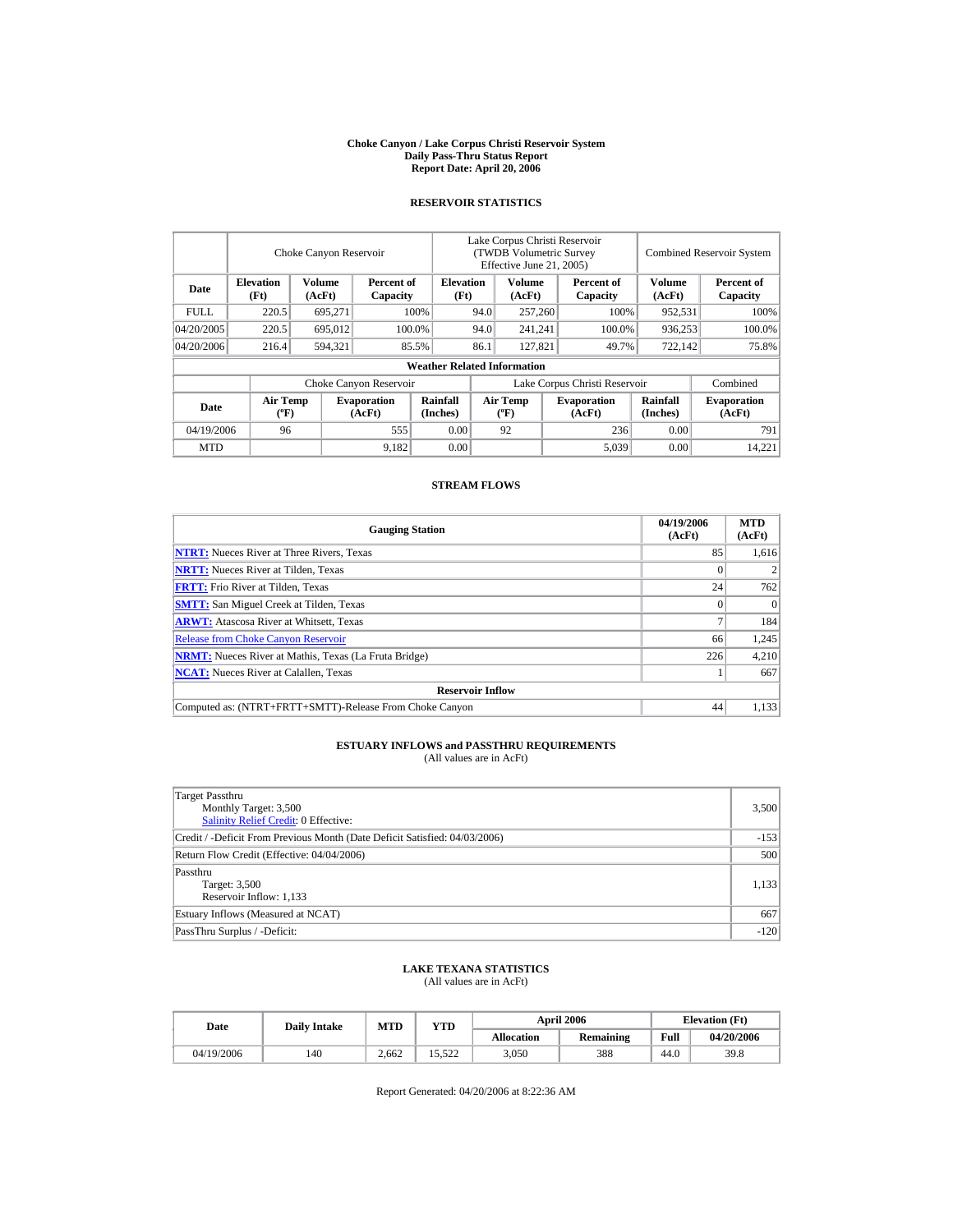#### **Choke Canyon / Lake Corpus Christi Reservoir System Daily Pass-Thru Status Report Report Date: April 20, 2006**

### **RESERVOIR STATISTICS**

|             |                                             | Choke Canyon Reservoir |                              |                                    | Lake Corpus Christi Reservoir<br><b>(TWDB Volumetric Survey)</b><br>Effective June 21, 2005) |                                      |  |                              |                             | <b>Combined Reservoir System</b> |
|-------------|---------------------------------------------|------------------------|------------------------------|------------------------------------|----------------------------------------------------------------------------------------------|--------------------------------------|--|------------------------------|-----------------------------|----------------------------------|
| Date        | <b>Elevation</b><br>(Ft)                    | Volume<br>(AcFt)       | Percent of<br>Capacity       | <b>Elevation</b><br>(Ft)           |                                                                                              | Volume<br>(AcFt)                     |  | Percent of<br>Capacity       | <b>Volume</b><br>(AcFt)     | Percent of<br>Capacity           |
| <b>FULL</b> | 220.5                                       | 695,271                |                              | 100%                               | 94.0                                                                                         | 257,260                              |  | 100%                         | 952,531                     | 100%                             |
| 04/20/2005  | 220.5                                       | 695,012                |                              | 100.0%                             | 94.0                                                                                         | 241,241                              |  | 100.0%                       | 936,253                     | 100.0%                           |
| 04/20/2006  | 216.4                                       | 594,321                |                              | 85.5%                              | 86.1                                                                                         | 127,821                              |  | 49.7%                        | 722,142                     | 75.8%                            |
|             |                                             |                        |                              | <b>Weather Related Information</b> |                                                                                              |                                      |  |                              |                             |                                  |
|             |                                             |                        | Choke Canyon Reservoir       |                                    | Lake Corpus Christi Reservoir                                                                |                                      |  |                              |                             | Combined                         |
| Date        | <b>Air Temp</b><br>$({}^{\circ}\mathrm{F})$ |                        | <b>Evaporation</b><br>(AcFt) | Rainfall<br>(Inches)               |                                                                                              | Air Temp<br>$({}^{\circ}\mathbf{F})$ |  | <b>Evaporation</b><br>(AcFt) | <b>Rainfall</b><br>(Inches) | <b>Evaporation</b><br>(AcFt)     |
| 04/19/2006  | 96                                          |                        | 555                          | 0.00                               |                                                                                              | 92                                   |  | 236                          | 0.00                        | 791                              |
| <b>MTD</b>  |                                             |                        | 9,182                        | 0.00                               |                                                                                              |                                      |  | 5,039                        | 0.00                        | 14.221                           |

### **STREAM FLOWS**

| <b>Gauging Station</b>                                       | 04/19/2006<br>(AcFt) | <b>MTD</b><br>(AcFt) |  |  |  |  |
|--------------------------------------------------------------|----------------------|----------------------|--|--|--|--|
| <b>NTRT:</b> Nueces River at Three Rivers, Texas             | 85                   | 1.616                |  |  |  |  |
| <b>NRTT:</b> Nueces River at Tilden, Texas                   |                      |                      |  |  |  |  |
| <b>FRTT:</b> Frio River at Tilden, Texas                     | 24                   | 762                  |  |  |  |  |
| <b>SMTT:</b> San Miguel Creek at Tilden, Texas               |                      | $\Omega$             |  |  |  |  |
| <b>ARWT:</b> Atascosa River at Whitsett, Texas               |                      | 184                  |  |  |  |  |
| <b>Release from Choke Canyon Reservoir</b>                   | 66                   | 1.245                |  |  |  |  |
| <b>NRMT:</b> Nueces River at Mathis, Texas (La Fruta Bridge) | 226                  | 4,210                |  |  |  |  |
| <b>NCAT:</b> Nueces River at Calallen, Texas                 |                      | 667                  |  |  |  |  |
| <b>Reservoir Inflow</b>                                      |                      |                      |  |  |  |  |
| Computed as: (NTRT+FRTT+SMTT)-Release From Choke Canyon      | 44                   | 1.133                |  |  |  |  |

# **ESTUARY INFLOWS and PASSTHRU REQUIREMENTS**<br>(All values are in AcFt)

| Target Passthru<br>Monthly Target: 3,500<br>Salinity Relief Credit: 0 Effective: | 3,500  |
|----------------------------------------------------------------------------------|--------|
| Credit / -Deficit From Previous Month (Date Deficit Satisfied: 04/03/2006)       | $-153$ |
| Return Flow Credit (Effective: 04/04/2006)                                       | 500    |
| Passthru<br>Target: 3,500<br>Reservoir Inflow: 1,133                             | 1,133  |
| Estuary Inflows (Measured at NCAT)                                               | 667    |
| PassThru Surplus / -Deficit:                                                     | $-120$ |

## **LAKE TEXANA STATISTICS**

(All values are in AcFt)

| Date       | <b>Daily Intake</b> | <b>MTD</b> | YTD    |                   | <b>April 2006</b> | <b>Elevation</b> (Ft) |            |
|------------|---------------------|------------|--------|-------------------|-------------------|-----------------------|------------|
|            |                     |            |        | <b>Allocation</b> | Remaining         | Full                  | 04/20/2006 |
| 04/19/2006 | 140                 | 2.662      | 15.522 | 3.050             | 388               | 44.0                  | 39.8       |

Report Generated: 04/20/2006 at 8:22:36 AM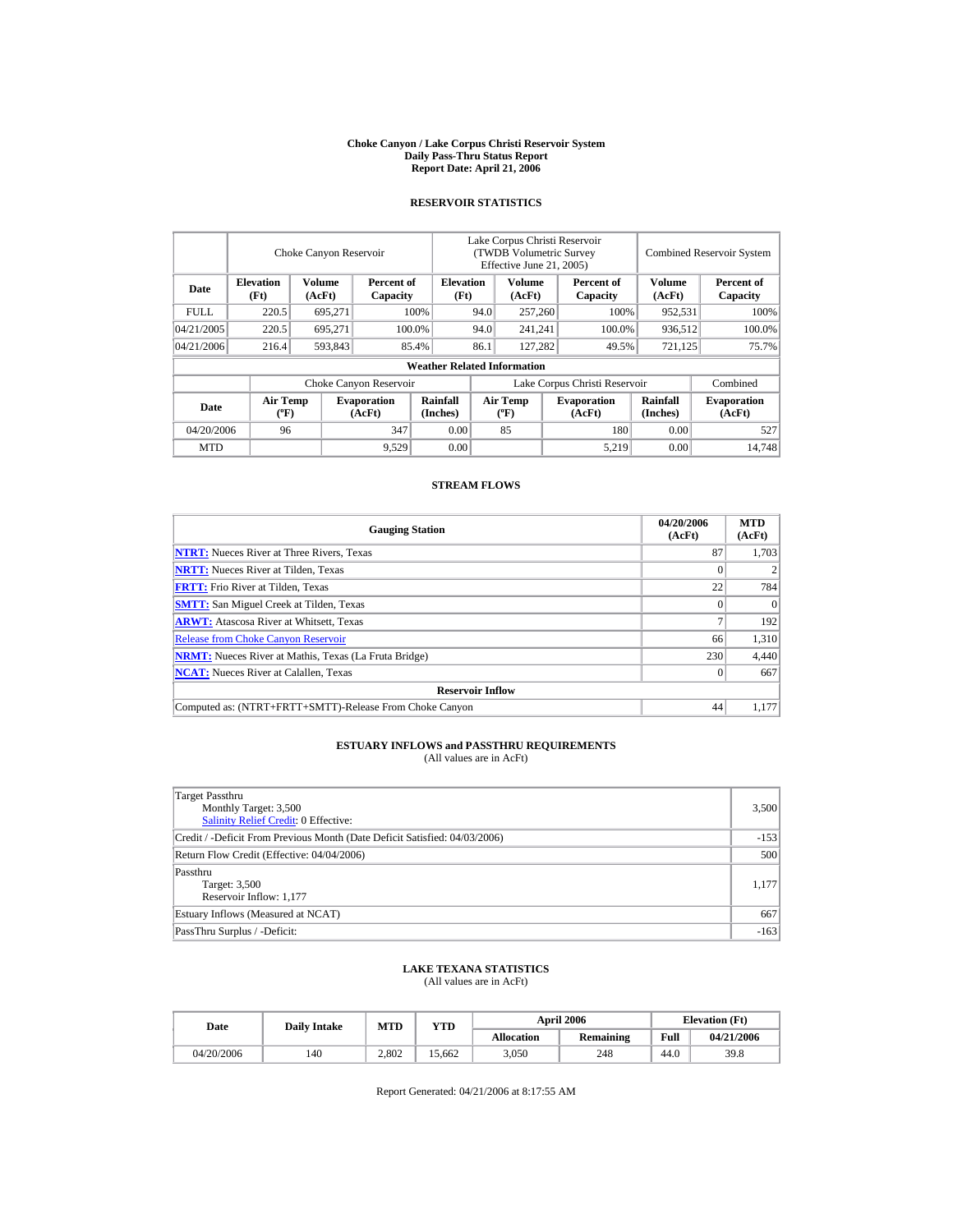#### **Choke Canyon / Lake Corpus Christi Reservoir System Daily Pass-Thru Status Report Report Date: April 21, 2006**

### **RESERVOIR STATISTICS**

|             |                                             | Choke Canyon Reservoir |                              |                                    | Lake Corpus Christi Reservoir<br><b>(TWDB Volumetric Survey)</b><br>Effective June 21, 2005) |                                      |  |                              | <b>Combined Reservoir System</b> |                              |
|-------------|---------------------------------------------|------------------------|------------------------------|------------------------------------|----------------------------------------------------------------------------------------------|--------------------------------------|--|------------------------------|----------------------------------|------------------------------|
| Date        | <b>Elevation</b><br>(Ft)                    | Volume<br>(AcFt)       | Percent of<br>Capacity       | <b>Elevation</b><br>(Ft)           |                                                                                              | Volume<br>(AcFt)                     |  | Percent of<br>Capacity       | <b>Volume</b><br>(AcFt)          | Percent of<br>Capacity       |
| <b>FULL</b> | 220.5                                       | 695,271                |                              | 100%                               | 94.0                                                                                         | 257,260                              |  | 100%                         | 952,531                          | 100%                         |
| 04/21/2005  | 220.5                                       | 695.271                |                              | 100.0%                             | 94.0                                                                                         | 241,241                              |  | 100.0%                       | 936,512                          | 100.0%                       |
| 04/21/2006  | 216.4                                       | 593,843                |                              | 85.4%                              | 86.1                                                                                         | 127,282                              |  | 49.5%                        | 721,125                          | 75.7%                        |
|             |                                             |                        |                              | <b>Weather Related Information</b> |                                                                                              |                                      |  |                              |                                  |                              |
|             |                                             |                        | Choke Canyon Reservoir       |                                    | Lake Corpus Christi Reservoir                                                                |                                      |  |                              |                                  | Combined                     |
| Date        | <b>Air Temp</b><br>$({}^{\circ}\mathrm{F})$ |                        | <b>Evaporation</b><br>(AcFt) | Rainfall<br>(Inches)               |                                                                                              | Air Temp<br>$({}^{\circ}\mathbf{F})$ |  | <b>Evaporation</b><br>(AcFt) | <b>Rainfall</b><br>(Inches)      | <b>Evaporation</b><br>(AcFt) |
| 04/20/2006  | 96                                          |                        | 347                          | 0.00                               |                                                                                              | 85                                   |  | 180                          | 0.00                             | 527                          |
| <b>MTD</b>  |                                             |                        | 9,529                        | 0.00                               |                                                                                              |                                      |  | 5,219                        | 0.00                             | 14.748                       |

### **STREAM FLOWS**

| <b>Gauging Station</b>                                       | 04/20/2006<br>(AcFt) | <b>MTD</b><br>(AcFt) |
|--------------------------------------------------------------|----------------------|----------------------|
| <b>NTRT:</b> Nueces River at Three Rivers, Texas             | 87                   | 1,703                |
| <b>NRTT:</b> Nueces River at Tilden, Texas                   | $_{0}$               |                      |
| <b>FRTT:</b> Frio River at Tilden, Texas                     | 22                   | 784                  |
| <b>SMTT:</b> San Miguel Creek at Tilden, Texas               | $^{(1)}$             | $\Omega$             |
| <b>ARWT:</b> Atascosa River at Whitsett, Texas               |                      | 192                  |
| <b>Release from Choke Canyon Reservoir</b>                   | 66                   | 1.310                |
| <b>NRMT:</b> Nueces River at Mathis, Texas (La Fruta Bridge) | 230                  | 4,440                |
| <b>NCAT:</b> Nueces River at Calallen, Texas                 | 0                    | 667                  |
| <b>Reservoir Inflow</b>                                      |                      |                      |
| Computed as: (NTRT+FRTT+SMTT)-Release From Choke Canyon      | 44                   | 1.177                |

# **ESTUARY INFLOWS and PASSTHRU REQUIREMENTS**<br>(All values are in AcFt)

| Target Passthru<br>Monthly Target: 3,500<br>Salinity Relief Credit: 0 Effective: | 3,500  |
|----------------------------------------------------------------------------------|--------|
| Credit / -Deficit From Previous Month (Date Deficit Satisfied: 04/03/2006)       | $-153$ |
| Return Flow Credit (Effective: 04/04/2006)                                       | 500    |
| Passthru<br>Target: 3,500<br>Reservoir Inflow: 1,177                             | 1,177  |
| Estuary Inflows (Measured at NCAT)                                               | 667    |
| PassThru Surplus / -Deficit:                                                     | $-163$ |

## **LAKE TEXANA STATISTICS**

(All values are in AcFt)

| Date       | <b>Daily Intake</b> | <b>MTD</b> | YTD    |                   | <b>April 2006</b> | <b>Elevation</b> (Ft) |            |
|------------|---------------------|------------|--------|-------------------|-------------------|-----------------------|------------|
|            |                     |            |        | <b>Allocation</b> | Remaining         | Full                  | 04/21/2006 |
| 04/20/2006 | 140                 | 2.802      | 15.662 | 3.050             | 248               | 44.0                  | 39.8       |

Report Generated: 04/21/2006 at 8:17:55 AM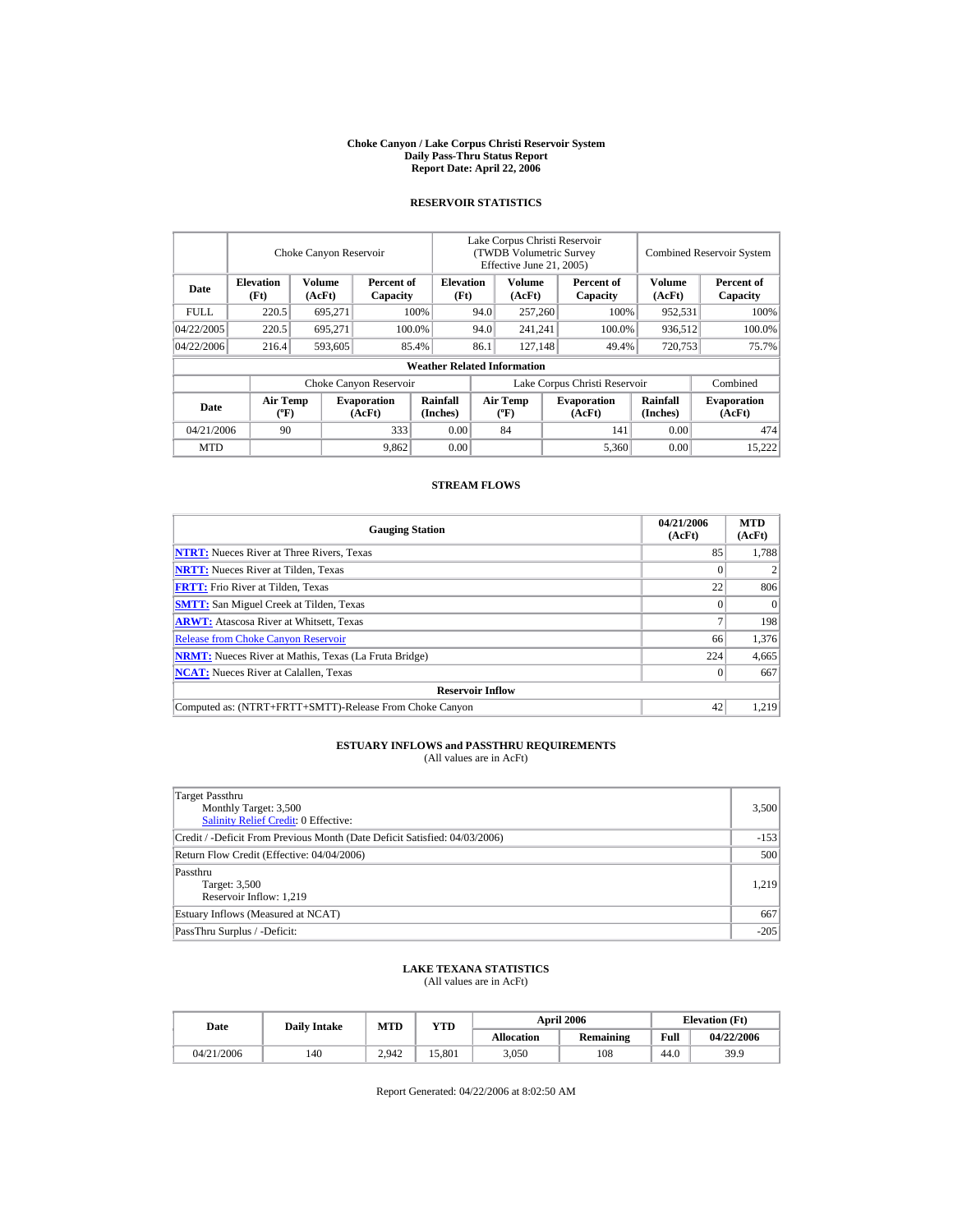#### **Choke Canyon / Lake Corpus Christi Reservoir System Daily Pass-Thru Status Report Report Date: April 22, 2006**

### **RESERVOIR STATISTICS**

|             |                                             | Choke Canyon Reservoir |                              |                                    | Lake Corpus Christi Reservoir<br><b>(TWDB Volumetric Survey)</b><br>Effective June 21, 2005) |                                      |  |                              |                             | <b>Combined Reservoir System</b> |
|-------------|---------------------------------------------|------------------------|------------------------------|------------------------------------|----------------------------------------------------------------------------------------------|--------------------------------------|--|------------------------------|-----------------------------|----------------------------------|
| Date        | <b>Elevation</b><br>(Ft)                    | Volume<br>(AcFt)       | Percent of<br>Capacity       | <b>Elevation</b><br>(Ft)           |                                                                                              | Volume<br>(AcFt)                     |  | Percent of<br>Capacity       | <b>Volume</b><br>(AcFt)     | Percent of<br>Capacity           |
| <b>FULL</b> | 220.5                                       | 695,271                |                              | 100%                               | 94.0                                                                                         | 257,260                              |  | 100%                         | 952,531                     | 100%                             |
| 04/22/2005  | 220.5                                       | 695.271                |                              | 100.0%                             | 94.0                                                                                         | 241,241                              |  | 100.0%                       | 936,512                     | 100.0%                           |
| 04/22/2006  | 216.4                                       | 593,605                |                              | 85.4%                              | 86.1                                                                                         | 127,148                              |  | 49.4%                        | 720,753                     | 75.7%                            |
|             |                                             |                        |                              | <b>Weather Related Information</b> |                                                                                              |                                      |  |                              |                             |                                  |
|             |                                             |                        | Choke Canyon Reservoir       |                                    | Lake Corpus Christi Reservoir                                                                |                                      |  |                              |                             | Combined                         |
| Date        | <b>Air Temp</b><br>$({}^{\circ}\mathrm{F})$ |                        | <b>Evaporation</b><br>(AcFt) | Rainfall<br>(Inches)               |                                                                                              | Air Temp<br>$({}^{\circ}\mathbf{F})$ |  | <b>Evaporation</b><br>(AcFt) | <b>Rainfall</b><br>(Inches) | <b>Evaporation</b><br>(AcFt)     |
| 04/21/2006  | 90                                          |                        | 333                          | 0.00                               |                                                                                              | 84                                   |  | 141                          | 0.00                        | 474                              |
| <b>MTD</b>  |                                             |                        | 9,862                        | 0.00                               |                                                                                              |                                      |  | 5,360                        | 0.00                        | 15.222                           |

### **STREAM FLOWS**

| <b>Gauging Station</b>                                       | 04/21/2006<br>(AcFt) | <b>MTD</b><br>(AcFt) |
|--------------------------------------------------------------|----------------------|----------------------|
| <b>NTRT:</b> Nueces River at Three Rivers, Texas             | 85                   | 1.788                |
| <b>NRTT:</b> Nueces River at Tilden, Texas                   |                      |                      |
| <b>FRTT:</b> Frio River at Tilden, Texas                     | 22                   | 806                  |
| <b>SMTT:</b> San Miguel Creek at Tilden, Texas               |                      | $\Omega$             |
| <b>ARWT:</b> Atascosa River at Whitsett, Texas               |                      | 198                  |
| <b>Release from Choke Canyon Reservoir</b>                   | 66                   | 1.376                |
| <b>NRMT:</b> Nueces River at Mathis, Texas (La Fruta Bridge) | 224                  | 4,665                |
| <b>NCAT:</b> Nueces River at Calallen, Texas                 | $\Omega$             | 667                  |
| <b>Reservoir Inflow</b>                                      |                      |                      |
| Computed as: (NTRT+FRTT+SMTT)-Release From Choke Canyon      | 42                   | 1.219                |

# **ESTUARY INFLOWS and PASSTHRU REQUIREMENTS**<br>(All values are in AcFt)

| Target Passthru<br>Monthly Target: 3,500<br><b>Salinity Relief Credit: 0 Effective:</b> | 3,500  |
|-----------------------------------------------------------------------------------------|--------|
| Credit / -Deficit From Previous Month (Date Deficit Satisfied: 04/03/2006)              | $-153$ |
| Return Flow Credit (Effective: 04/04/2006)                                              | 500    |
| Passthru<br>Target: 3,500<br>Reservoir Inflow: 1,219                                    | 1,219  |
| Estuary Inflows (Measured at NCAT)                                                      | 667    |
| PassThru Surplus / -Deficit:                                                            | $-205$ |

## **LAKE TEXANA STATISTICS**

(All values are in AcFt)

| Date       | <b>Daily Intake</b> | <b>MTD</b> | YTD    |                   | <b>April 2006</b> | <b>Elevation</b> (Ft) |            |
|------------|---------------------|------------|--------|-------------------|-------------------|-----------------------|------------|
|            |                     |            |        | <b>Allocation</b> | Remaining         | Full                  | 04/22/2006 |
| 04/21/2006 | 140                 | 2.942      | 15.801 | 3.050             | 108               | 44.0                  | 39.9       |

Report Generated: 04/22/2006 at 8:02:50 AM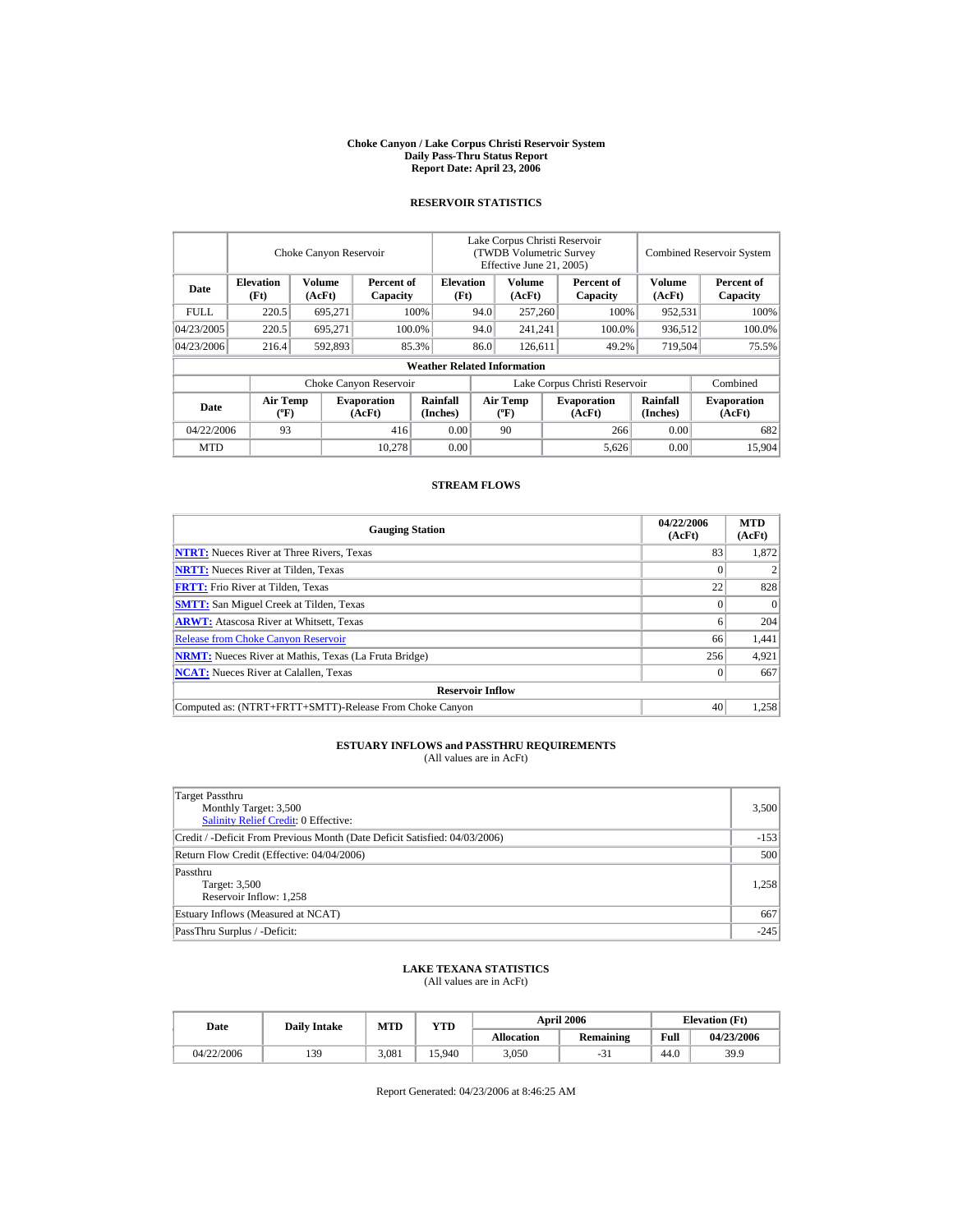#### **Choke Canyon / Lake Corpus Christi Reservoir System Daily Pass-Thru Status Report Report Date: April 23, 2006**

### **RESERVOIR STATISTICS**

|             |                                             | Choke Canyon Reservoir |                              |                                    | Lake Corpus Christi Reservoir<br>(TWDB Volumetric Survey<br>Effective June 21, 2005) |                                      |  |                              |                             | <b>Combined Reservoir System</b> |  |  |
|-------------|---------------------------------------------|------------------------|------------------------------|------------------------------------|--------------------------------------------------------------------------------------|--------------------------------------|--|------------------------------|-----------------------------|----------------------------------|--|--|
| Date        | <b>Elevation</b><br>(Ft)                    | Volume<br>(AcFt)       | Percent of<br>Capacity       | <b>Elevation</b><br>(Ft)           |                                                                                      | Volume<br>(AcFt)                     |  | Percent of<br>Capacity       | <b>Volume</b><br>(AcFt)     | Percent of<br>Capacity           |  |  |
| <b>FULL</b> | 220.5                                       | 695,271                |                              | 100%                               | 94.0                                                                                 | 257,260                              |  | 100%                         | 952,531                     | 100%                             |  |  |
| 04/23/2005  | 220.5                                       | 695.271                |                              | 100.0%                             | 94.0                                                                                 | 241,241                              |  | 100.0%                       | 936,512                     | 100.0%                           |  |  |
| 04/23/2006  | 216.4                                       | 592,893                |                              | 85.3%                              | 86.0                                                                                 | 126,611                              |  | 49.2%                        | 719,504                     | 75.5%                            |  |  |
|             |                                             |                        |                              | <b>Weather Related Information</b> |                                                                                      |                                      |  |                              |                             |                                  |  |  |
|             |                                             |                        | Choke Canyon Reservoir       |                                    | Lake Corpus Christi Reservoir                                                        |                                      |  |                              | Combined                    |                                  |  |  |
| Date        | <b>Air Temp</b><br>$({}^{\circ}\mathrm{F})$ |                        | <b>Evaporation</b><br>(AcFt) | Rainfall<br>(Inches)               |                                                                                      | Air Temp<br>$({}^{\circ}\mathbf{F})$ |  | <b>Evaporation</b><br>(AcFt) | <b>Rainfall</b><br>(Inches) | <b>Evaporation</b><br>(AcFt)     |  |  |
| 04/22/2006  | 93                                          |                        | 416                          | 0.00                               |                                                                                      | 90                                   |  | 266                          | 0.00                        | 682                              |  |  |
| <b>MTD</b>  |                                             |                        | 10.278                       | 0.00                               |                                                                                      |                                      |  | 5,626                        | 0.00                        | 15.904                           |  |  |

### **STREAM FLOWS**

| <b>Gauging Station</b>                                       | 04/22/2006<br>(AcFt) | <b>MTD</b><br>(AcFt) |
|--------------------------------------------------------------|----------------------|----------------------|
| <b>NTRT:</b> Nueces River at Three Rivers, Texas             | 83                   | 1.872                |
| <b>NRTT:</b> Nueces River at Tilden, Texas                   |                      |                      |
| <b>FRTT:</b> Frio River at Tilden, Texas                     | 22                   | 828                  |
| <b>SMTT:</b> San Miguel Creek at Tilden, Texas               |                      | $\Omega$             |
| <b>ARWT:</b> Atascosa River at Whitsett, Texas               |                      | 204                  |
| <b>Release from Choke Canyon Reservoir</b>                   | 66                   | 1,441                |
| <b>NRMT:</b> Nueces River at Mathis, Texas (La Fruta Bridge) | 256                  | 4,921                |
| <b>NCAT:</b> Nueces River at Calallen, Texas                 | $\Omega$             | 667                  |
| <b>Reservoir Inflow</b>                                      |                      |                      |
| Computed as: (NTRT+FRTT+SMTT)-Release From Choke Canyon      | 40                   | 1.258                |

# **ESTUARY INFLOWS and PASSTHRU REQUIREMENTS**<br>(All values are in AcFt)

| Target Passthru<br>Monthly Target: 3,500<br><b>Salinity Relief Credit: 0 Effective:</b> | 3,500  |
|-----------------------------------------------------------------------------------------|--------|
| Credit / -Deficit From Previous Month (Date Deficit Satisfied: 04/03/2006)              | $-153$ |
| Return Flow Credit (Effective: 04/04/2006)                                              | 500    |
| Passthru<br>Target: 3,500<br>Reservoir Inflow: 1,258                                    | 1,258  |
| Estuary Inflows (Measured at NCAT)                                                      | 667    |
| PassThru Surplus / -Deficit:                                                            | $-245$ |

### **LAKE TEXANA STATISTICS**

(All values are in AcFt)

| Date       |     | MTD<br><b>Daily Intake</b> |        |                   | <b>April 2006</b> | <b>Elevation</b> (Ft) |            |
|------------|-----|----------------------------|--------|-------------------|-------------------|-----------------------|------------|
|            |     |                            | VTD    | <b>Allocation</b> | Remaining         | Full                  | 04/23/2006 |
| 04/22/2006 | 139 | 3.081                      | 15.940 | 3,050             | -21               | 44.0                  | 39.9       |

Report Generated: 04/23/2006 at 8:46:25 AM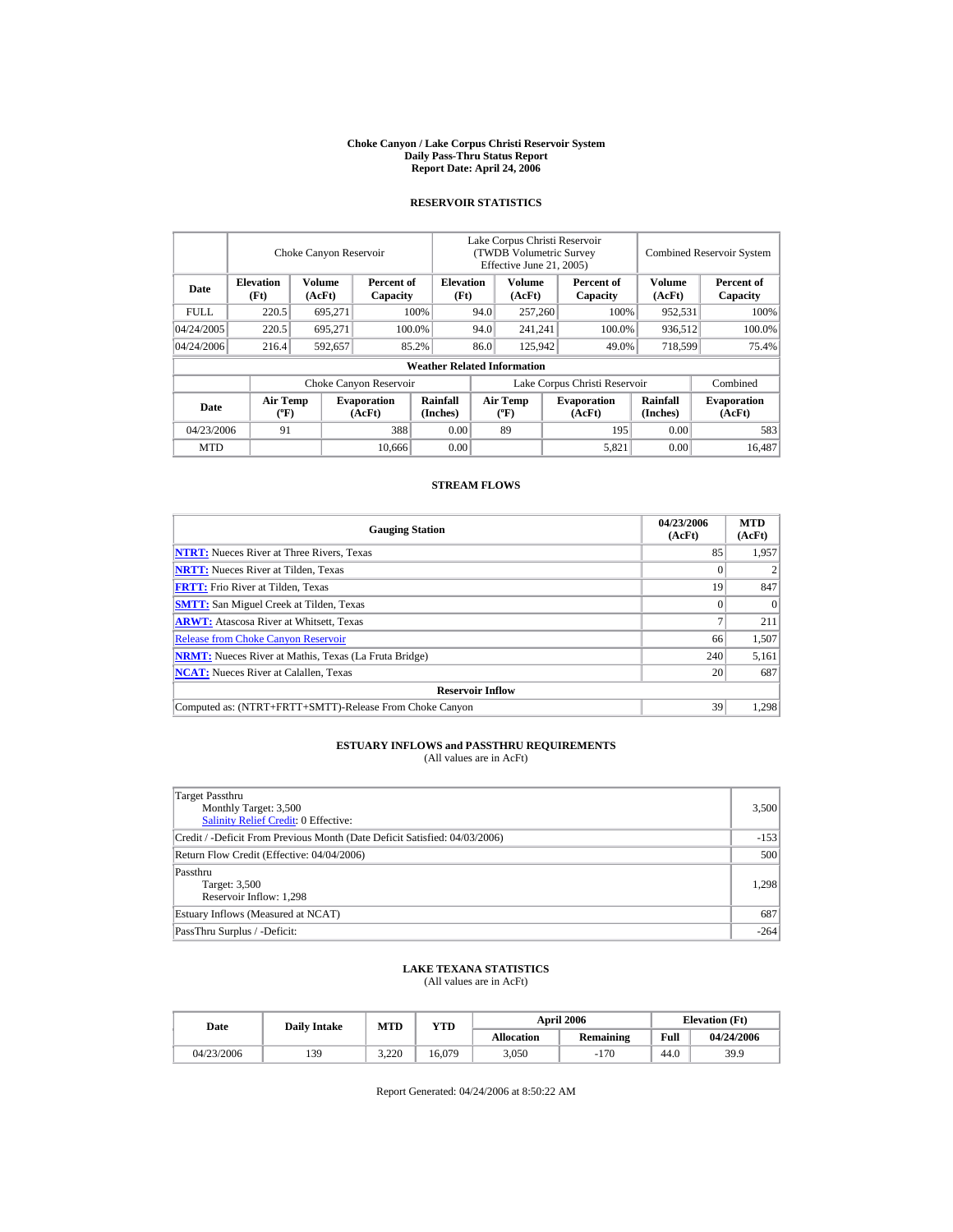#### **Choke Canyon / Lake Corpus Christi Reservoir System Daily Pass-Thru Status Report Report Date: April 24, 2006**

### **RESERVOIR STATISTICS**

|            | Choke Canyon Reservoir                      |                  |                              |                                    | Lake Corpus Christi Reservoir<br>(TWDB Volumetric Survey<br>Effective June 21, 2005) |                                             |  |                              | <b>Combined Reservoir System</b> |                              |  |
|------------|---------------------------------------------|------------------|------------------------------|------------------------------------|--------------------------------------------------------------------------------------|---------------------------------------------|--|------------------------------|----------------------------------|------------------------------|--|
| Date       | <b>Elevation</b><br>(Ft)                    | Volume<br>(AcFt) | Percent of<br>Capacity       | <b>Elevation</b><br>(Ft)           |                                                                                      | Volume<br>(AcFt)                            |  | Percent of<br>Capacity       | Volume<br>(AcFt)                 | Percent of<br>Capacity       |  |
| FULL.      | 220.5                                       | 695,271          |                              | 100%                               | 94.0                                                                                 | 257,260                                     |  | 100%                         | 952,531                          | 100%                         |  |
| 04/24/2005 | 220.5                                       | 695,271          |                              | 100.0%                             | 94.0                                                                                 | 241,241                                     |  | 100.0%                       | 936,512                          | 100.0%                       |  |
| 04/24/2006 | 216.4                                       | 592,657          |                              | 85.2%                              | 86.0                                                                                 | 125,942                                     |  | 49.0%                        | 718,599                          | 75.4%                        |  |
|            |                                             |                  |                              | <b>Weather Related Information</b> |                                                                                      |                                             |  |                              |                                  |                              |  |
|            |                                             |                  | Choke Canyon Reservoir       |                                    | Lake Corpus Christi Reservoir                                                        |                                             |  |                              |                                  | Combined                     |  |
| Date       | <b>Air Temp</b><br>$({}^{\circ}\mathrm{F})$ |                  | <b>Evaporation</b><br>(AcFt) | Rainfall<br>(Inches)               |                                                                                      | <b>Air Temp</b><br>$({}^{\circ}\mathbf{F})$ |  | <b>Evaporation</b><br>(AcFt) | <b>Rainfall</b><br>(Inches)      | <b>Evaporation</b><br>(AcFt) |  |
| 04/23/2006 | 91                                          |                  | 388                          | 0.00                               |                                                                                      | 89                                          |  | 195                          | 0.00                             | 583                          |  |
| <b>MTD</b> |                                             |                  | 10.666                       | 0.00                               |                                                                                      |                                             |  | 5,821                        | 0.00                             | 16.487                       |  |

### **STREAM FLOWS**

| <b>Gauging Station</b>                                       | 04/23/2006<br>(AcFt) | <b>MTD</b><br>(AcFt) |
|--------------------------------------------------------------|----------------------|----------------------|
| <b>NTRT:</b> Nueces River at Three Rivers, Texas             | 85                   | 1,957                |
| <b>NRTT:</b> Nueces River at Tilden, Texas                   |                      |                      |
| <b>FRTT:</b> Frio River at Tilden, Texas                     | 19                   | 847                  |
| <b>SMTT:</b> San Miguel Creek at Tilden, Texas               |                      | $\Omega$             |
| <b>ARWT:</b> Atascosa River at Whitsett, Texas               |                      | 211                  |
| <b>Release from Choke Canyon Reservoir</b>                   | 66                   | 1,507                |
| <b>NRMT:</b> Nueces River at Mathis, Texas (La Fruta Bridge) | 240                  | 5,161                |
| <b>NCAT:</b> Nueces River at Calallen, Texas                 | 20                   | 687                  |
| <b>Reservoir Inflow</b>                                      |                      |                      |
| Computed as: (NTRT+FRTT+SMTT)-Release From Choke Canyon      | 39                   | 1.298                |

# **ESTUARY INFLOWS and PASSTHRU REQUIREMENTS**<br>(All values are in AcFt)

| Target Passthru<br>Monthly Target: 3,500<br><b>Salinity Relief Credit: 0 Effective:</b> | 3,500  |
|-----------------------------------------------------------------------------------------|--------|
| Credit / -Deficit From Previous Month (Date Deficit Satisfied: 04/03/2006)              | $-153$ |
| Return Flow Credit (Effective: 04/04/2006)                                              | 500    |
| Passthru<br>Target: 3,500<br>Reservoir Inflow: 1,298                                    | 1,298  |
| Estuary Inflows (Measured at NCAT)                                                      | 687    |
| PassThru Surplus / -Deficit:                                                            | $-264$ |

## **LAKE TEXANA STATISTICS**

(All values are in AcFt)

| Date |            | <b>Daily Intake</b> | MTD   | YTD    |                   | <b>April 2006</b> | <b>Elevation</b> (Ft) |            |
|------|------------|---------------------|-------|--------|-------------------|-------------------|-----------------------|------------|
|      |            |                     |       |        | <b>Allocation</b> | <b>Remaining</b>  | Full                  | 04/24/2006 |
|      | 04/23/2006 | 139                 | 3.220 | 16.079 | 3.050             | $-170$            | 44.0                  | 39.9       |

Report Generated: 04/24/2006 at 8:50:22 AM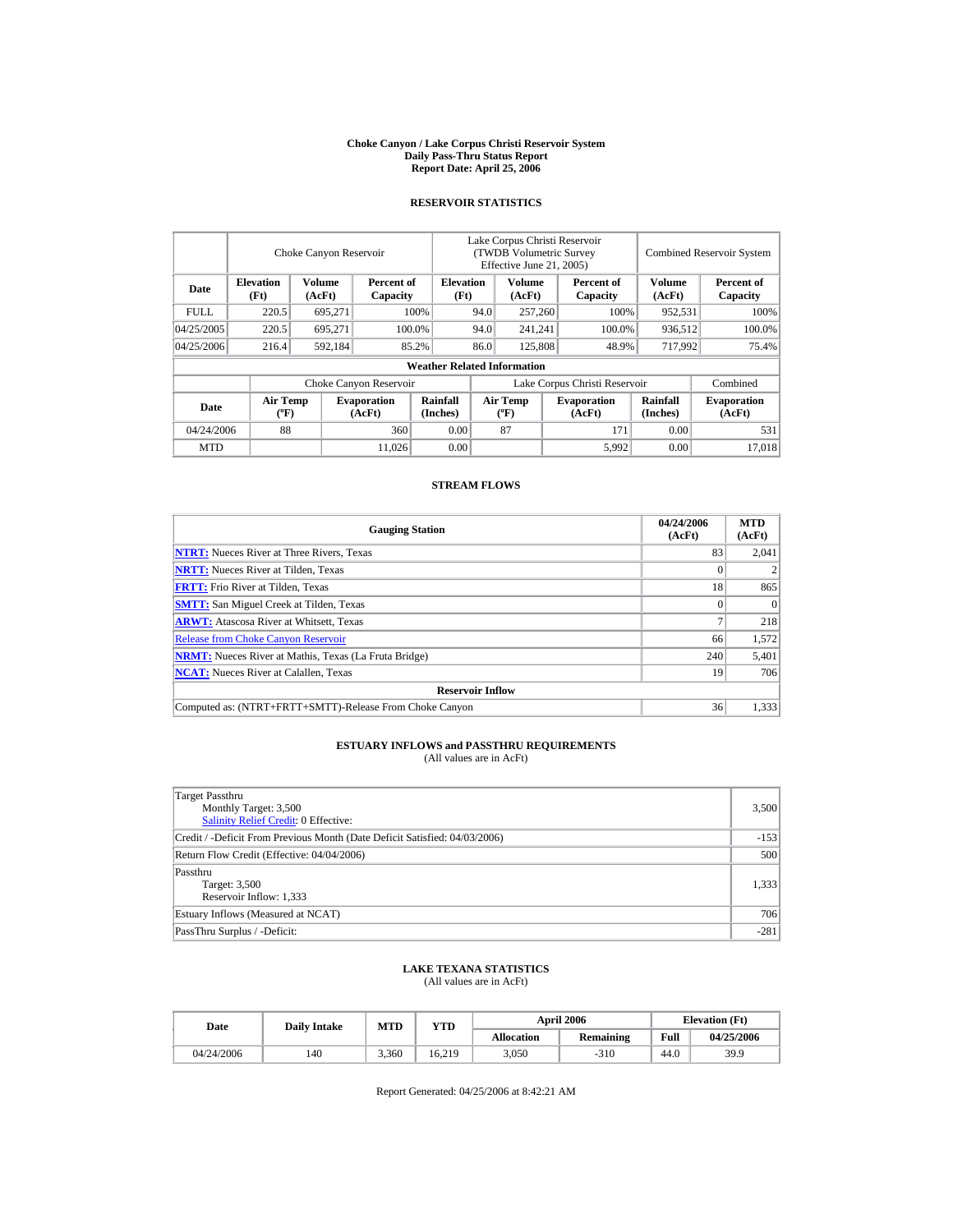#### **Choke Canyon / Lake Corpus Christi Reservoir System Daily Pass-Thru Status Report Report Date: April 25, 2006**

### **RESERVOIR STATISTICS**

|            | Choke Canyon Reservoir                      |                  |                              |                                    | Lake Corpus Christi Reservoir<br>(TWDB Volumetric Survey<br>Effective June 21, 2005) |                                  |  |                              | <b>Combined Reservoir System</b> |                              |  |
|------------|---------------------------------------------|------------------|------------------------------|------------------------------------|--------------------------------------------------------------------------------------|----------------------------------|--|------------------------------|----------------------------------|------------------------------|--|
| Date       | <b>Elevation</b><br>(Ft)                    | Volume<br>(AcFt) | Percent of<br>Capacity       | <b>Elevation</b><br>(Ft)           |                                                                                      | Volume<br>(AcFt)                 |  | Percent of<br>Capacity       | Volume<br>(AcFt)                 | Percent of<br>Capacity       |  |
| FULL.      | 220.5                                       | 695,271          |                              | 100%                               | 94.0                                                                                 | 257,260                          |  | 100%                         | 952,531                          | 100%                         |  |
| 04/25/2005 | 220.5                                       | 695,271          |                              | 100.0%                             | 94.0                                                                                 | 241,241                          |  | 100.0%                       | 936,512                          | 100.0%                       |  |
| 04/25/2006 | 216.4                                       | 592,184          |                              | 85.2%                              | 86.0                                                                                 | 125,808                          |  | 48.9%                        | 717.992                          | 75.4%                        |  |
|            |                                             |                  |                              | <b>Weather Related Information</b> |                                                                                      |                                  |  |                              |                                  |                              |  |
|            |                                             |                  | Choke Canyon Reservoir       |                                    | Lake Corpus Christi Reservoir                                                        |                                  |  |                              |                                  | Combined                     |  |
| Date       | <b>Air Temp</b><br>$({}^{\circ}\mathrm{F})$ |                  | <b>Evaporation</b><br>(AcFt) | Rainfall<br>(Inches)               |                                                                                      | <b>Air Temp</b><br>$(^{\circ}F)$ |  | <b>Evaporation</b><br>(AcFt) | <b>Rainfall</b><br>(Inches)      | <b>Evaporation</b><br>(AcFt) |  |
| 04/24/2006 | 88                                          |                  | 360                          | 0.00                               |                                                                                      | 87                               |  | 171                          | 0.00                             | 531                          |  |
| <b>MTD</b> |                                             |                  | 11.026                       | 0.00                               |                                                                                      |                                  |  | 5,992                        | 0.00                             | 17.018                       |  |

### **STREAM FLOWS**

| <b>Gauging Station</b>                                       | 04/24/2006<br>(AcFt) | <b>MTD</b><br>(AcFt) |
|--------------------------------------------------------------|----------------------|----------------------|
| <b>NTRT:</b> Nueces River at Three Rivers, Texas             | 83                   | 2,041                |
| <b>NRTT:</b> Nueces River at Tilden, Texas                   |                      |                      |
| <b>FRTT:</b> Frio River at Tilden, Texas                     | 18                   | 865                  |
| <b>SMTT:</b> San Miguel Creek at Tilden, Texas               |                      | $\Omega$             |
| <b>ARWT:</b> Atascosa River at Whitsett, Texas               |                      | 218                  |
| <b>Release from Choke Canyon Reservoir</b>                   | 66                   | 1.572                |
| <b>NRMT:</b> Nueces River at Mathis, Texas (La Fruta Bridge) | 240                  | 5,401                |
| <b>NCAT:</b> Nueces River at Calallen, Texas                 | 19                   | 706                  |
| <b>Reservoir Inflow</b>                                      |                      |                      |
| Computed as: (NTRT+FRTT+SMTT)-Release From Choke Canyon      | 36                   | 1.333                |

# **ESTUARY INFLOWS and PASSTHRU REQUIREMENTS**<br>(All values are in AcFt)

| Target Passthru<br>Monthly Target: 3,500<br><b>Salinity Relief Credit: 0 Effective:</b> | 3,500  |
|-----------------------------------------------------------------------------------------|--------|
| Credit / -Deficit From Previous Month (Date Deficit Satisfied: 04/03/2006)              | $-153$ |
| Return Flow Credit (Effective: 04/04/2006)                                              | 500    |
| Passthru<br>Target: 3,500<br>Reservoir Inflow: 1,333                                    | 1,333  |
| Estuary Inflows (Measured at NCAT)                                                      | 706    |
| PassThru Surplus / -Deficit:                                                            | $-281$ |

## **LAKE TEXANA STATISTICS**

(All values are in AcFt)

| Date       | <b>Daily Intake</b> | <b>MTD</b> | YTD    |                   | <b>April 2006</b> | <b>Elevation</b> (Ft) |            |
|------------|---------------------|------------|--------|-------------------|-------------------|-----------------------|------------|
|            |                     |            |        | <b>Allocation</b> | <b>Remaining</b>  | Full                  | 04/25/2006 |
| 04/24/2006 | 140                 | 3.360      | 16.219 | 3.050             | $-310$            | 44.0                  | 39.9       |

Report Generated: 04/25/2006 at 8:42:21 AM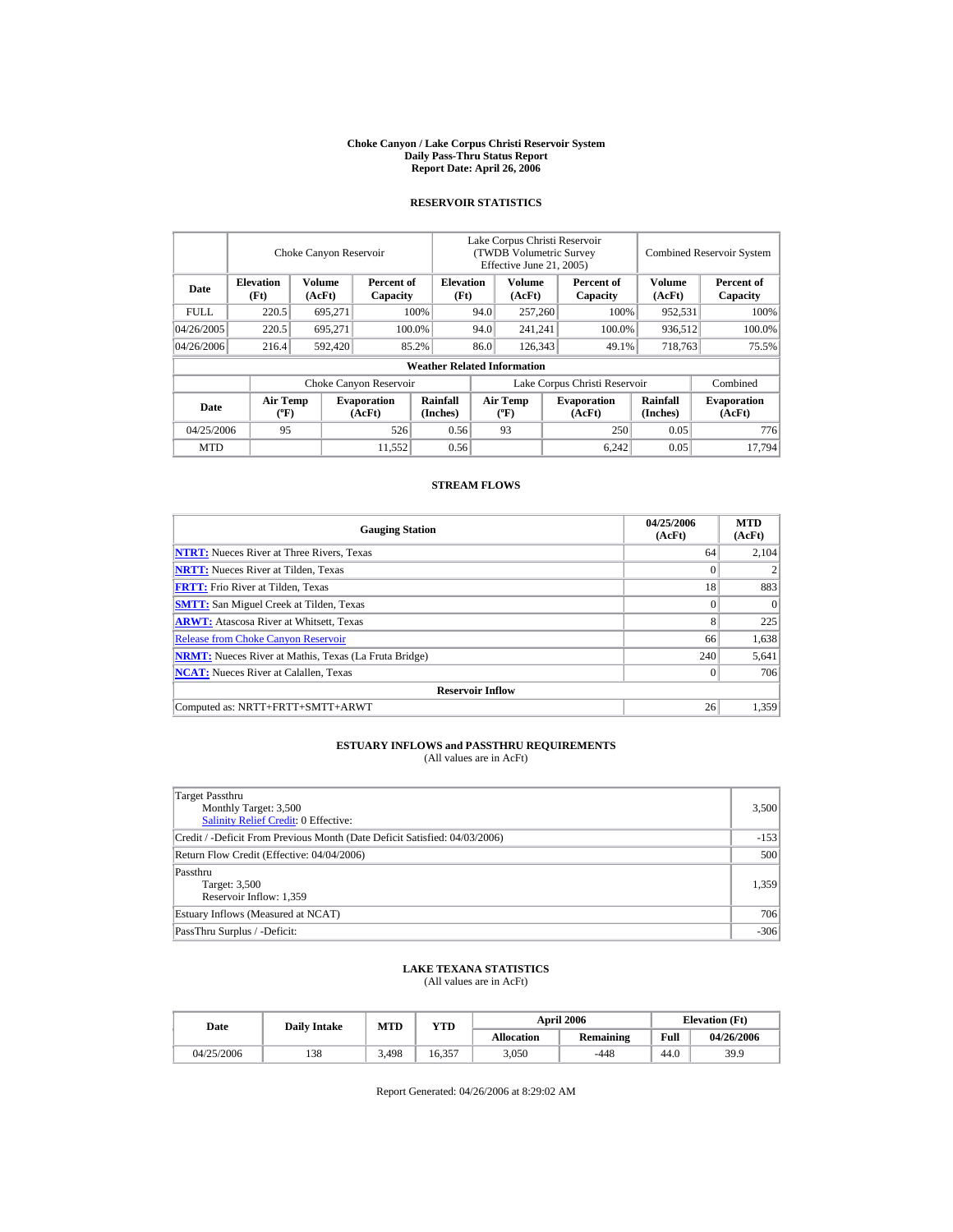#### **Choke Canyon / Lake Corpus Christi Reservoir System Daily Pass-Thru Status Report Report Date: April 26, 2006**

### **RESERVOIR STATISTICS**

|             | Choke Canyon Reservoir                      |                  |                              |                                    | Lake Corpus Christi Reservoir<br>(TWDB Volumetric Survey<br>Effective June 21, 2005) |                                  |  |                              | <b>Combined Reservoir System</b> |                              |  |
|-------------|---------------------------------------------|------------------|------------------------------|------------------------------------|--------------------------------------------------------------------------------------|----------------------------------|--|------------------------------|----------------------------------|------------------------------|--|
| Date        | <b>Elevation</b><br>(Ft)                    | Volume<br>(AcFt) | Percent of<br>Capacity       | <b>Elevation</b><br>(Ft)           |                                                                                      | Volume<br>(AcFt)                 |  | Percent of<br>Capacity       | Volume<br>(AcFt)                 | Percent of<br>Capacity       |  |
| <b>FULL</b> | 220.5                                       | 695,271          |                              | 100%                               | 94.0                                                                                 | 257,260                          |  | 100%                         | 952,531                          | 100%                         |  |
| 04/26/2005  | 220.5                                       | 695,271          |                              | 100.0%                             | 94.0                                                                                 | 241,241                          |  | 100.0%                       | 936,512                          | 100.0%                       |  |
| 04/26/2006  | 216.4                                       | 592,420          |                              | 85.2%                              | 86.0                                                                                 | 126,343                          |  | 49.1%                        | 718,763                          | 75.5%                        |  |
|             |                                             |                  |                              | <b>Weather Related Information</b> |                                                                                      |                                  |  |                              |                                  |                              |  |
|             |                                             |                  | Choke Canyon Reservoir       |                                    | Lake Corpus Christi Reservoir                                                        |                                  |  |                              |                                  | Combined                     |  |
| Date        | <b>Air Temp</b><br>$({}^{\circ}\mathrm{F})$ |                  | <b>Evaporation</b><br>(AcFt) | Rainfall<br>(Inches)               |                                                                                      | <b>Air Temp</b><br>$(^{\circ}F)$ |  | <b>Evaporation</b><br>(AcFt) | <b>Rainfall</b><br>(Inches)      | <b>Evaporation</b><br>(AcFt) |  |
| 04/25/2006  | 95                                          |                  | 526                          | 0.56                               |                                                                                      | 93                               |  | 250                          | 0.05                             | 776                          |  |
| <b>MTD</b>  |                                             |                  | 11.552                       | 0.56                               |                                                                                      |                                  |  | 6,242                        | 0.05                             | 17.794                       |  |

### **STREAM FLOWS**

| <b>Gauging Station</b>                                       | 04/25/2006<br>(AcFt) | <b>MTD</b><br>(AcFt) |
|--------------------------------------------------------------|----------------------|----------------------|
| <b>NTRT:</b> Nueces River at Three Rivers, Texas             | 64                   | 2.104                |
| <b>NRTT:</b> Nueces River at Tilden, Texas                   | $\theta$             |                      |
| <b>FRTT:</b> Frio River at Tilden, Texas                     | 18                   | 883                  |
| <b>SMTT:</b> San Miguel Creek at Tilden, Texas               | $\Omega$             | $\Omega$             |
| <b>ARWT:</b> Atascosa River at Whitsett, Texas               | 8                    | 225                  |
| <b>Release from Choke Canyon Reservoir</b>                   | 66                   | 1,638                |
| <b>NRMT:</b> Nueces River at Mathis, Texas (La Fruta Bridge) | 240                  | 5,641                |
| <b>NCAT:</b> Nueces River at Calallen. Texas                 | $\overline{0}$       | 706                  |
| <b>Reservoir Inflow</b>                                      |                      |                      |
| Computed as: NRTT+FRTT+SMTT+ARWT                             | 26                   | 1,359                |

# **ESTUARY INFLOWS and PASSTHRU REQUIREMENTS**<br>(All values are in AcFt)

| Target Passthru<br>Monthly Target: 3,500<br><b>Salinity Relief Credit: 0 Effective:</b> | 3,500  |
|-----------------------------------------------------------------------------------------|--------|
| Credit / -Deficit From Previous Month (Date Deficit Satisfied: 04/03/2006)              | $-153$ |
| Return Flow Credit (Effective: 04/04/2006)                                              | 500    |
| Passthru<br>Target: 3,500<br>Reservoir Inflow: 1,359                                    | 1,359  |
| Estuary Inflows (Measured at NCAT)                                                      | 706    |
| PassThru Surplus / -Deficit:                                                            | $-306$ |

## **LAKE TEXANA STATISTICS**

(All values are in AcFt)

| Date       | <b>Daily Intake</b> | <b>MTD</b> | <b>VTD</b> |            | <b>April 2006</b> | <b>Elevation</b> (Ft) |            |
|------------|---------------------|------------|------------|------------|-------------------|-----------------------|------------|
|            |                     |            |            | Allocation | <b>Remaining</b>  | Full                  | 04/26/2006 |
| 04/25/2006 | 138                 | 3.498      | 16.357     | 3,050      | $-448$            | 44.0                  | 39.9       |

Report Generated: 04/26/2006 at 8:29:02 AM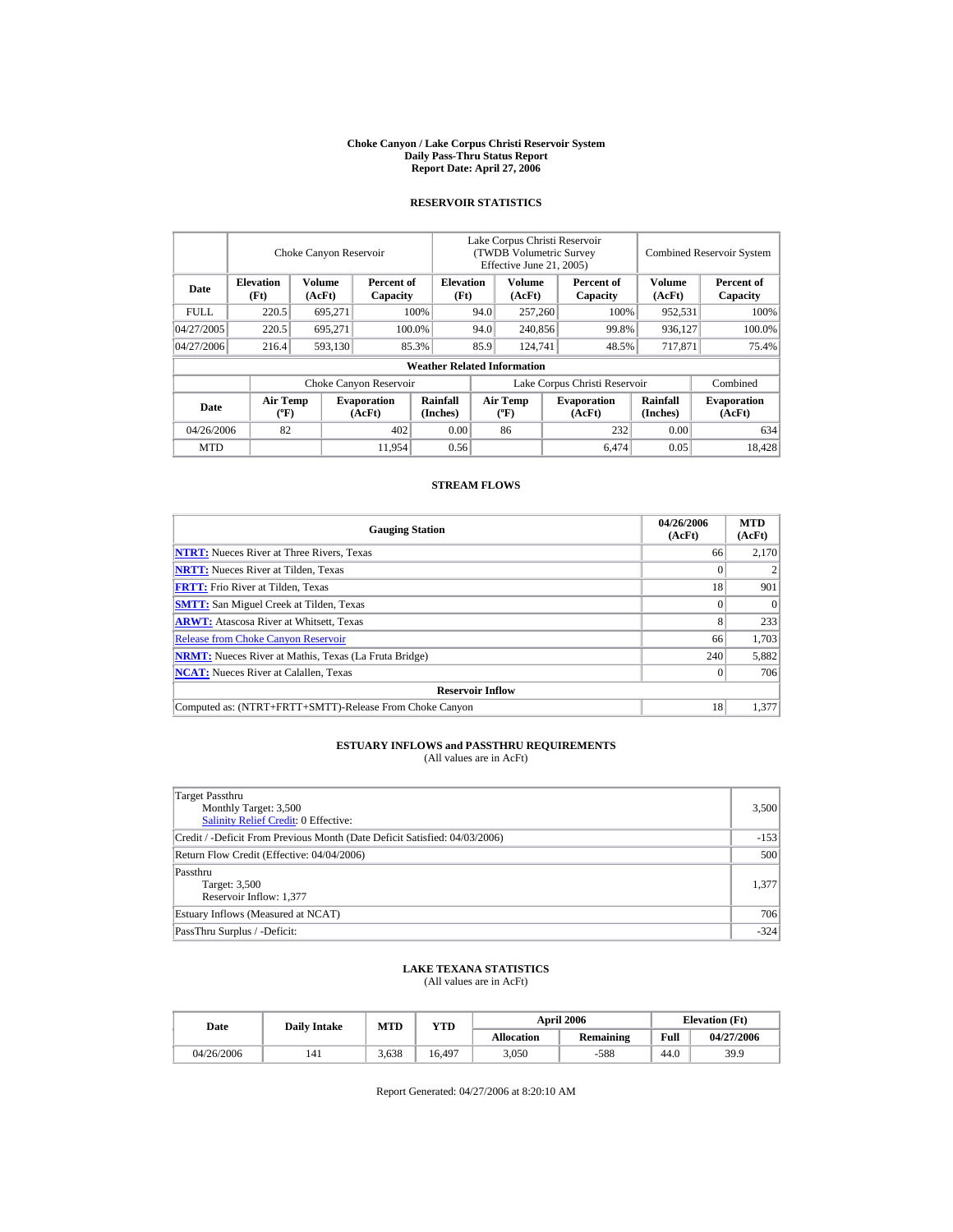#### **Choke Canyon / Lake Corpus Christi Reservoir System Daily Pass-Thru Status Report Report Date: April 27, 2006**

### **RESERVOIR STATISTICS**

|             |                                             | Choke Canyon Reservoir |                              |                                    | Lake Corpus Christi Reservoir<br>(TWDB Volumetric Survey<br>Effective June 21, 2005) |                           |  |                              |                             | <b>Combined Reservoir System</b> |
|-------------|---------------------------------------------|------------------------|------------------------------|------------------------------------|--------------------------------------------------------------------------------------|---------------------------|--|------------------------------|-----------------------------|----------------------------------|
| Date        | <b>Elevation</b><br>(Ft)                    | Volume<br>(AcFt)       | Percent of<br>Capacity       | <b>Elevation</b><br>(Ft)           |                                                                                      | Volume<br>(AcFt)          |  | Percent of<br>Capacity       | <b>Volume</b><br>(AcFt)     | Percent of<br>Capacity           |
| <b>FULL</b> | 220.5                                       | 695,271                |                              | 100%                               | 94.0                                                                                 | 257,260                   |  | 100%                         | 952,531                     | 100%                             |
| 04/27/2005  | 220.5                                       | 695.271                |                              | 100.0%                             | 94.0                                                                                 | 240,856                   |  | 99.8%                        | 936,127                     | 100.0%                           |
| 04/27/2006  | 216.4                                       | 593,130                |                              | 85.3%                              | 85.9                                                                                 | 124,741                   |  | 48.5%                        | 717,871                     | 75.4%                            |
|             |                                             |                        |                              | <b>Weather Related Information</b> |                                                                                      |                           |  |                              |                             |                                  |
|             |                                             |                        | Choke Canyon Reservoir       |                                    | Lake Corpus Christi Reservoir                                                        |                           |  |                              |                             | Combined                         |
| Date        | <b>Air Temp</b><br>$({}^{\circ}\mathrm{F})$ |                        | <b>Evaporation</b><br>(AcFt) | Rainfall<br>(Inches)               |                                                                                      | Air Temp<br>$(^{\circ}F)$ |  | <b>Evaporation</b><br>(AcFt) | <b>Rainfall</b><br>(Inches) | <b>Evaporation</b><br>(AcFt)     |
| 04/26/2006  | 82                                          |                        | 402                          | 0.00                               |                                                                                      | 86                        |  | 232                          | 0.00                        | 634                              |
| <b>MTD</b>  |                                             |                        | 11.954                       | 0.56                               |                                                                                      |                           |  | 6.474                        | 0.05                        | 18.428                           |

### **STREAM FLOWS**

| <b>Gauging Station</b>                                       | 04/26/2006<br>(AcFt) | <b>MTD</b><br>(AcFt) |  |  |  |  |  |
|--------------------------------------------------------------|----------------------|----------------------|--|--|--|--|--|
| <b>NTRT:</b> Nueces River at Three Rivers, Texas             | 66                   | 2,170                |  |  |  |  |  |
| <b>NRTT:</b> Nueces River at Tilden, Texas                   |                      |                      |  |  |  |  |  |
| <b>FRTT:</b> Frio River at Tilden, Texas                     | 18                   | 901                  |  |  |  |  |  |
| <b>SMTT:</b> San Miguel Creek at Tilden, Texas               |                      | $\Omega$             |  |  |  |  |  |
| <b>ARWT:</b> Atascosa River at Whitsett, Texas               | 8                    | 233                  |  |  |  |  |  |
| <b>Release from Choke Canyon Reservoir</b>                   | 66                   | 1.703                |  |  |  |  |  |
| <b>NRMT:</b> Nueces River at Mathis, Texas (La Fruta Bridge) | 240                  | 5,882                |  |  |  |  |  |
| <b>NCAT:</b> Nueces River at Calallen, Texas                 |                      | 706                  |  |  |  |  |  |
| <b>Reservoir Inflow</b>                                      |                      |                      |  |  |  |  |  |
| Computed as: (NTRT+FRTT+SMTT)-Release From Choke Canyon      | 18                   | 1.377                |  |  |  |  |  |

# **ESTUARY INFLOWS and PASSTHRU REQUIREMENTS**<br>(All values are in AcFt)

| Target Passthru<br>Monthly Target: 3,500<br><b>Salinity Relief Credit: 0 Effective:</b> | 3,500  |
|-----------------------------------------------------------------------------------------|--------|
| Credit / -Deficit From Previous Month (Date Deficit Satisfied: 04/03/2006)              | $-153$ |
| Return Flow Credit (Effective: 04/04/2006)                                              | 500    |
| Passthru<br>Target: 3,500<br>Reservoir Inflow: 1,377                                    | 1,377  |
| Estuary Inflows (Measured at NCAT)                                                      | 706    |
| PassThru Surplus / -Deficit:                                                            | $-324$ |

## **LAKE TEXANA STATISTICS**

(All values are in AcFt)

| Date       | <b>Daily Intake</b> | <b>MTD</b> | YTD    |                   | <b>April 2006</b> | <b>Elevation</b> (Ft) |            |
|------------|---------------------|------------|--------|-------------------|-------------------|-----------------------|------------|
|            |                     |            |        | <b>Allocation</b> | <b>Remaining</b>  | Full                  | 04/27/2006 |
| 04/26/2006 | 141                 | 3.638      | 16.497 | 3.050             | $-588$            | 44.0                  | 39.9       |

Report Generated: 04/27/2006 at 8:20:10 AM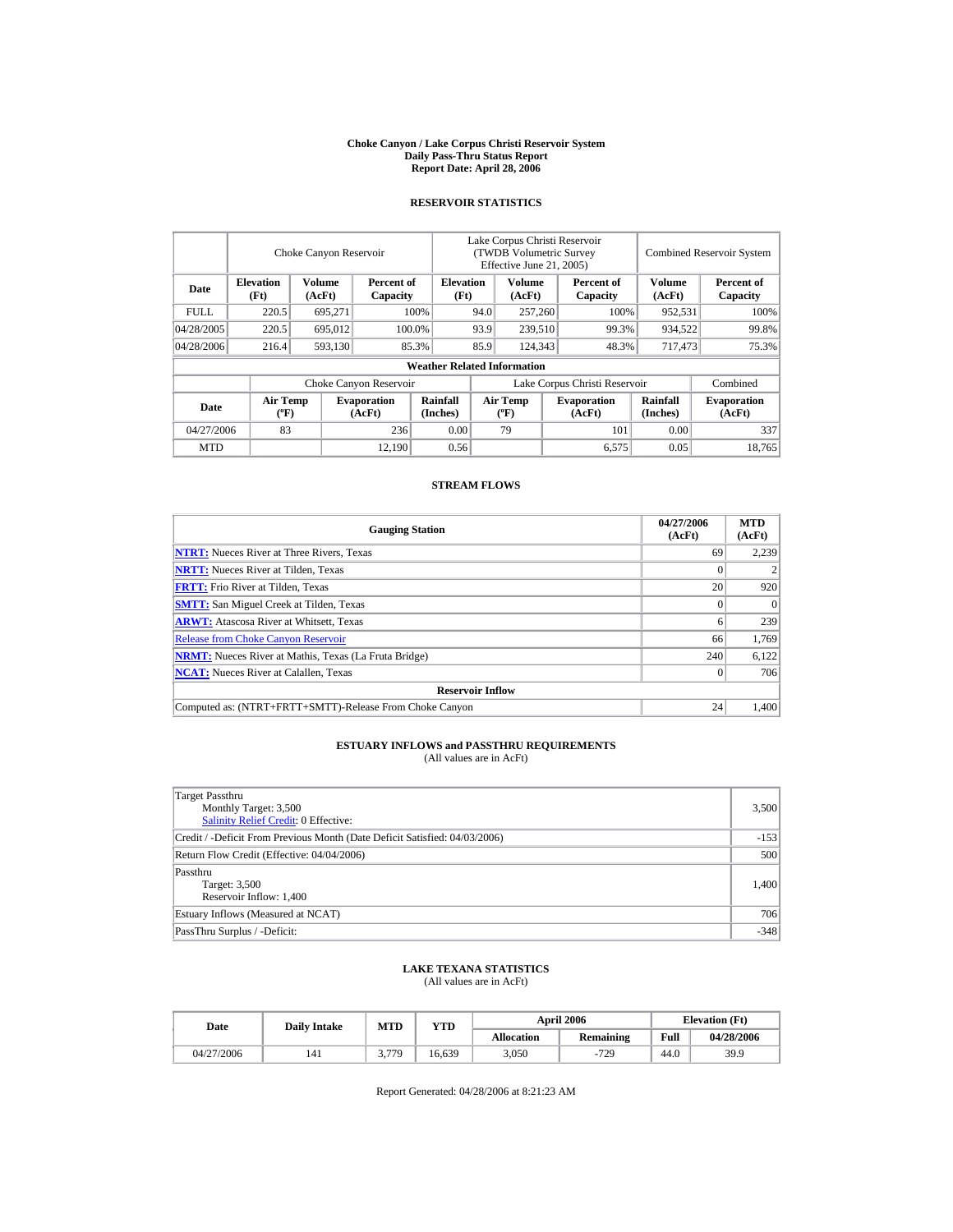#### **Choke Canyon / Lake Corpus Christi Reservoir System Daily Pass-Thru Status Report Report Date: April 28, 2006**

### **RESERVOIR STATISTICS**

|             |                                             | Choke Canyon Reservoir |                              |                                    | Lake Corpus Christi Reservoir<br><b>(TWDB Volumetric Survey)</b><br>Effective June 21, 2005) |                                  |  |                              | <b>Combined Reservoir System</b> |                              |
|-------------|---------------------------------------------|------------------------|------------------------------|------------------------------------|----------------------------------------------------------------------------------------------|----------------------------------|--|------------------------------|----------------------------------|------------------------------|
| Date        | <b>Elevation</b><br>(Ft)                    | Volume<br>(AcFt)       | Percent of<br>Capacity       | <b>Elevation</b><br>(Ft)           |                                                                                              | Volume<br>(AcFt)                 |  | Percent of<br>Capacity       | <b>Volume</b><br>(AcFt)          | Percent of<br>Capacity       |
| <b>FULL</b> | 220.5                                       | 695,271                |                              | 100%                               | 94.0                                                                                         | 257,260                          |  | 100%                         | 952,531                          | 100%                         |
| 04/28/2005  | 220.5                                       | 695,012                |                              | 100.0%                             | 93.9                                                                                         | 239,510                          |  | 99.3%                        | 934,522                          | 99.8%                        |
| 04/28/2006  | 216.4                                       | 593,130                |                              | 85.3%                              | 85.9                                                                                         | 124,343                          |  | 48.3%                        | 717,473                          | 75.3%                        |
|             |                                             |                        |                              | <b>Weather Related Information</b> |                                                                                              |                                  |  |                              |                                  |                              |
|             |                                             |                        | Choke Canyon Reservoir       |                                    | Lake Corpus Christi Reservoir                                                                |                                  |  |                              |                                  | Combined                     |
| Date        | <b>Air Temp</b><br>$({}^{\circ}\mathrm{F})$ |                        | <b>Evaporation</b><br>(AcFt) | Rainfall<br>(Inches)               |                                                                                              | <b>Air Temp</b><br>$(^{\circ}F)$ |  | <b>Evaporation</b><br>(AcFt) | <b>Rainfall</b><br>(Inches)      | <b>Evaporation</b><br>(AcFt) |
| 04/27/2006  | 83                                          |                        | 236                          | 0.00                               |                                                                                              | 79                               |  | 101                          | 0.00                             | 337                          |
| <b>MTD</b>  |                                             |                        | 12.190                       | 0.56                               |                                                                                              |                                  |  | 6,575                        | 0.05                             | 18.765                       |

### **STREAM FLOWS**

| <b>Gauging Station</b>                                       | 04/27/2006<br>(AcFt) | <b>MTD</b><br>(AcFt) |
|--------------------------------------------------------------|----------------------|----------------------|
| <b>NTRT:</b> Nueces River at Three Rivers, Texas             | 69                   | 2,239                |
| <b>NRTT:</b> Nueces River at Tilden, Texas                   |                      |                      |
| <b>FRTT:</b> Frio River at Tilden, Texas                     | 20                   | 920                  |
| <b>SMTT:</b> San Miguel Creek at Tilden, Texas               |                      | $\Omega$             |
| <b>ARWT:</b> Atascosa River at Whitsett, Texas               |                      | 239                  |
| <b>Release from Choke Canyon Reservoir</b>                   | 66                   | 1.769                |
| <b>NRMT:</b> Nueces River at Mathis, Texas (La Fruta Bridge) | 240                  | 6,122                |
| <b>NCAT:</b> Nueces River at Calallen, Texas                 |                      | 706                  |
| <b>Reservoir Inflow</b>                                      |                      |                      |
| Computed as: (NTRT+FRTT+SMTT)-Release From Choke Canyon      | 24                   | 1.400                |

# **ESTUARY INFLOWS and PASSTHRU REQUIREMENTS**<br>(All values are in AcFt)

| Target Passthru<br>Monthly Target: 3,500<br><b>Salinity Relief Credit: 0 Effective:</b> | 3,500  |
|-----------------------------------------------------------------------------------------|--------|
| Credit / -Deficit From Previous Month (Date Deficit Satisfied: 04/03/2006)              | $-153$ |
| Return Flow Credit (Effective: 04/04/2006)                                              | 500    |
| Passthru<br>Target: 3,500<br>Reservoir Inflow: 1,400                                    | 1,400  |
| Estuary Inflows (Measured at NCAT)                                                      | 706    |
| PassThru Surplus / -Deficit:                                                            | $-348$ |

## **LAKE TEXANA STATISTICS**

(All values are in AcFt)

| Date       | <b>Daily Intake</b> | MTD   | YTD    |                   | <b>April 2006</b> | <b>Elevation</b> (Ft) |            |
|------------|---------------------|-------|--------|-------------------|-------------------|-----------------------|------------|
|            |                     |       |        | <b>Allocation</b> | <b>Remaining</b>  | Full                  | 04/28/2006 |
| 04/27/2006 | 141                 | 3 779 | 16.639 | 3,050             | $-729$            | 44.0                  | 39.9       |

Report Generated: 04/28/2006 at 8:21:23 AM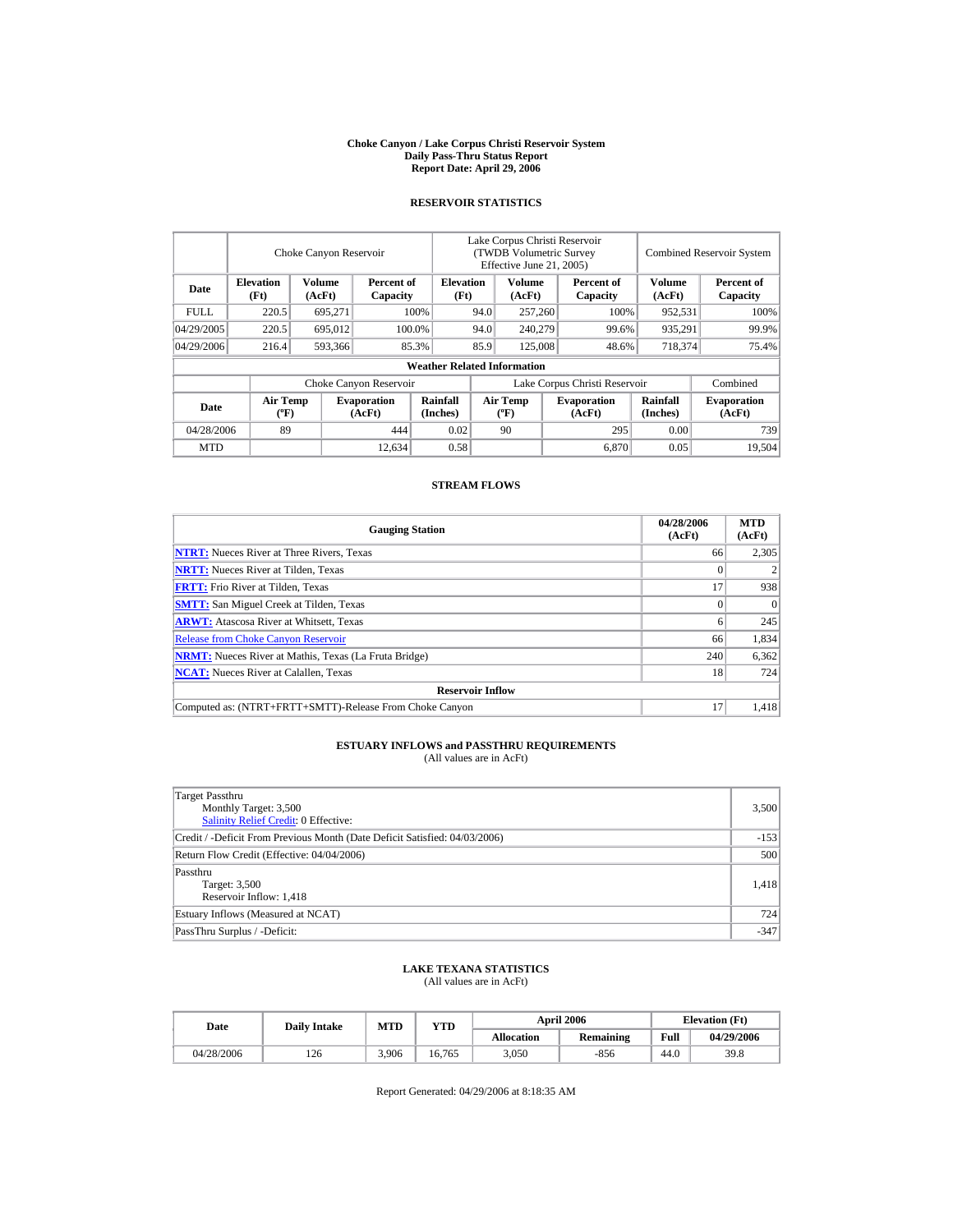#### **Choke Canyon / Lake Corpus Christi Reservoir System Daily Pass-Thru Status Report Report Date: April 29, 2006**

### **RESERVOIR STATISTICS**

|             |                                             | Choke Canyon Reservoir |                              |                                    | Lake Corpus Christi Reservoir<br>(TWDB Volumetric Survey<br>Effective June 21, 2005) |                                  |  |                              | <b>Combined Reservoir System</b> |                              |
|-------------|---------------------------------------------|------------------------|------------------------------|------------------------------------|--------------------------------------------------------------------------------------|----------------------------------|--|------------------------------|----------------------------------|------------------------------|
| Date        | <b>Elevation</b><br>(Ft)                    | Volume<br>(AcFt)       | Percent of<br>Capacity       | <b>Elevation</b><br>(Ft)           |                                                                                      | Volume<br>(AcFt)                 |  | Percent of<br>Capacity       | <b>Volume</b><br>(AcFt)          | Percent of<br>Capacity       |
| <b>FULL</b> | 220.5                                       | 695,271                |                              | 100%                               | 94.0                                                                                 | 257,260                          |  | 100%                         | 952,531                          | 100%                         |
| 04/29/2005  | 220.5                                       | 695,012                |                              | 100.0%                             | 94.0                                                                                 | 240,279                          |  | 99.6%                        | 935,291                          | 99.9%                        |
| 04/29/2006  | 216.4                                       | 593,366                |                              | 85.3%                              | 85.9                                                                                 | 125,008                          |  | 48.6%                        | 718,374                          | 75.4%                        |
|             |                                             |                        |                              | <b>Weather Related Information</b> |                                                                                      |                                  |  |                              |                                  |                              |
|             |                                             |                        | Choke Canyon Reservoir       |                                    | Lake Corpus Christi Reservoir                                                        |                                  |  |                              |                                  | Combined                     |
| Date        | <b>Air Temp</b><br>$({}^{\circ}\mathrm{F})$ |                        | <b>Evaporation</b><br>(AcFt) | Rainfall<br>(Inches)               |                                                                                      | <b>Air Temp</b><br>$(^{\circ}F)$ |  | <b>Evaporation</b><br>(AcFt) | <b>Rainfall</b><br>(Inches)      | <b>Evaporation</b><br>(AcFt) |
| 04/28/2006  | 89                                          |                        | 444                          | 0.02                               |                                                                                      | 90                               |  | 295                          | 0.00                             | 739                          |
| <b>MTD</b>  |                                             |                        | 12,634                       | 0.58                               |                                                                                      |                                  |  | 6,870                        | 0.05                             | 19.504                       |

### **STREAM FLOWS**

| <b>Gauging Station</b>                                       | 04/28/2006<br>(AcFt) | <b>MTD</b><br>(AcFt) |
|--------------------------------------------------------------|----------------------|----------------------|
| <b>NTRT:</b> Nueces River at Three Rivers, Texas             | 66                   | 2,305                |
| <b>NRTT:</b> Nueces River at Tilden, Texas                   |                      |                      |
| <b>FRTT:</b> Frio River at Tilden, Texas                     | 17                   | 938                  |
| <b>SMTT:</b> San Miguel Creek at Tilden, Texas               |                      | $\Omega$             |
| <b>ARWT:</b> Atascosa River at Whitsett, Texas               |                      | 245                  |
| <b>Release from Choke Canyon Reservoir</b>                   | 66                   | 1.834                |
| <b>NRMT:</b> Nueces River at Mathis, Texas (La Fruta Bridge) | 240                  | 6,362                |
| <b>NCAT:</b> Nueces River at Calallen, Texas                 | 18                   | 724                  |
| <b>Reservoir Inflow</b>                                      |                      |                      |
| Computed as: (NTRT+FRTT+SMTT)-Release From Choke Canyon      | 17                   | 1.418                |

# **ESTUARY INFLOWS and PASSTHRU REQUIREMENTS**<br>(All values are in AcFt)

| Target Passthru<br>Monthly Target: 3,500<br>Salinity Relief Credit: 0 Effective: | 3,500  |
|----------------------------------------------------------------------------------|--------|
| Credit / -Deficit From Previous Month (Date Deficit Satisfied: 04/03/2006)       | $-153$ |
| Return Flow Credit (Effective: 04/04/2006)                                       | 500    |
| Passthru<br>Target: 3,500<br>Reservoir Inflow: 1,418                             | 1,418  |
| Estuary Inflows (Measured at NCAT)                                               | 724    |
| PassThru Surplus / -Deficit:                                                     | $-347$ |

## **LAKE TEXANA STATISTICS**

(All values are in AcFt)

| Date       | <b>Daily Intake</b> | <b>MTD</b><br>YTD |        |                   | <b>April 2006</b> | <b>Elevation</b> (Ft) |            |
|------------|---------------------|-------------------|--------|-------------------|-------------------|-----------------------|------------|
|            |                     |                   |        | <b>Allocation</b> | <b>Remaining</b>  | Full                  | 04/29/2006 |
| 04/28/2006 | 126                 | 3.906             | 16.765 | 3.050             | $-856$            | 44.0                  | 39.8       |

Report Generated: 04/29/2006 at 8:18:35 AM